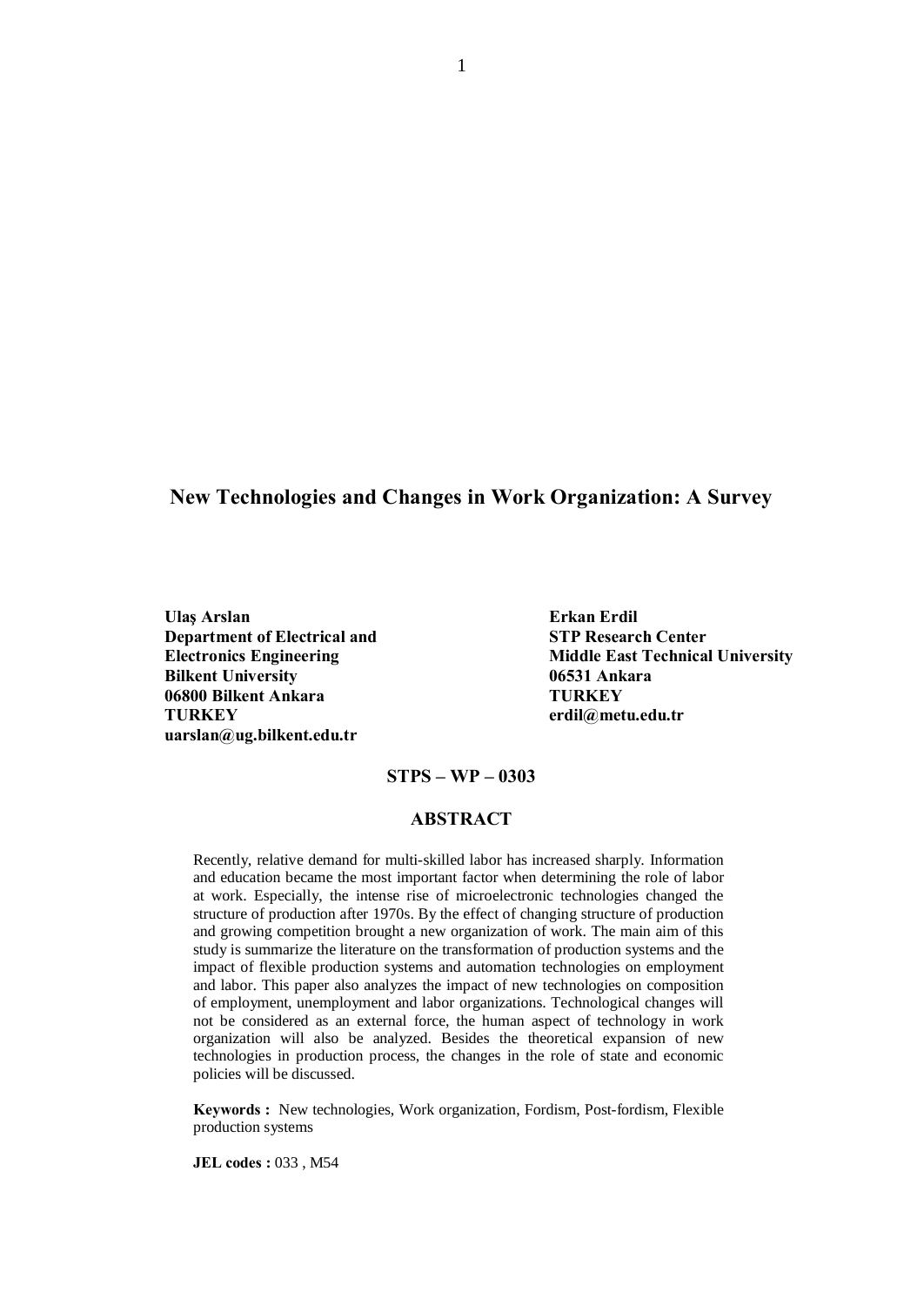# New Technologies and Changes in Work Organization: A Survey

Ulaş Arslan **Erkan Erdil** Department of Electrical and STP Research Center Bilkent University **DESA** 06531 Ankara 06800 Bilkent Ankara TURKEY TURKEY [erdil@metu.edu.tr](mailto:erdil@metu.edu.tr) [uarslan@ug.bilkent.edu.tr](mailto:uarslan@ug.bilkent.edu.tr)

Electronics Engineering **Middle East Technical University** 

#### $STPS - WP - 0303$

#### ABSTRACT

Recently, relative demand for multi-skilled labor has increased sharply. Information and education became the most important factor when determining the role of labor at work. Especially, the intense rise of microelectronic technologies changed the structure of production after 1970s. By the effect of changing structure of production and growing competition brought a new organization of work. The main aim of this study is summarize the literature on the transformation of production systems and the impact of flexible production systems and automation technologies on employment and labor. This paper also analyzes the impact of new technologies on composition of employment, unemployment and labor organizations. Technological changes will not be considered as an external force, the human aspect of technology in work organization will also be analyzed. Besides the theoretical expansion of new technologies in production process, the changes in the role of state and economic policies will be discussed.

Keywords : New technologies, Work organization, Fordism, Post-fordism, Flexible production systems

JEL codes : 033 , M54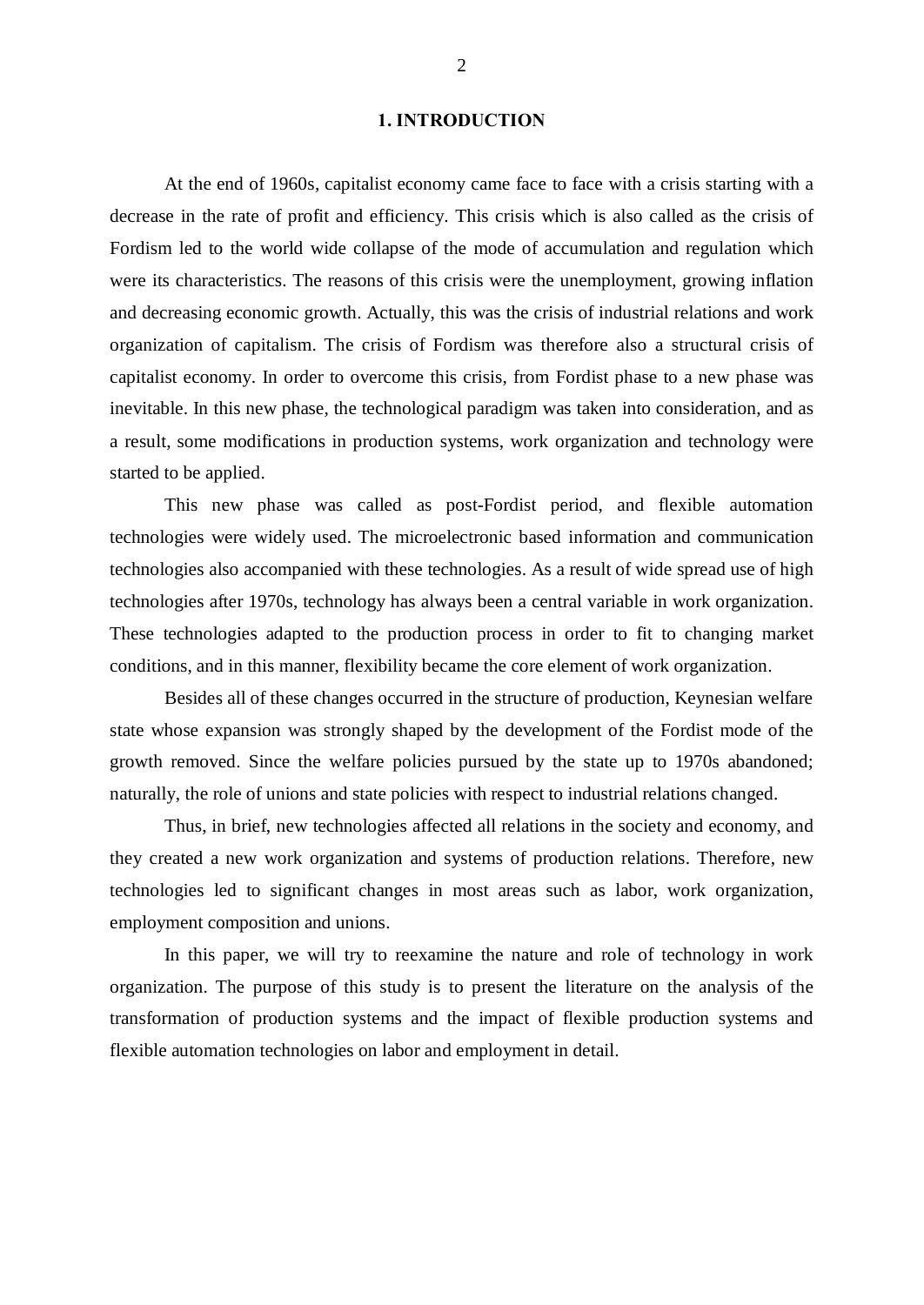#### 1. INTRODUCTION

At the end of 1960s, capitalist economy came face to face with a crisis starting with a decrease in the rate of profit and efficiency. This crisis which is also called as the crisis of Fordism led to the world wide collapse of the mode of accumulation and regulation which were its characteristics. The reasons of this crisis were the unemployment, growing inflation and decreasing economic growth. Actually, this was the crisis of industrial relations and work organization of capitalism. The crisis of Fordism was therefore also a structural crisis of capitalist economy. In order to overcome this crisis, from Fordist phase to a new phase was inevitable. In this new phase, the technological paradigm was taken into consideration, and as a result, some modifications in production systems, work organization and technology were started to be applied.

This new phase was called as post-Fordist period, and flexible automation technologies were widely used. The microelectronic based information and communication technologies also accompanied with these technologies. As a result of wide spread use of high technologies after 1970s, technology has always been a central variable in work organization. These technologies adapted to the production process in order to fit to changing market conditions, and in this manner, flexibility became the core element of work organization.

Besides all of these changes occurred in the structure of production, Keynesian welfare state whose expansion was strongly shaped by the development of the Fordist mode of the growth removed. Since the welfare policies pursued by the state up to 1970s abandoned; naturally, the role of unions and state policies with respect to industrial relations changed.

Thus, in brief, new technologies affected all relations in the society and economy, and they created a new work organization and systems of production relations. Therefore, new technologies led to significant changes in most areas such as labor, work organization, employment composition and unions.

In this paper, we will try to reexamine the nature and role of technology in work organization. The purpose of this study is to present the literature on the analysis of the transformation of production systems and the impact of flexible production systems and flexible automation technologies on labor and employment in detail.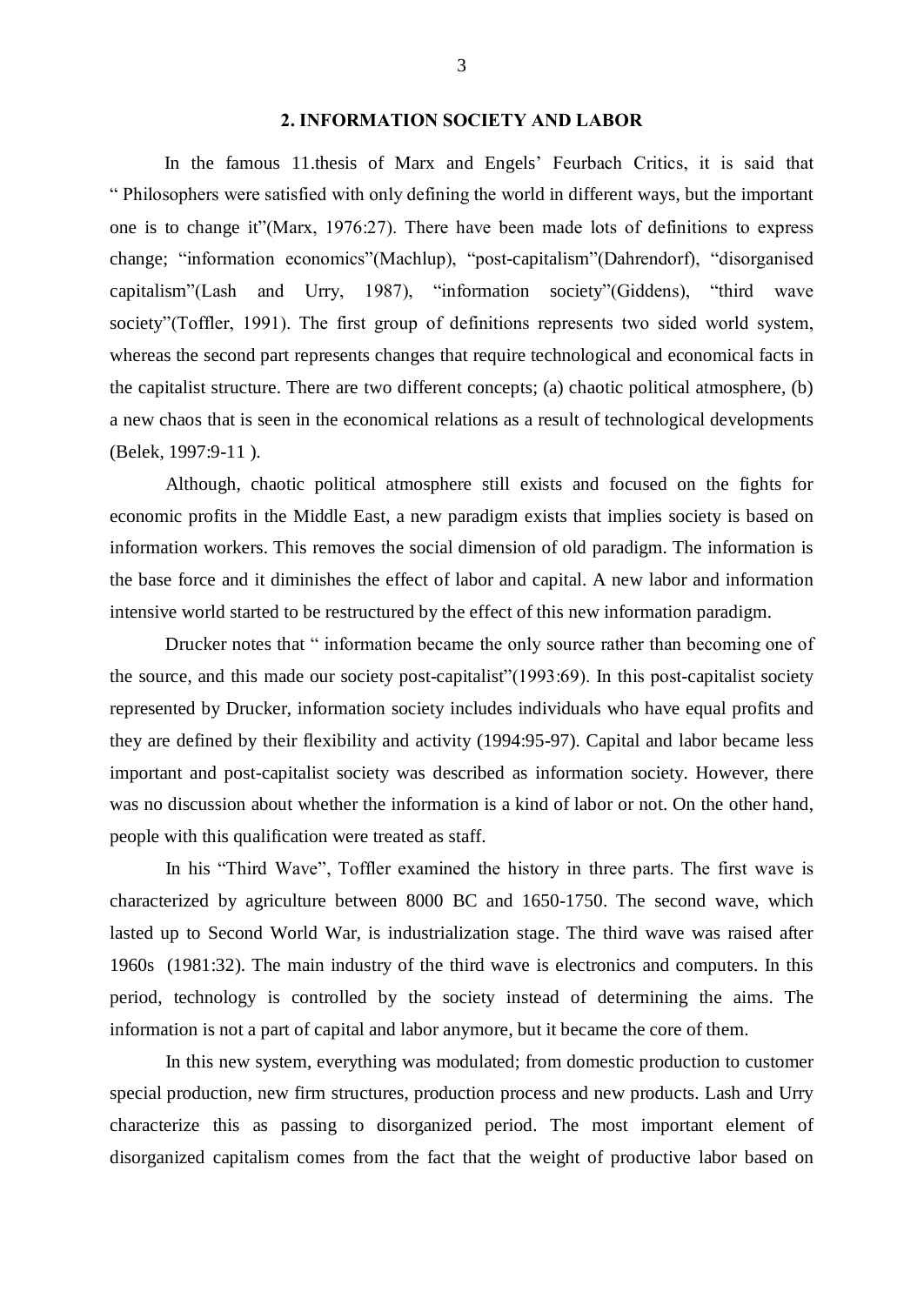# 2. INFORMATION SOCIETY AND LABOR

In the famous 11.thesis of Marx and Engels' Feurbach Critics, it is said that ì Philosophers were satisfied with only defining the world in different ways, but the important one is to change it"(Marx, 1976:27). There have been made lots of definitions to express change; "information economics" (Machlup), "post-capitalism" (Dahrendorf), "disorganised capitalism"(Lash and Urry, 1987), "information society"(Giddens), "third wave society"(Toffler, 1991). The first group of definitions represents two sided world system, whereas the second part represents changes that require technological and economical facts in the capitalist structure. There are two different concepts; (a) chaotic political atmosphere, (b) a new chaos that is seen in the economical relations as a result of technological developments (Belek, 1997:9-11 ).

Although, chaotic political atmosphere still exists and focused on the fights for economic profits in the Middle East, a new paradigm exists that implies society is based on information workers. This removes the social dimension of old paradigm. The information is the base force and it diminishes the effect of labor and capital. A new labor and information intensive world started to be restructured by the effect of this new information paradigm.

Drucker notes that " information became the only source rather than becoming one of the source, and this made our society post-capitalist" $(1993:69)$ . In this post-capitalist society represented by Drucker, information society includes individuals who have equal profits and they are defined by their flexibility and activity (1994:95-97). Capital and labor became less important and post-capitalist society was described as information society. However, there was no discussion about whether the information is a kind of labor or not. On the other hand, people with this qualification were treated as staff.

In his "Third Wave", Toffler examined the history in three parts. The first wave is characterized by agriculture between 8000 BC and 1650-1750. The second wave, which lasted up to Second World War, is industrialization stage. The third wave was raised after 1960s (1981:32). The main industry of the third wave is electronics and computers. In this period, technology is controlled by the society instead of determining the aims. The information is not a part of capital and labor anymore, but it became the core of them.

In this new system, everything was modulated; from domestic production to customer special production, new firm structures, production process and new products. Lash and Urry characterize this as passing to disorganized period. The most important element of disorganized capitalism comes from the fact that the weight of productive labor based on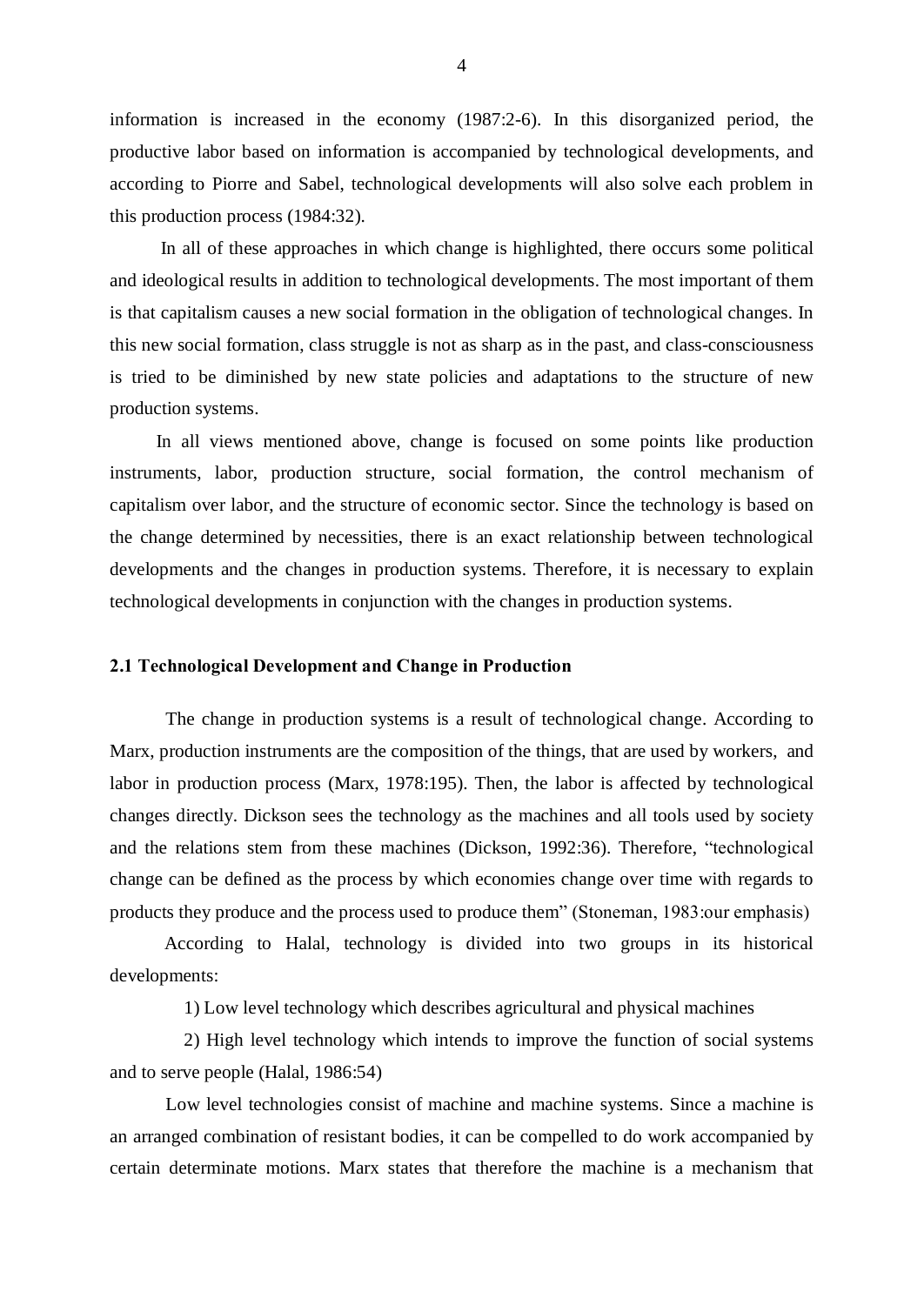information is increased in the economy (1987:2-6). In this disorganized period, the productive labor based on information is accompanied by technological developments, and according to Piorre and Sabel, technological developments will also solve each problem in this production process (1984:32).

In all of these approaches in which change is highlighted, there occurs some political and ideological results in addition to technological developments. The most important of them is that capitalism causes a new social formation in the obligation of technological changes. In this new social formation, class struggle is not as sharp as in the past, and class-consciousness is tried to be diminished by new state policies and adaptations to the structure of new production systems.

In all views mentioned above, change is focused on some points like production instruments, labor, production structure, social formation, the control mechanism of capitalism over labor, and the structure of economic sector. Since the technology is based on the change determined by necessities, there is an exact relationship between technological developments and the changes in production systems. Therefore, it is necessary to explain technological developments in conjunction with the changes in production systems.

# 2.1 Technological Development and Change in Production

The change in production systems is a result of technological change. According to Marx, production instruments are the composition of the things, that are used by workers, and labor in production process (Marx, 1978:195). Then, the labor is affected by technological changes directly. Dickson sees the technology as the machines and all tools used by society and the relations stem from these machines (Dickson, 1992:36). Therefore, "technological change can be defined as the process by which economies change over time with regards to products they produce and the process used to produce them<sup>"</sup> (Stoneman, 1983:our emphasis)

According to Halal, technology is divided into two groups in its historical developments:

1) Low level technology which describes agricultural and physical machines

2) High level technology which intends to improve the function of social systems and to serve people (Halal, 1986:54)

Low level technologies consist of machine and machine systems. Since a machine is an arranged combination of resistant bodies, it can be compelled to do work accompanied by certain determinate motions. Marx states that therefore the machine is a mechanism that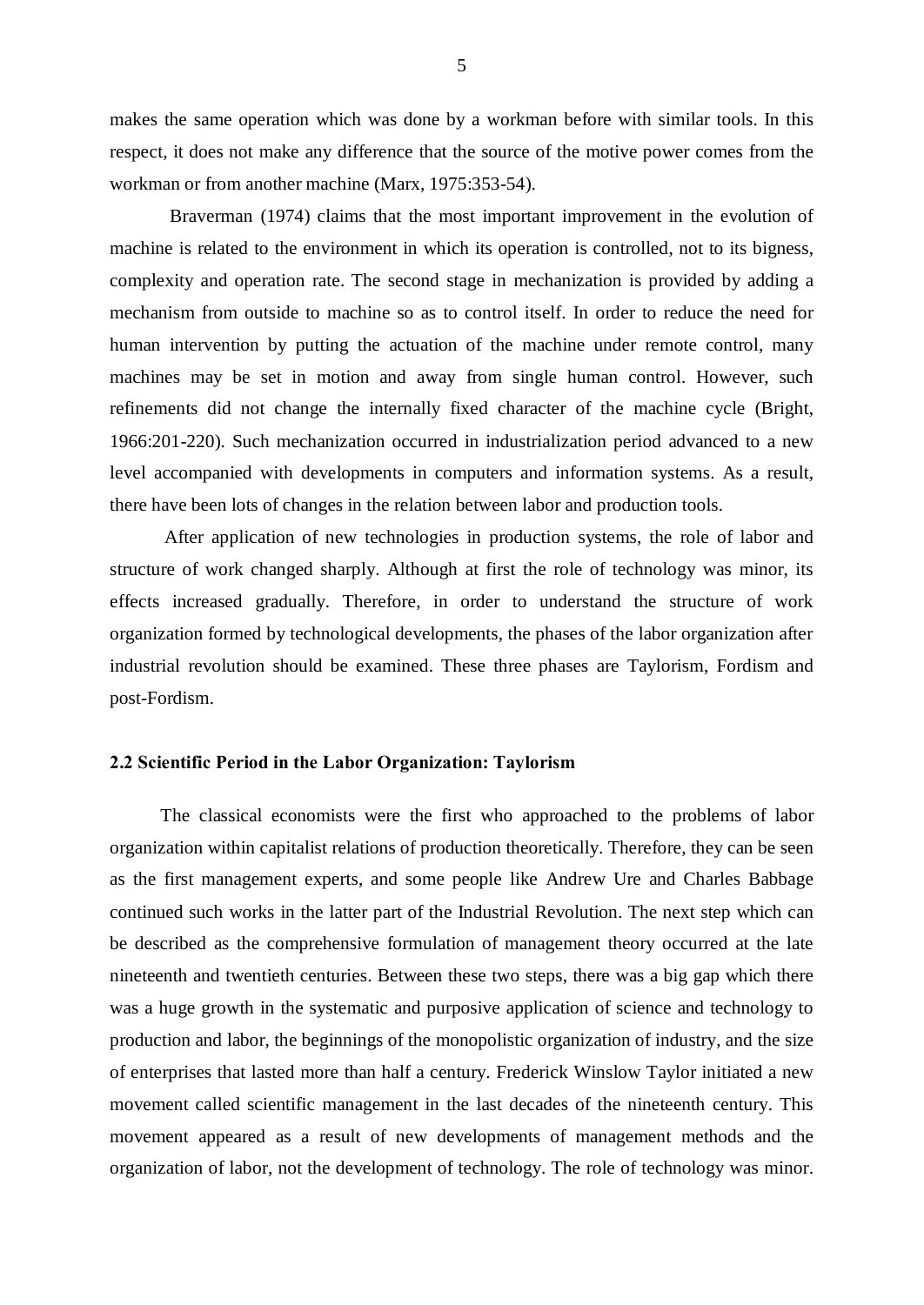makes the same operation which was done by a workman before with similar tools. In this respect, it does not make any difference that the source of the motive power comes from the workman or from another machine (Marx, 1975:353-54).

Braverman (1974) claims that the most important improvement in the evolution of machine is related to the environment in which its operation is controlled, not to its bigness, complexity and operation rate. The second stage in mechanization is provided by adding a mechanism from outside to machine so as to control itself. In order to reduce the need for human intervention by putting the actuation of the machine under remote control, many machines may be set in motion and away from single human control. However, such refinements did not change the internally fixed character of the machine cycle (Bright, 1966:201-220). Such mechanization occurred in industrialization period advanced to a new level accompanied with developments in computers and information systems. As a result, there have been lots of changes in the relation between labor and production tools.

After application of new technologies in production systems, the role of labor and structure of work changed sharply. Although at first the role of technology was minor, its effects increased gradually. Therefore, in order to understand the structure of work organization formed by technological developments, the phases of the labor organization after industrial revolution should be examined. These three phases are Taylorism, Fordism and post-Fordism.

# 2.2 Scientific Period in the Labor Organization: Taylorism

The classical economists were the first who approached to the problems of labor organization within capitalist relations of production theoretically. Therefore, they can be seen as the first management experts, and some people like Andrew Ure and Charles Babbage continued such works in the latter part of the Industrial Revolution. The next step which can be described as the comprehensive formulation of management theory occurred at the late nineteenth and twentieth centuries. Between these two steps, there was a big gap which there was a huge growth in the systematic and purposive application of science and technology to production and labor, the beginnings of the monopolistic organization of industry, and the size of enterprises that lasted more than half a century. Frederick Winslow Taylor initiated a new movement called scientific management in the last decades of the nineteenth century. This movement appeared as a result of new developments of management methods and the organization of labor, not the development of technology. The role of technology was minor.

5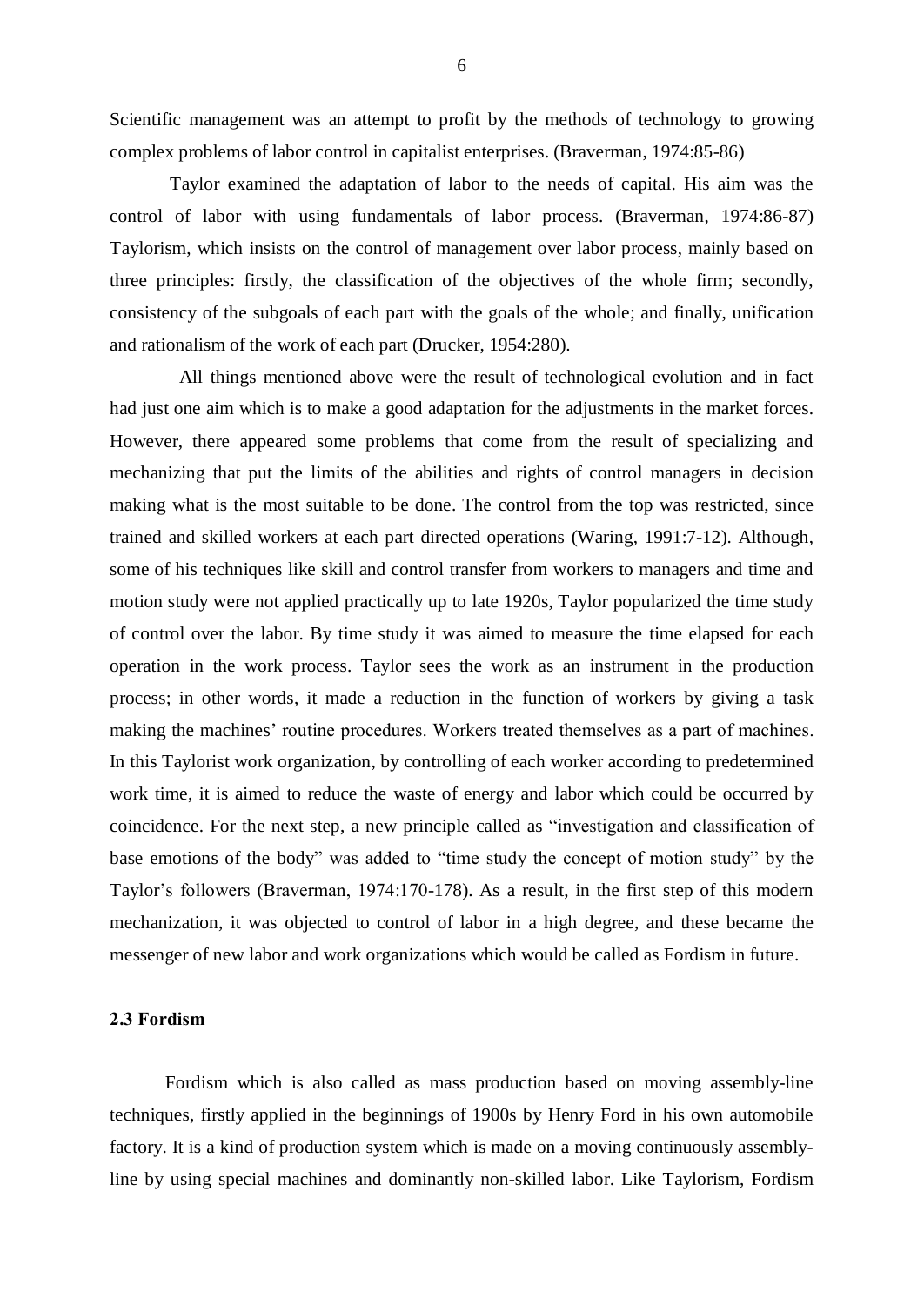Scientific management was an attempt to profit by the methods of technology to growing complex problems of labor control in capitalist enterprises. (Braverman, 1974:85-86)

Taylor examined the adaptation of labor to the needs of capital. His aim was the control of labor with using fundamentals of labor process. (Braverman, 1974:86-87) Taylorism, which insists on the control of management over labor process, mainly based on three principles: firstly, the classification of the objectives of the whole firm; secondly, consistency of the subgoals of each part with the goals of the whole; and finally, unification and rationalism of the work of each part (Drucker, 1954:280).

All things mentioned above were the result of technological evolution and in fact had just one aim which is to make a good adaptation for the adjustments in the market forces. However, there appeared some problems that come from the result of specializing and mechanizing that put the limits of the abilities and rights of control managers in decision making what is the most suitable to be done. The control from the top was restricted, since trained and skilled workers at each part directed operations (Waring, 1991:7-12). Although, some of his techniques like skill and control transfer from workers to managers and time and motion study were not applied practically up to late 1920s, Taylor popularized the time study of control over the labor. By time study it was aimed to measure the time elapsed for each operation in the work process. Taylor sees the work as an instrument in the production process; in other words, it made a reduction in the function of workers by giving a task making the machines' routine procedures. Workers treated themselves as a part of machines. In this Taylorist work organization, by controlling of each worker according to predetermined work time, it is aimed to reduce the waste of energy and labor which could be occurred by coincidence. For the next step, a new principle called as "investigation and classification of base emotions of the body" was added to "time study the concept of motion study" by the Taylor's followers (Braverman, 1974:170-178). As a result, in the first step of this modern mechanization, it was objected to control of labor in a high degree, and these became the messenger of new labor and work organizations which would be called as Fordism in future.

## 2.3 Fordism

Fordism which is also called as mass production based on moving assembly-line techniques, firstly applied in the beginnings of 1900s by Henry Ford in his own automobile factory. It is a kind of production system which is made on a moving continuously assemblyline by using special machines and dominantly non-skilled labor. Like Taylorism, Fordism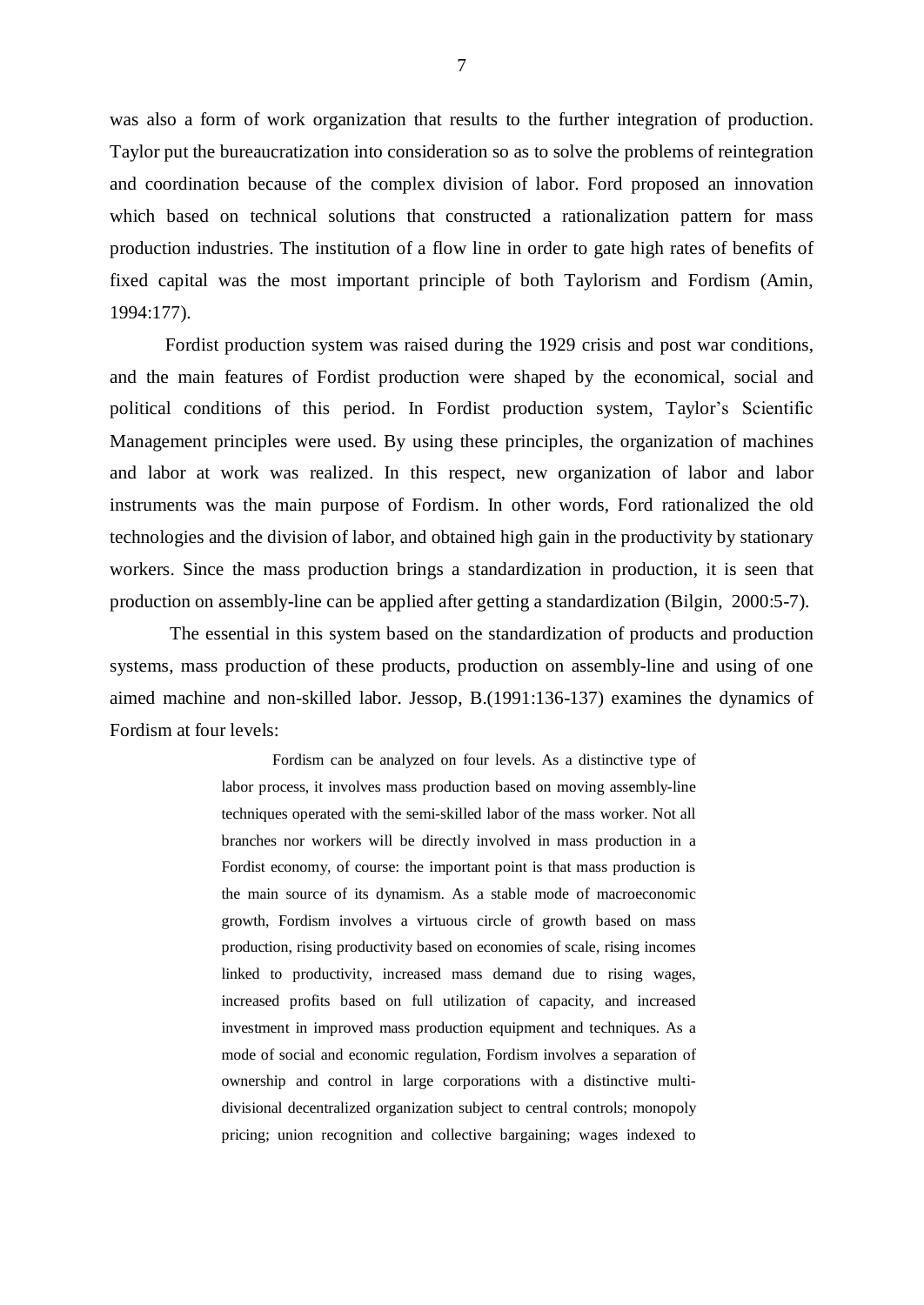was also a form of work organization that results to the further integration of production. Taylor put the bureaucratization into consideration so as to solve the problems of reintegration and coordination because of the complex division of labor. Ford proposed an innovation which based on technical solutions that constructed a rationalization pattern for mass production industries. The institution of a flow line in order to gate high rates of benefits of fixed capital was the most important principle of both Taylorism and Fordism (Amin, 1994:177).

Fordist production system was raised during the 1929 crisis and post war conditions, and the main features of Fordist production were shaped by the economical, social and political conditions of this period. In Fordist production system, Taylor's Scientific Management principles were used. By using these principles, the organization of machines and labor at work was realized. In this respect, new organization of labor and labor instruments was the main purpose of Fordism. In other words, Ford rationalized the old technologies and the division of labor, and obtained high gain in the productivity by stationary workers. Since the mass production brings a standardization in production, it is seen that production on assembly-line can be applied after getting a standardization (Bilgin, 2000:5-7).

The essential in this system based on the standardization of products and production systems, mass production of these products, production on assembly-line and using of one aimed machine and non-skilled labor. Jessop, B.(1991:136-137) examines the dynamics of Fordism at four levels:

> Fordism can be analyzed on four levels. As a distinctive type of labor process, it involves mass production based on moving assembly-line techniques operated with the semi-skilled labor of the mass worker. Not all branches nor workers will be directly involved in mass production in a Fordist economy, of course: the important point is that mass production is the main source of its dynamism. As a stable mode of macroeconomic growth, Fordism involves a virtuous circle of growth based on mass production, rising productivity based on economies of scale, rising incomes linked to productivity, increased mass demand due to rising wages, increased profits based on full utilization of capacity, and increased investment in improved mass production equipment and techniques. As a mode of social and economic regulation, Fordism involves a separation of ownership and control in large corporations with a distinctive multidivisional decentralized organization subject to central controls; monopoly pricing; union recognition and collective bargaining; wages indexed to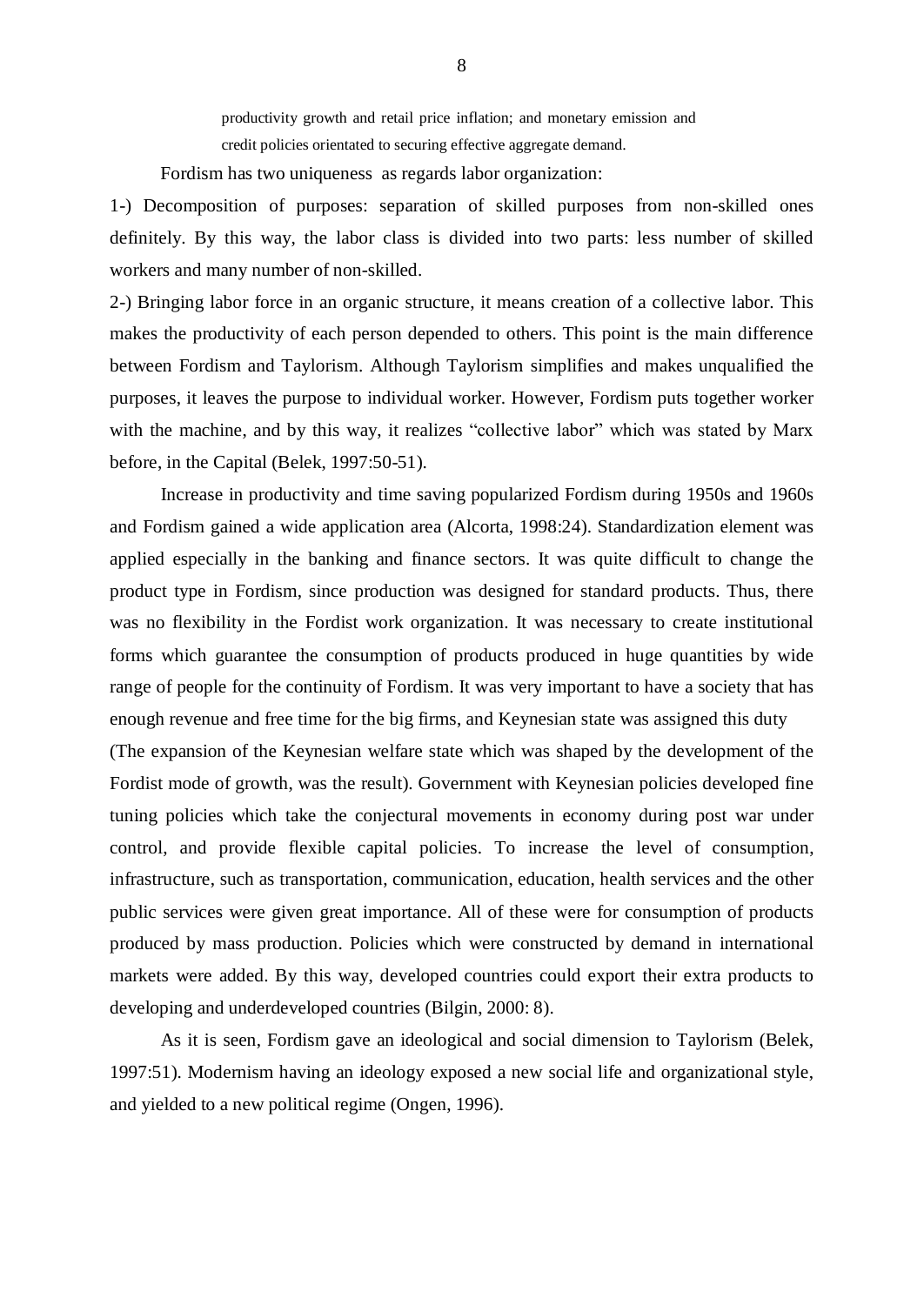productivity growth and retail price inflation; and monetary emission and credit policies orientated to securing effective aggregate demand.

Fordism has two uniqueness as regards labor organization:

1-) Decomposition of purposes: separation of skilled purposes from non-skilled ones definitely. By this way, the labor class is divided into two parts: less number of skilled workers and many number of non-skilled.

2-) Bringing labor force in an organic structure, it means creation of a collective labor. This makes the productivity of each person depended to others. This point is the main difference between Fordism and Taylorism. Although Taylorism simplifies and makes unqualified the purposes, it leaves the purpose to individual worker. However, Fordism puts together worker with the machine, and by this way, it realizes "collective labor" which was stated by Marx before, in the Capital (Belek, 1997:50-51).

Increase in productivity and time saving popularized Fordism during 1950s and 1960s and Fordism gained a wide application area (Alcorta, 1998:24). Standardization element was applied especially in the banking and finance sectors. It was quite difficult to change the product type in Fordism, since production was designed for standard products. Thus, there was no flexibility in the Fordist work organization. It was necessary to create institutional forms which guarantee the consumption of products produced in huge quantities by wide range of people for the continuity of Fordism. It was very important to have a society that has enough revenue and free time for the big firms, and Keynesian state was assigned this duty (The expansion of the Keynesian welfare state which was shaped by the development of the Fordist mode of growth, was the result). Government with Keynesian policies developed fine tuning policies which take the conjectural movements in economy during post war under control, and provide flexible capital policies. To increase the level of consumption, infrastructure, such as transportation, communication, education, health services and the other public services were given great importance. All of these were for consumption of products produced by mass production. Policies which were constructed by demand in international markets were added. By this way, developed countries could export their extra products to developing and underdeveloped countries (Bilgin, 2000: 8).

As it is seen, Fordism gave an ideological and social dimension to Taylorism (Belek, 1997:51). Modernism having an ideology exposed a new social life and organizational style, and yielded to a new political regime (Ongen, 1996).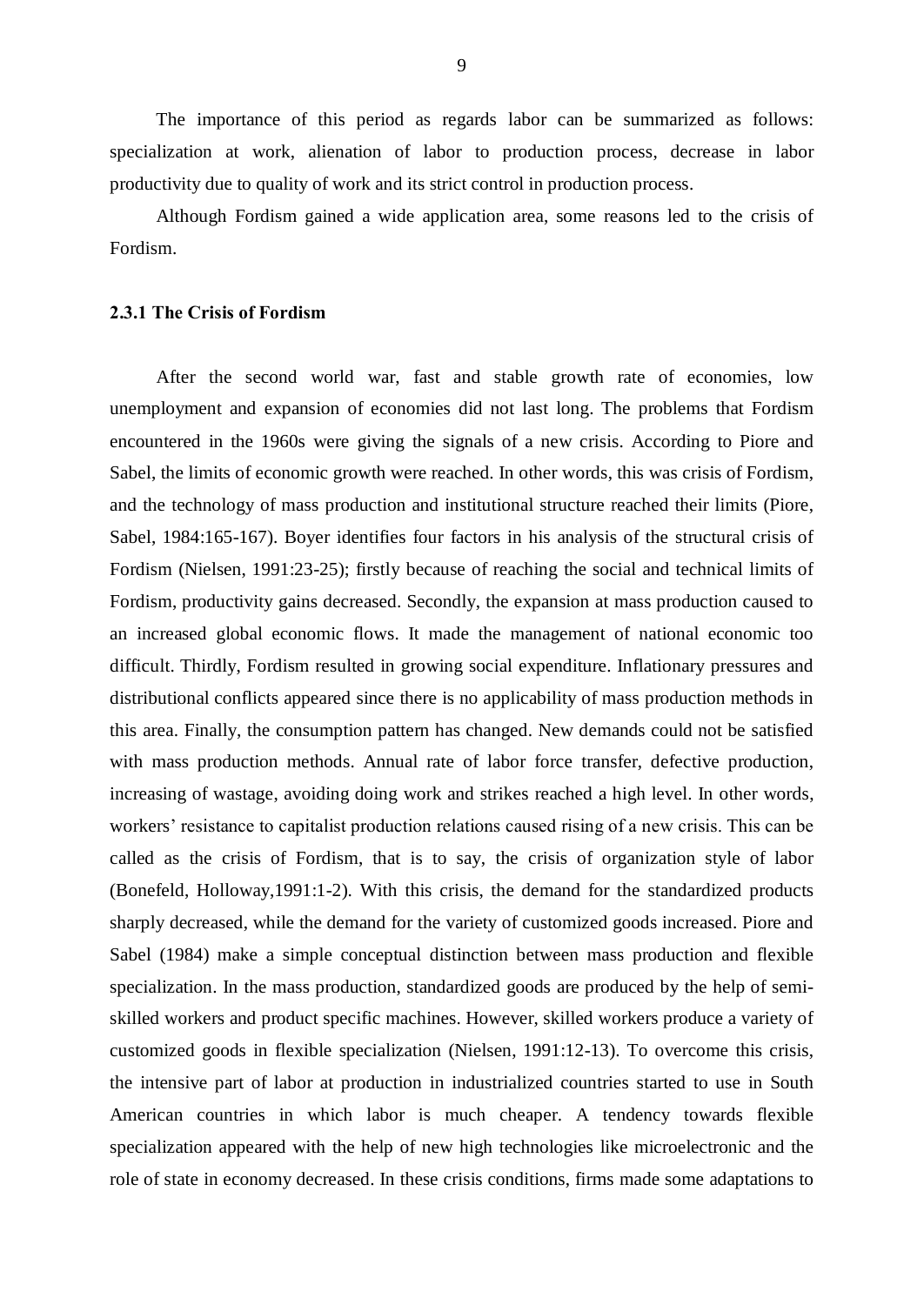The importance of this period as regards labor can be summarized as follows: specialization at work, alienation of labor to production process, decrease in labor productivity due to quality of work and its strict control in production process.

Although Fordism gained a wide application area, some reasons led to the crisis of Fordism.

### 2.3.1 The Crisis of Fordism

After the second world war, fast and stable growth rate of economies, low unemployment and expansion of economies did not last long. The problems that Fordism encountered in the 1960s were giving the signals of a new crisis. According to Piore and Sabel, the limits of economic growth were reached. In other words, this was crisis of Fordism, and the technology of mass production and institutional structure reached their limits (Piore, Sabel, 1984:165-167). Boyer identifies four factors in his analysis of the structural crisis of Fordism (Nielsen, 1991:23-25); firstly because of reaching the social and technical limits of Fordism, productivity gains decreased. Secondly, the expansion at mass production caused to an increased global economic flows. It made the management of national economic too difficult. Thirdly, Fordism resulted in growing social expenditure. Inflationary pressures and distributional conflicts appeared since there is no applicability of mass production methods in this area. Finally, the consumption pattern has changed. New demands could not be satisfied with mass production methods. Annual rate of labor force transfer, defective production, increasing of wastage, avoiding doing work and strikes reached a high level. In other words, workers' resistance to capitalist production relations caused rising of a new crisis. This can be called as the crisis of Fordism, that is to say, the crisis of organization style of labor (Bonefeld, Holloway,1991:1-2). With this crisis, the demand for the standardized products sharply decreased, while the demand for the variety of customized goods increased. Piore and Sabel (1984) make a simple conceptual distinction between mass production and flexible specialization. In the mass production, standardized goods are produced by the help of semiskilled workers and product specific machines. However, skilled workers produce a variety of customized goods in flexible specialization (Nielsen, 1991:12-13). To overcome this crisis, the intensive part of labor at production in industrialized countries started to use in South American countries in which labor is much cheaper. A tendency towards flexible specialization appeared with the help of new high technologies like microelectronic and the role of state in economy decreased. In these crisis conditions, firms made some adaptations to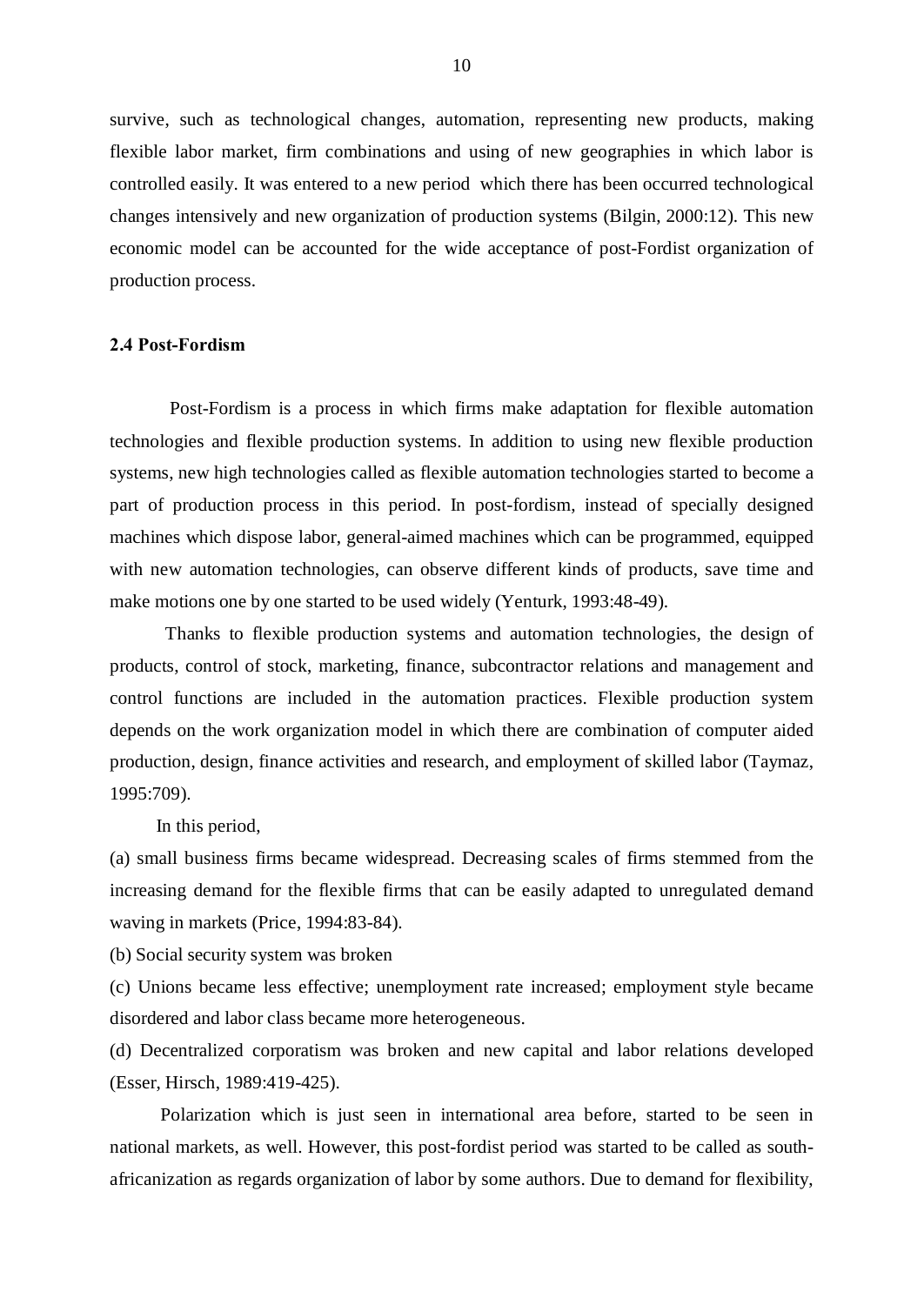survive, such as technological changes, automation, representing new products, making flexible labor market, firm combinations and using of new geographies in which labor is controlled easily. It was entered to a new period which there has been occurred technological changes intensively and new organization of production systems (Bilgin, 2000:12). This new economic model can be accounted for the wide acceptance of post-Fordist organization of production process.

# 2.4 Post-Fordism

Post-Fordism is a process in which firms make adaptation for flexible automation technologies and flexible production systems. In addition to using new flexible production systems, new high technologies called as flexible automation technologies started to become a part of production process in this period. In post-fordism, instead of specially designed machines which dispose labor, general-aimed machines which can be programmed, equipped with new automation technologies, can observe different kinds of products, save time and make motions one by one started to be used widely (Yenturk, 1993:48-49).

Thanks to flexible production systems and automation technologies, the design of products, control of stock, marketing, finance, subcontractor relations and management and control functions are included in the automation practices. Flexible production system depends on the work organization model in which there are combination of computer aided production, design, finance activities and research, and employment of skilled labor (Taymaz, 1995:709).

In this period,

(a) small business firms became widespread. Decreasing scales of firms stemmed from the increasing demand for the flexible firms that can be easily adapted to unregulated demand waving in markets (Price, 1994:83-84).

(b) Social security system was broken

(c) Unions became less effective; unemployment rate increased; employment style became disordered and labor class became more heterogeneous.

(d) Decentralized corporatism was broken and new capital and labor relations developed (Esser, Hirsch, 1989:419-425).

Polarization which is just seen in international area before, started to be seen in national markets, as well. However, this post-fordist period was started to be called as southafricanization as regards organization of labor by some authors. Due to demand for flexibility,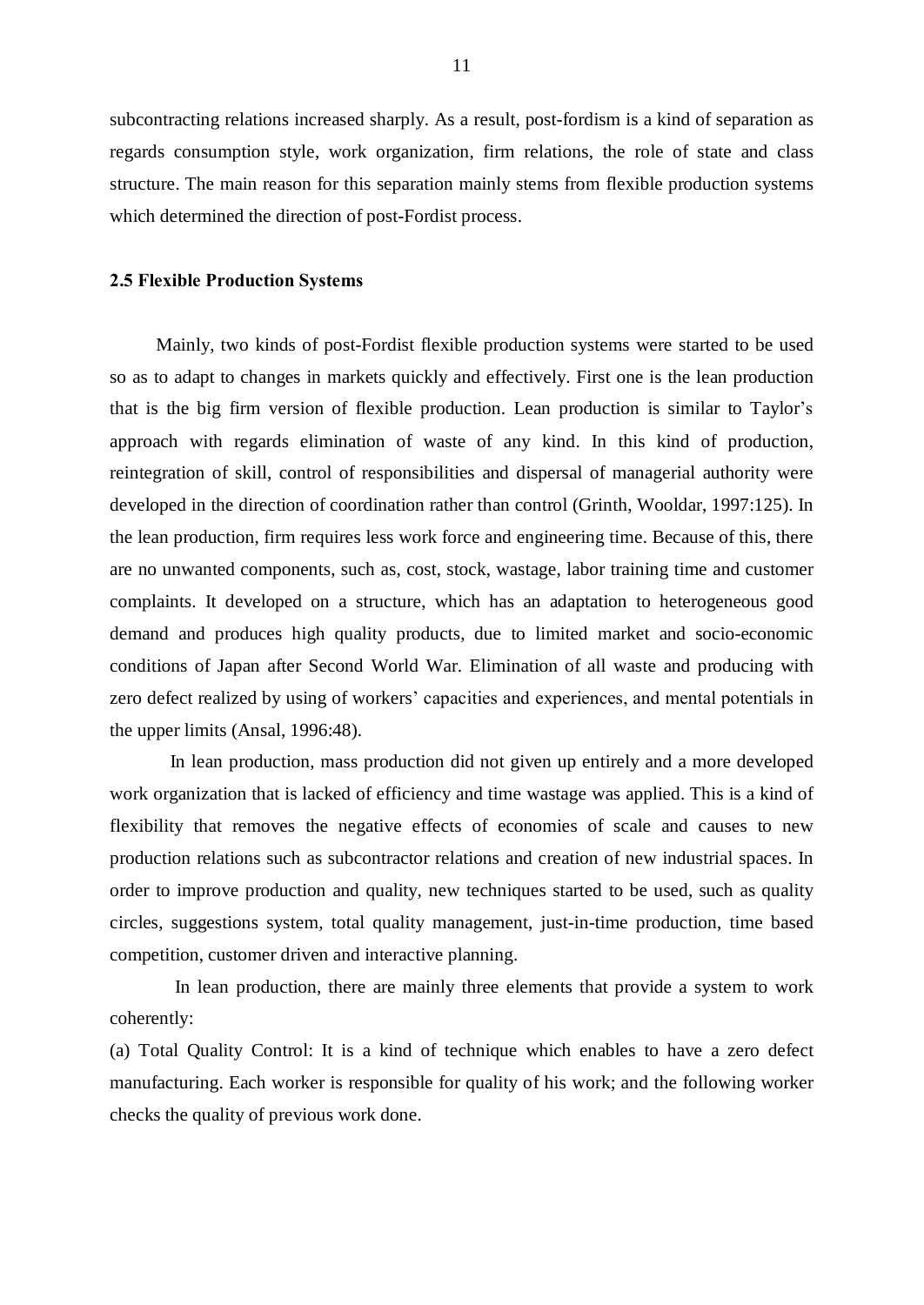subcontracting relations increased sharply. As a result, post-fordism is a kind of separation as regards consumption style, work organization, firm relations, the role of state and class structure. The main reason for this separation mainly stems from flexible production systems which determined the direction of post-Fordist process.

### 2.5 Flexible Production Systems

Mainly, two kinds of post-Fordist flexible production systems were started to be used so as to adapt to changes in markets quickly and effectively. First one is the lean production that is the big firm version of flexible production. Lean production is similar to Taylor's approach with regards elimination of waste of any kind. In this kind of production, reintegration of skill, control of responsibilities and dispersal of managerial authority were developed in the direction of coordination rather than control (Grinth, Wooldar, 1997:125). In the lean production, firm requires less work force and engineering time. Because of this, there are no unwanted components, such as, cost, stock, wastage, labor training time and customer complaints. It developed on a structure, which has an adaptation to heterogeneous good demand and produces high quality products, due to limited market and socio-economic conditions of Japan after Second World War. Elimination of all waste and producing with zero defect realized by using of workers' capacities and experiences, and mental potentials in the upper limits (Ansal, 1996:48).

In lean production, mass production did not given up entirely and a more developed work organization that is lacked of efficiency and time wastage was applied. This is a kind of flexibility that removes the negative effects of economies of scale and causes to new production relations such as subcontractor relations and creation of new industrial spaces. In order to improve production and quality, new techniques started to be used, such as quality circles, suggestions system, total quality management, just-in-time production, time based competition, customer driven and interactive planning.

In lean production, there are mainly three elements that provide a system to work coherently:

(a) Total Quality Control: It is a kind of technique which enables to have a zero defect manufacturing. Each worker is responsible for quality of his work; and the following worker checks the quality of previous work done.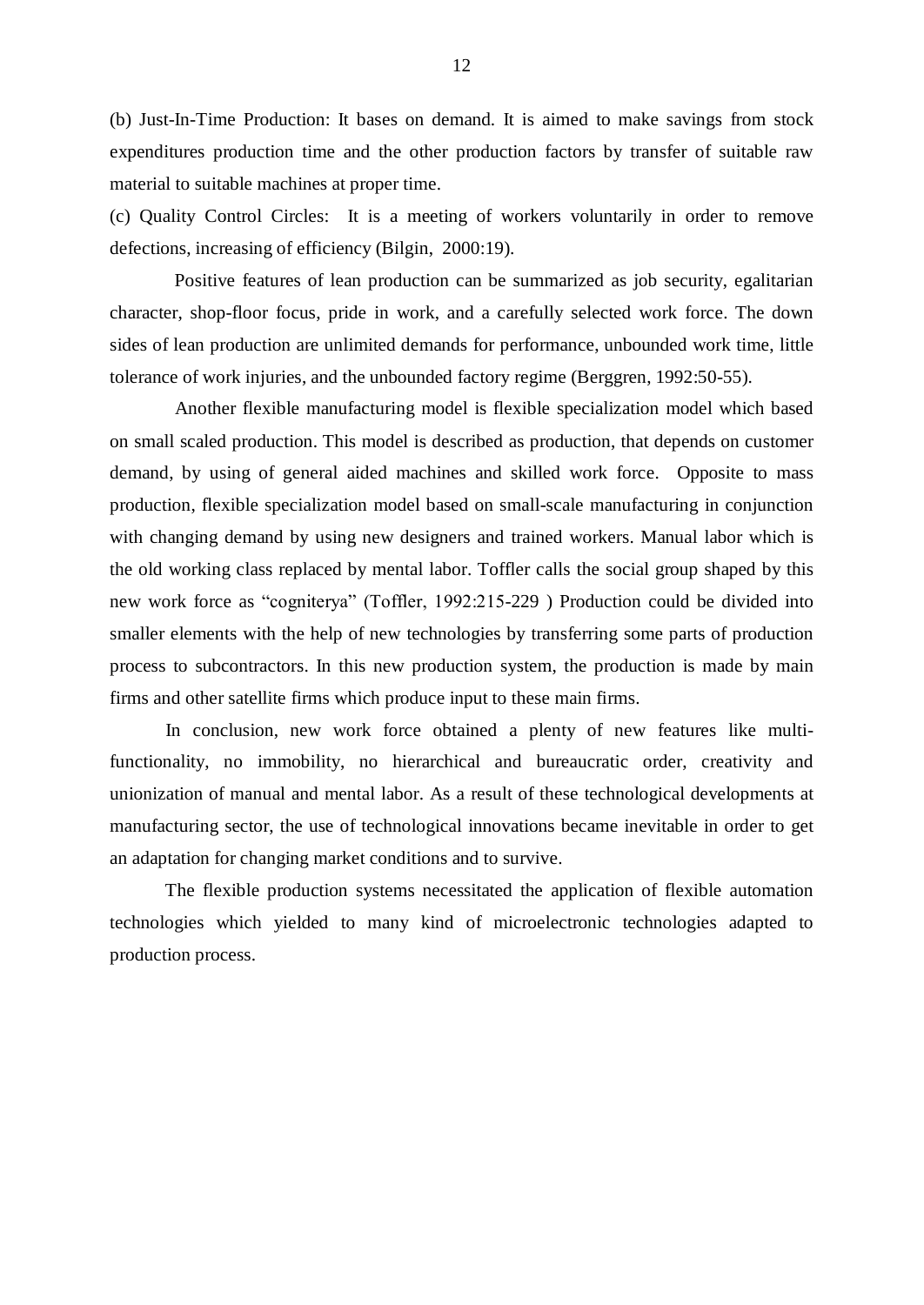(b) Just-In-Time Production: It bases on demand. It is aimed to make savings from stock expenditures production time and the other production factors by transfer of suitable raw material to suitable machines at proper time.

(c) Quality Control Circles: It is a meeting of workers voluntarily in order to remove defections, increasing of efficiency (Bilgin, 2000:19).

Positive features of lean production can be summarized as job security, egalitarian character, shop-floor focus, pride in work, and a carefully selected work force. The down sides of lean production are unlimited demands for performance, unbounded work time, little tolerance of work injuries, and the unbounded factory regime (Berggren, 1992:50-55).

Another flexible manufacturing model is flexible specialization model which based on small scaled production. This model is described as production, that depends on customer demand, by using of general aided machines and skilled work force. Opposite to mass production, flexible specialization model based on small-scale manufacturing in conjunction with changing demand by using new designers and trained workers. Manual labor which is the old working class replaced by mental labor. Toffler calls the social group shaped by this new work force as "cogniterya" (Toffler, 1992:215-229) Production could be divided into smaller elements with the help of new technologies by transferring some parts of production process to subcontractors. In this new production system, the production is made by main firms and other satellite firms which produce input to these main firms.

In conclusion, new work force obtained a plenty of new features like multifunctionality, no immobility, no hierarchical and bureaucratic order, creativity and unionization of manual and mental labor. As a result of these technological developments at manufacturing sector, the use of technological innovations became inevitable in order to get an adaptation for changing market conditions and to survive.

The flexible production systems necessitated the application of flexible automation technologies which yielded to many kind of microelectronic technologies adapted to production process.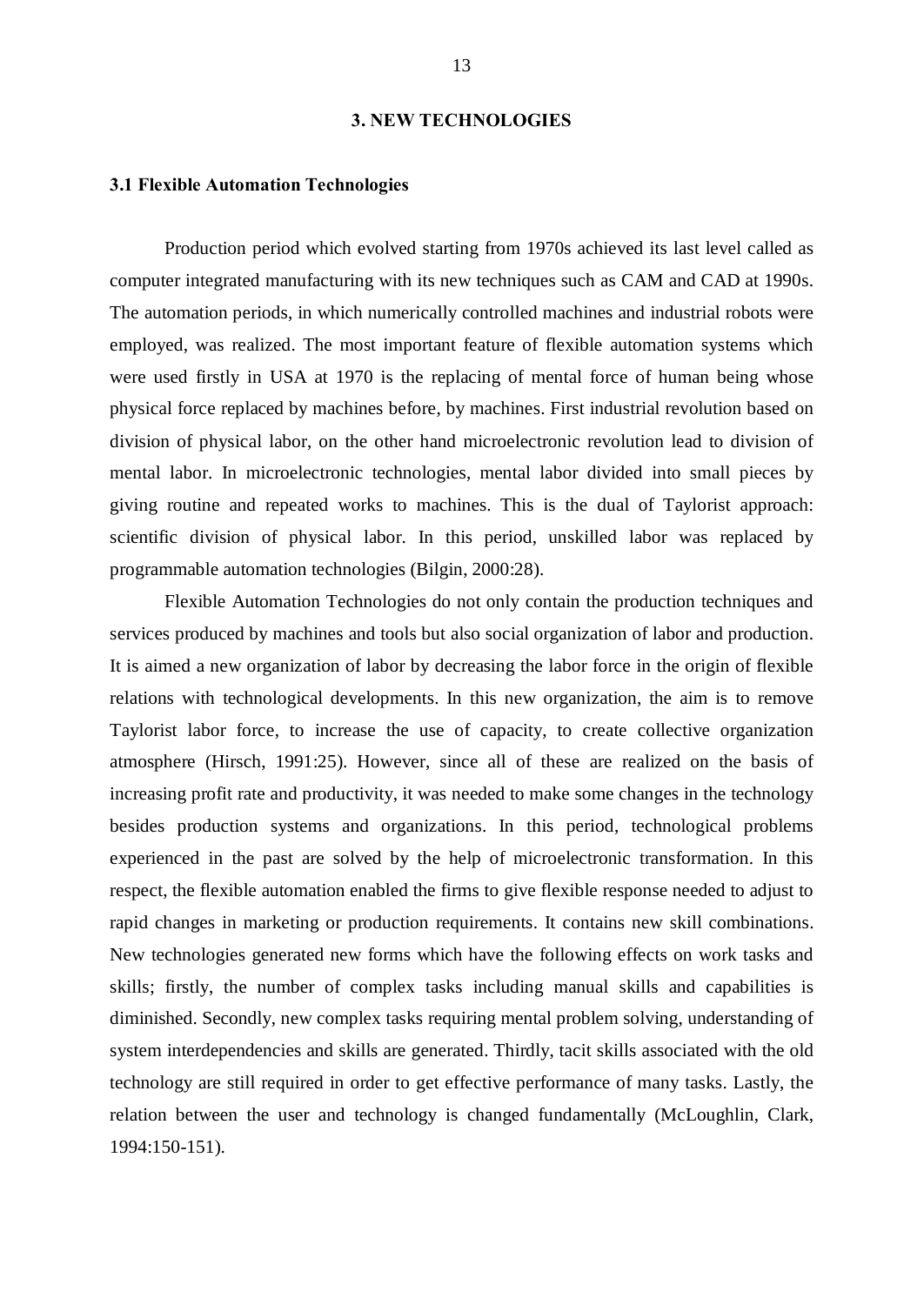#### 3. NEW TECHNOLOGIES

# 3.1 Flexible Automation Technologies

Production period which evolved starting from 1970s achieved its last level called as computer integrated manufacturing with its new techniques such as CAM and CAD at 1990s. The automation periods, in which numerically controlled machines and industrial robots were employed, was realized. The most important feature of flexible automation systems which were used firstly in USA at 1970 is the replacing of mental force of human being whose physical force replaced by machines before, by machines. First industrial revolution based on division of physical labor, on the other hand microelectronic revolution lead to division of mental labor. In microelectronic technologies, mental labor divided into small pieces by giving routine and repeated works to machines. This is the dual of Taylorist approach: scientific division of physical labor. In this period, unskilled labor was replaced by programmable automation technologies (Bilgin, 2000:28).

Flexible Automation Technologies do not only contain the production techniques and services produced by machines and tools but also social organization of labor and production. It is aimed a new organization of labor by decreasing the labor force in the origin of flexible relations with technological developments. In this new organization, the aim is to remove Taylorist labor force, to increase the use of capacity, to create collective organization atmosphere (Hirsch, 1991:25). However, since all of these are realized on the basis of increasing profit rate and productivity, it was needed to make some changes in the technology besides production systems and organizations. In this period, technological problems experienced in the past are solved by the help of microelectronic transformation. In this respect, the flexible automation enabled the firms to give flexible response needed to adjust to rapid changes in marketing or production requirements. It contains new skill combinations. New technologies generated new forms which have the following effects on work tasks and skills; firstly, the number of complex tasks including manual skills and capabilities is diminished. Secondly, new complex tasks requiring mental problem solving, understanding of system interdependencies and skills are generated. Thirdly, tacit skills associated with the old technology are still required in order to get effective performance of many tasks. Lastly, the relation between the user and technology is changed fundamentally (McLoughlin, Clark, 1994:150-151).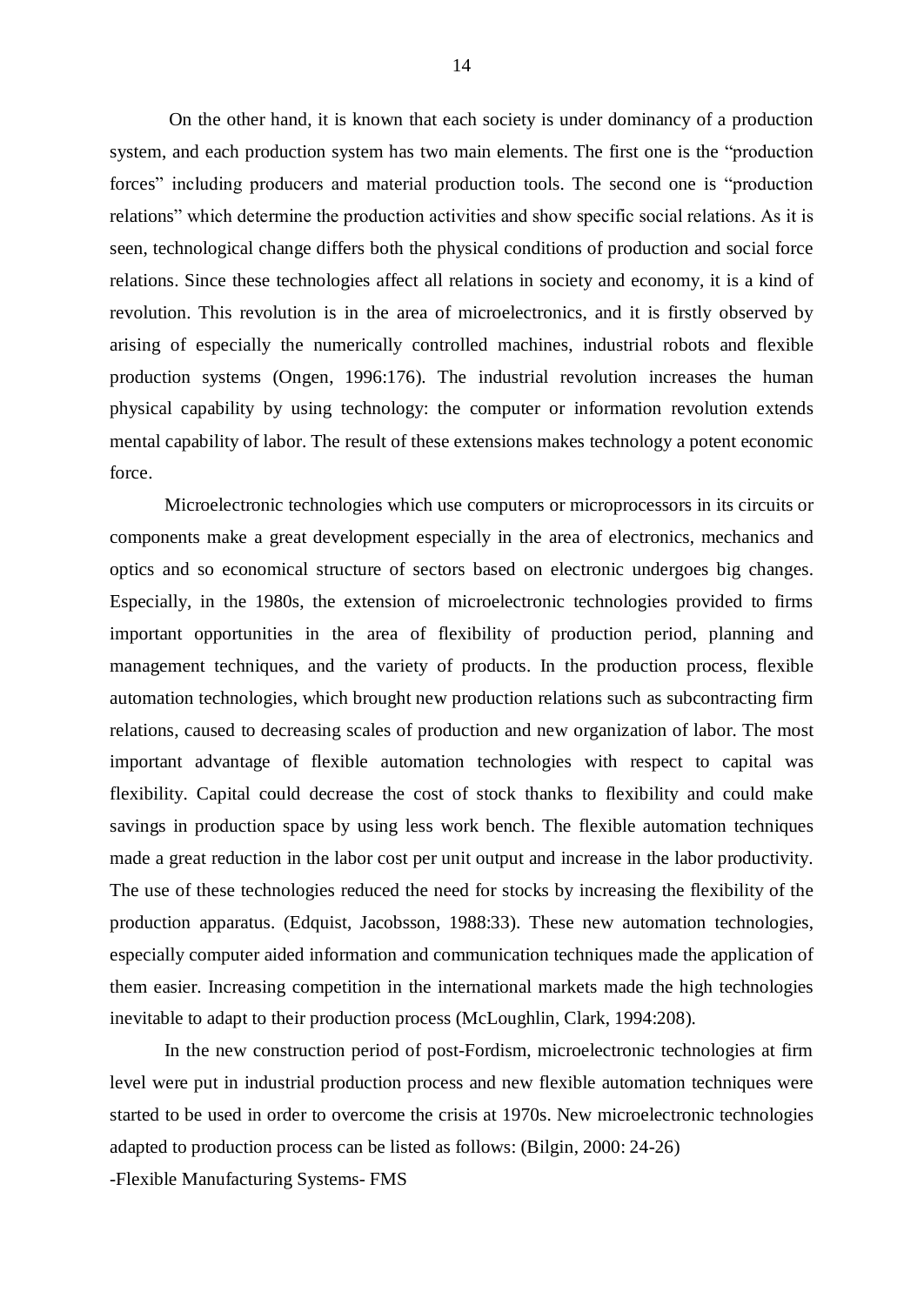On the other hand, it is known that each society is under dominancy of a production system, and each production system has two main elements. The first one is the "production forces" including producers and material production tools. The second one is "production relations" which determine the production activities and show specific social relations. As it is seen, technological change differs both the physical conditions of production and social force relations. Since these technologies affect all relations in society and economy, it is a kind of revolution. This revolution is in the area of microelectronics, and it is firstly observed by arising of especially the numerically controlled machines, industrial robots and flexible production systems (Ongen, 1996:176). The industrial revolution increases the human physical capability by using technology: the computer or information revolution extends mental capability of labor. The result of these extensions makes technology a potent economic force.

Microelectronic technologies which use computers or microprocessors in its circuits or components make a great development especially in the area of electronics, mechanics and optics and so economical structure of sectors based on electronic undergoes big changes. Especially, in the 1980s, the extension of microelectronic technologies provided to firms important opportunities in the area of flexibility of production period, planning and management techniques, and the variety of products. In the production process, flexible automation technologies, which brought new production relations such as subcontracting firm relations, caused to decreasing scales of production and new organization of labor. The most important advantage of flexible automation technologies with respect to capital was flexibility. Capital could decrease the cost of stock thanks to flexibility and could make savings in production space by using less work bench. The flexible automation techniques made a great reduction in the labor cost per unit output and increase in the labor productivity. The use of these technologies reduced the need for stocks by increasing the flexibility of the production apparatus. (Edquist, Jacobsson, 1988:33). These new automation technologies, especially computer aided information and communication techniques made the application of them easier. Increasing competition in the international markets made the high technologies inevitable to adapt to their production process (McLoughlin, Clark, 1994:208).

In the new construction period of post-Fordism, microelectronic technologies at firm level were put in industrial production process and new flexible automation techniques were started to be used in order to overcome the crisis at 1970s. New microelectronic technologies adapted to production process can be listed as follows: (Bilgin, 2000: 24-26)

-Flexible Manufacturing Systems- FMS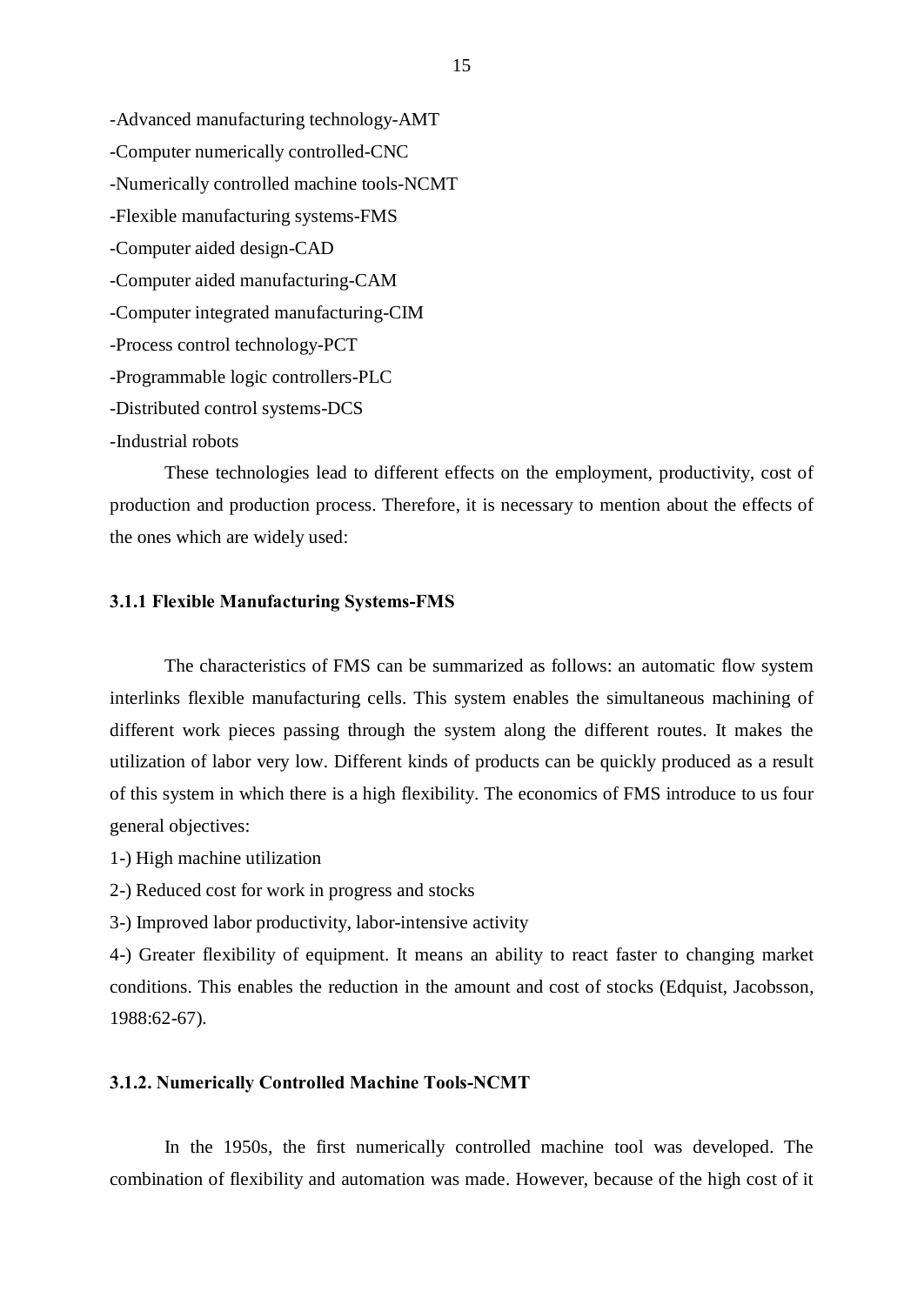-Advanced manufacturing technology-AMT -Computer numerically controlled-CNC -Numerically controlled machine tools-NCMT -Flexible manufacturing systems-FMS -Computer aided design-CAD -Computer aided manufacturing-CAM -Computer integrated manufacturing-CIM -Process control technology-PCT -Programmable logic controllers-PLC -Distributed control systems-DCS -Industrial robots

These technologies lead to different effects on the employment, productivity, cost of production and production process. Therefore, it is necessary to mention about the effects of the ones which are widely used:

# 3.1.1 Flexible Manufacturing Systems-FMS

The characteristics of FMS can be summarized as follows: an automatic flow system interlinks flexible manufacturing cells. This system enables the simultaneous machining of different work pieces passing through the system along the different routes. It makes the utilization of labor very low. Different kinds of products can be quickly produced as a result of this system in which there is a high flexibility. The economics of FMS introduce to us four general objectives:

1-) High machine utilization

2-) Reduced cost for work in progress and stocks

3-) Improved labor productivity, labor-intensive activity

4-) Greater flexibility of equipment. It means an ability to react faster to changing market conditions. This enables the reduction in the amount and cost of stocks (Edquist, Jacobsson, 1988:62-67).

# 3.1.2. Numerically Controlled Machine Tools-NCMT

In the 1950s, the first numerically controlled machine tool was developed. The combination of flexibility and automation was made. However, because of the high cost of it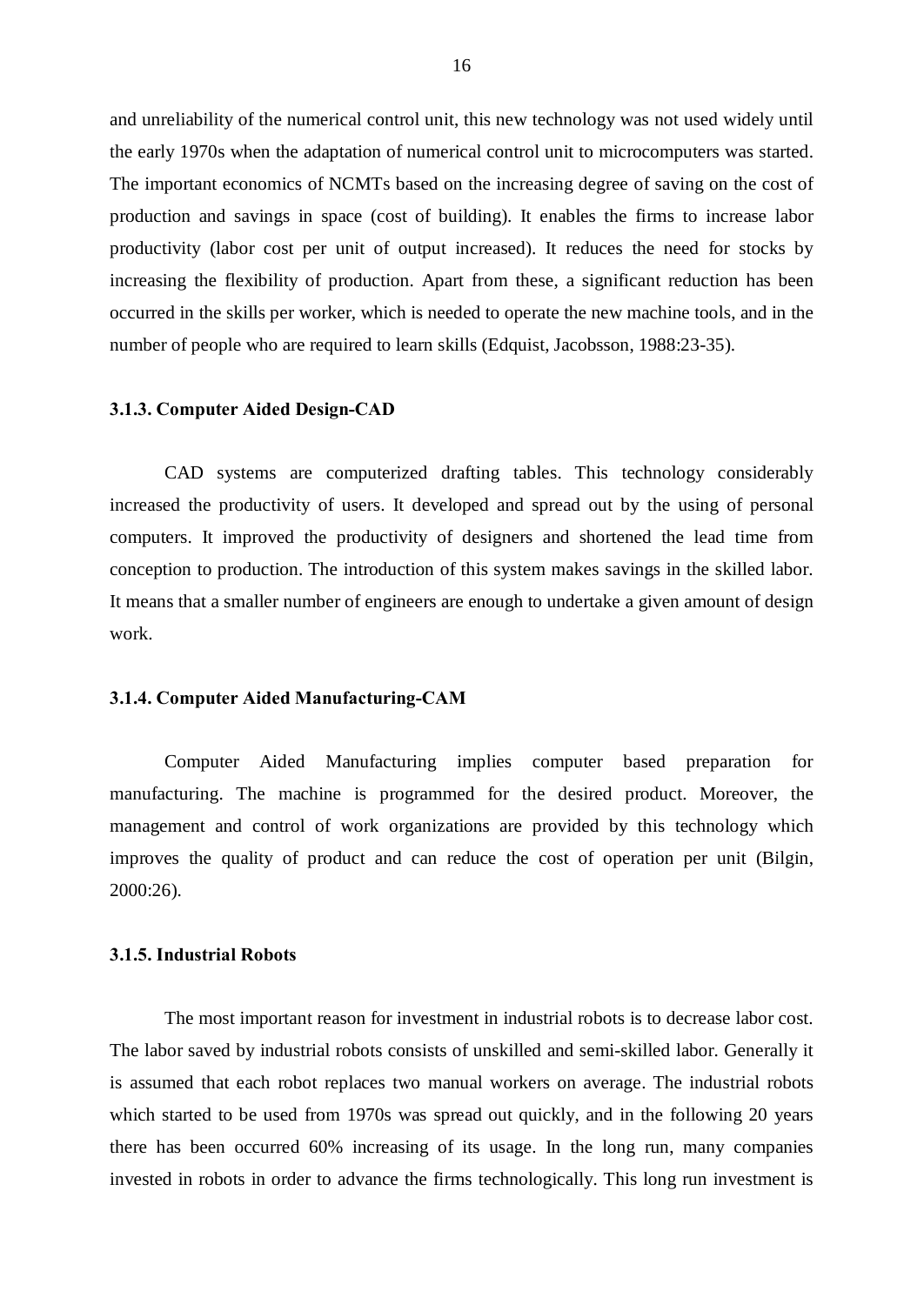and unreliability of the numerical control unit, this new technology was not used widely until the early 1970s when the adaptation of numerical control unit to microcomputers was started. The important economics of NCMTs based on the increasing degree of saving on the cost of production and savings in space (cost of building). It enables the firms to increase labor productivity (labor cost per unit of output increased). It reduces the need for stocks by increasing the flexibility of production. Apart from these, a significant reduction has been occurred in the skills per worker, which is needed to operate the new machine tools, and in the number of people who are required to learn skills (Edquist, Jacobsson, 1988:23-35).

#### 3.1.3. Computer Aided Design-CAD

CAD systems are computerized drafting tables. This technology considerably increased the productivity of users. It developed and spread out by the using of personal computers. It improved the productivity of designers and shortened the lead time from conception to production. The introduction of this system makes savings in the skilled labor. It means that a smaller number of engineers are enough to undertake a given amount of design work.

# 3.1.4. Computer Aided Manufacturing-CAM

Computer Aided Manufacturing implies computer based preparation for manufacturing. The machine is programmed for the desired product. Moreover, the management and control of work organizations are provided by this technology which improves the quality of product and can reduce the cost of operation per unit (Bilgin, 2000:26).

#### 3.1.5. Industrial Robots

The most important reason for investment in industrial robots is to decrease labor cost. The labor saved by industrial robots consists of unskilled and semi-skilled labor. Generally it is assumed that each robot replaces two manual workers on average. The industrial robots which started to be used from 1970s was spread out quickly, and in the following 20 years there has been occurred 60% increasing of its usage. In the long run, many companies invested in robots in order to advance the firms technologically. This long run investment is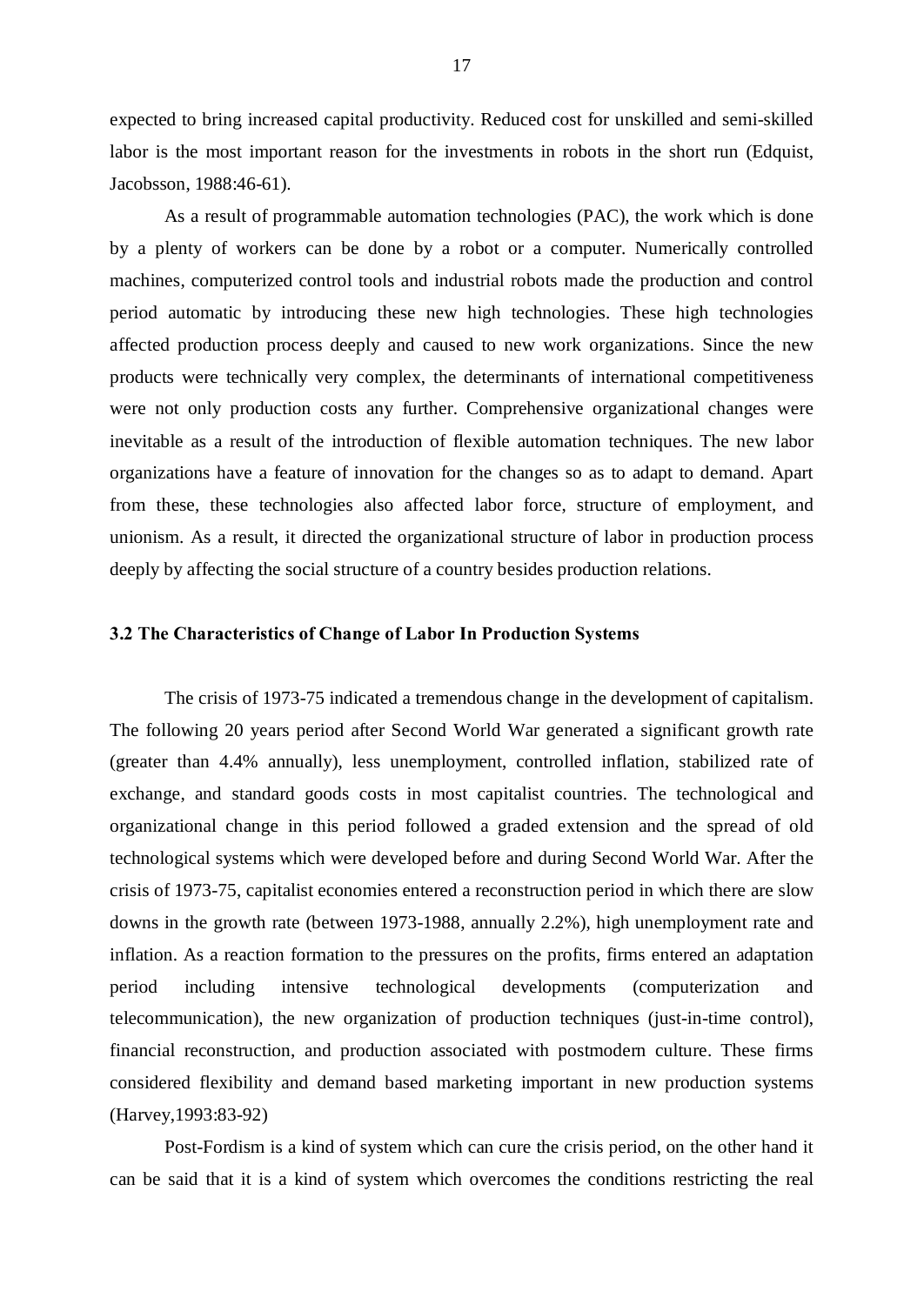expected to bring increased capital productivity. Reduced cost for unskilled and semi-skilled labor is the most important reason for the investments in robots in the short run (Edquist, Jacobsson, 1988:46-61).

As a result of programmable automation technologies (PAC), the work which is done by a plenty of workers can be done by a robot or a computer. Numerically controlled machines, computerized control tools and industrial robots made the production and control period automatic by introducing these new high technologies. These high technologies affected production process deeply and caused to new work organizations. Since the new products were technically very complex, the determinants of international competitiveness were not only production costs any further. Comprehensive organizational changes were inevitable as a result of the introduction of flexible automation techniques. The new labor organizations have a feature of innovation for the changes so as to adapt to demand. Apart from these, these technologies also affected labor force, structure of employment, and unionism. As a result, it directed the organizational structure of labor in production process deeply by affecting the social structure of a country besides production relations.

## 3.2 The Characteristics of Change of Labor In Production Systems

The crisis of 1973-75 indicated a tremendous change in the development of capitalism. The following 20 years period after Second World War generated a significant growth rate (greater than 4.4% annually), less unemployment, controlled inflation, stabilized rate of exchange, and standard goods costs in most capitalist countries. The technological and organizational change in this period followed a graded extension and the spread of old technological systems which were developed before and during Second World War. After the crisis of 1973-75, capitalist economies entered a reconstruction period in which there are slow downs in the growth rate (between 1973-1988, annually 2.2%), high unemployment rate and inflation. As a reaction formation to the pressures on the profits, firms entered an adaptation period including intensive technological developments (computerization and telecommunication), the new organization of production techniques (just-in-time control), financial reconstruction, and production associated with postmodern culture. These firms considered flexibility and demand based marketing important in new production systems (Harvey,1993:83-92)

Post-Fordism is a kind of system which can cure the crisis period, on the other hand it can be said that it is a kind of system which overcomes the conditions restricting the real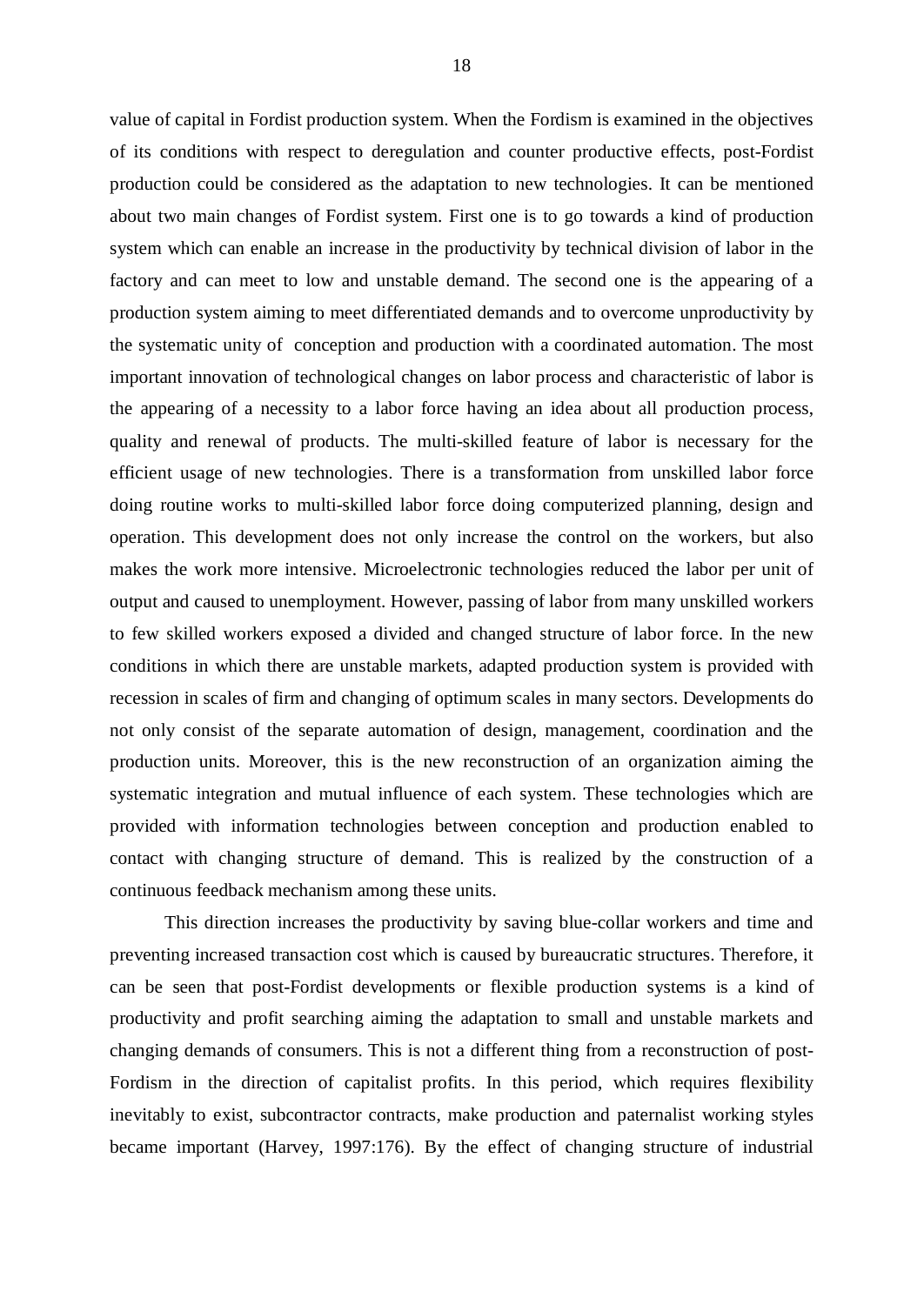value of capital in Fordist production system. When the Fordism is examined in the objectives of its conditions with respect to deregulation and counter productive effects, post-Fordist production could be considered as the adaptation to new technologies. It can be mentioned about two main changes of Fordist system. First one is to go towards a kind of production system which can enable an increase in the productivity by technical division of labor in the factory and can meet to low and unstable demand. The second one is the appearing of a production system aiming to meet differentiated demands and to overcome unproductivity by the systematic unity of conception and production with a coordinated automation. The most important innovation of technological changes on labor process and characteristic of labor is the appearing of a necessity to a labor force having an idea about all production process, quality and renewal of products. The multi-skilled feature of labor is necessary for the efficient usage of new technologies. There is a transformation from unskilled labor force doing routine works to multi-skilled labor force doing computerized planning, design and operation. This development does not only increase the control on the workers, but also makes the work more intensive. Microelectronic technologies reduced the labor per unit of output and caused to unemployment. However, passing of labor from many unskilled workers to few skilled workers exposed a divided and changed structure of labor force. In the new conditions in which there are unstable markets, adapted production system is provided with recession in scales of firm and changing of optimum scales in many sectors. Developments do not only consist of the separate automation of design, management, coordination and the production units. Moreover, this is the new reconstruction of an organization aiming the systematic integration and mutual influence of each system. These technologies which are provided with information technologies between conception and production enabled to contact with changing structure of demand. This is realized by the construction of a continuous feedback mechanism among these units.

This direction increases the productivity by saving blue-collar workers and time and preventing increased transaction cost which is caused by bureaucratic structures. Therefore, it can be seen that post-Fordist developments or flexible production systems is a kind of productivity and profit searching aiming the adaptation to small and unstable markets and changing demands of consumers. This is not a different thing from a reconstruction of post- Fordism in the direction of capitalist profits. In this period, which requires flexibility inevitably to exist, subcontractor contracts, make production and paternalist working styles became important (Harvey, 1997:176). By the effect of changing structure of industrial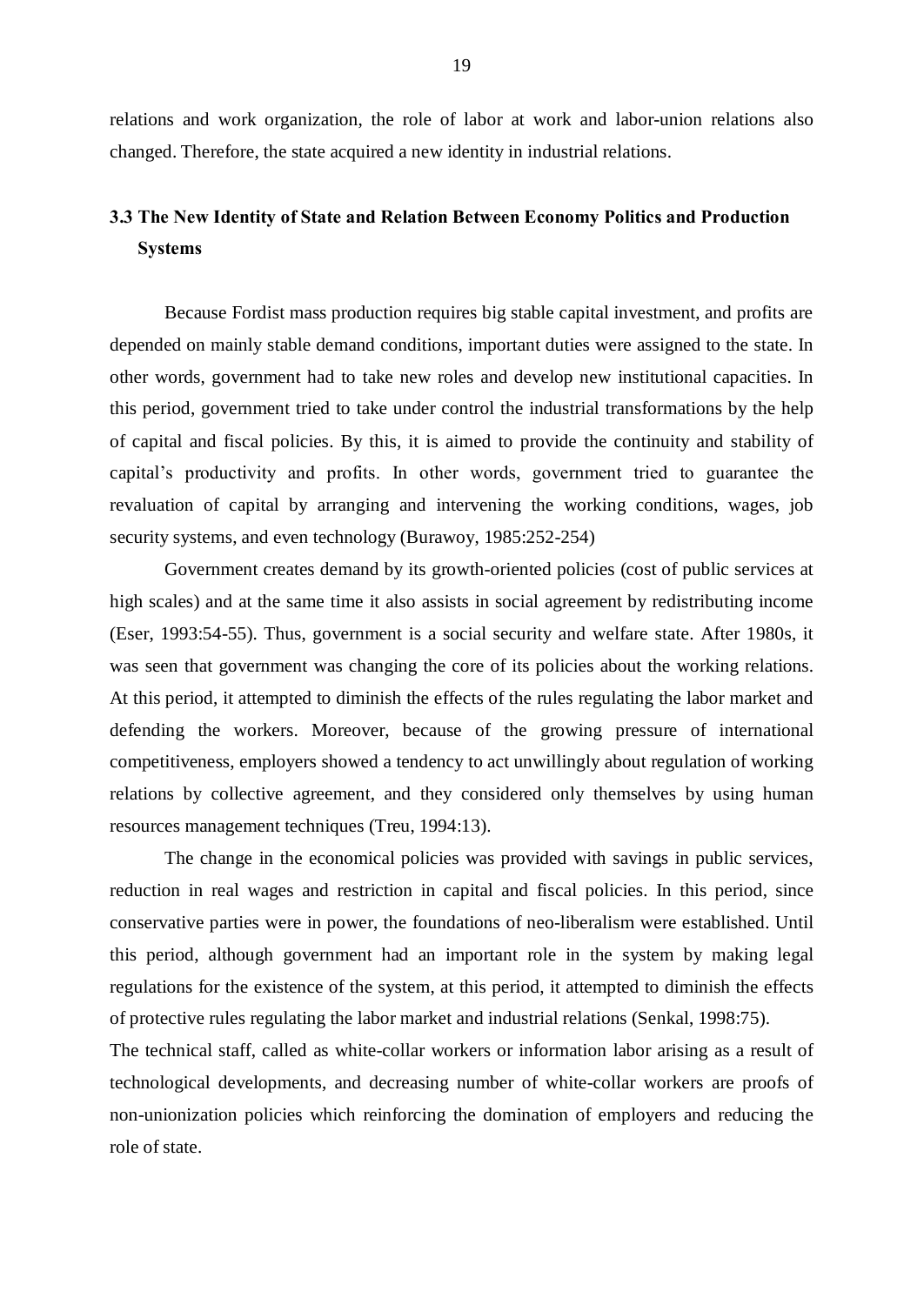relations and work organization, the role of labor at work and labor-union relations also changed. Therefore, the state acquired a new identity in industrial relations.

# 3.3 The New Identity of State and Relation Between Economy Politics and Production Systems

Because Fordist mass production requires big stable capital investment, and profits are depended on mainly stable demand conditions, important duties were assigned to the state. In other words, government had to take new roles and develop new institutional capacities. In this period, government tried to take under control the industrial transformations by the help of capital and fiscal policies. By this, it is aimed to provide the continuity and stability of capital's productivity and profits. In other words, government tried to guarantee the revaluation of capital by arranging and intervening the working conditions, wages, job security systems, and even technology (Burawoy, 1985:252-254)

Government creates demand by its growth-oriented policies (cost of public services at high scales) and at the same time it also assists in social agreement by redistributing income (Eser, 1993:54-55). Thus, government is a social security and welfare state. After 1980s, it was seen that government was changing the core of its policies about the working relations. At this period, it attempted to diminish the effects of the rules regulating the labor market and defending the workers. Moreover, because of the growing pressure of international competitiveness, employers showed a tendency to act unwillingly about regulation of working relations by collective agreement, and they considered only themselves by using human resources management techniques (Treu, 1994:13).

The change in the economical policies was provided with savings in public services, reduction in real wages and restriction in capital and fiscal policies. In this period, since conservative parties were in power, the foundations of neo-liberalism were established. Until this period, although government had an important role in the system by making legal regulations for the existence of the system, at this period, it attempted to diminish the effects of protective rules regulating the labor market and industrial relations (Senkal, 1998:75).

The technical staff, called as white-collar workers or information labor arising as a result of technological developments, and decreasing number of white-collar workers are proofs of non-unionization policies which reinforcing the domination of employers and reducing the role of state.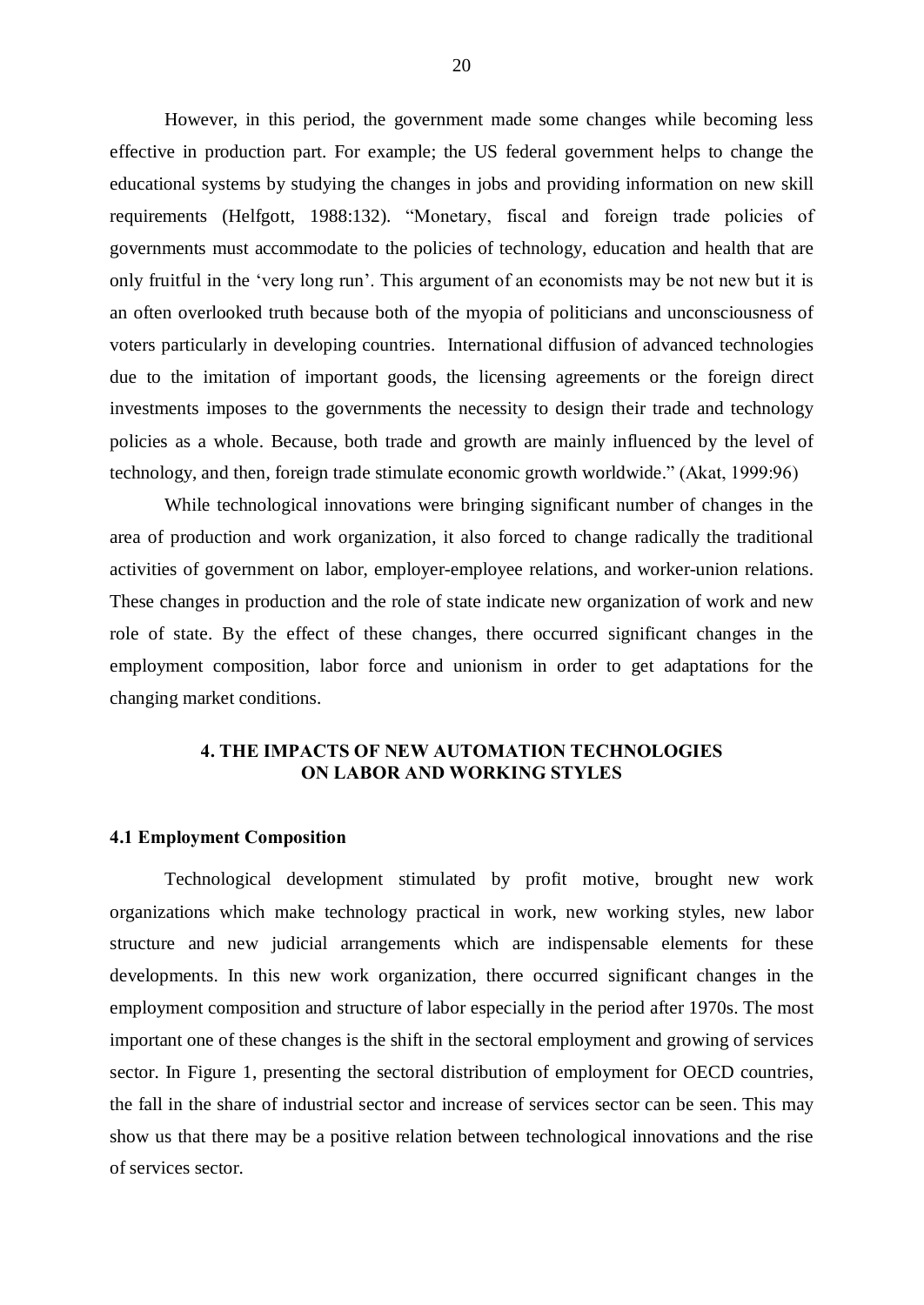However, in this period, the government made some changes while becoming less effective in production part. For example; the US federal government helps to change the educational systems by studying the changes in jobs and providing information on new skill requirements (Helfgott, 1988:132). "Monetary, fiscal and foreign trade policies of governments must accommodate to the policies of technology, education and health that are only fruitful in the 'very long run'. This argument of an economists may be not new but it is an often overlooked truth because both of the myopia of politicians and unconsciousness of voters particularly in developing countries. International diffusion of advanced technologies due to the imitation of important goods, the licensing agreements or the foreign direct investments imposes to the governments the necessity to design their trade and technology policies as a whole. Because, both trade and growth are mainly influenced by the level of technology, and then, foreign trade stimulate economic growth worldwide." (Akat, 1999:96)

While technological innovations were bringing significant number of changes in the area of production and work organization, it also forced to change radically the traditional activities of government on labor, employer-employee relations, and worker-union relations. These changes in production and the role of state indicate new organization of work and new role of state. By the effect of these changes, there occurred significant changes in the employment composition, labor force and unionism in order to get adaptations for the changing market conditions.

# 4. THE IMPACTS OF NEW AUTOMATION TECHNOLOGIES ON LABOR AND WORKING STYLES

#### 4.1 Employment Composition

Technological development stimulated by profit motive, brought new work organizations which make technology practical in work, new working styles, new labor structure and new judicial arrangements which are indispensable elements for these developments. In this new work organization, there occurred significant changes in the employment composition and structure of labor especially in the period after 1970s. The most important one of these changes is the shift in the sectoral employment and growing of services sector. In Figure 1, presenting the sectoral distribution of employment for OECD countries, the fall in the share of industrial sector and increase of services sector can be seen. This may show us that there may be a positive relation between technological innovations and the rise of services sector.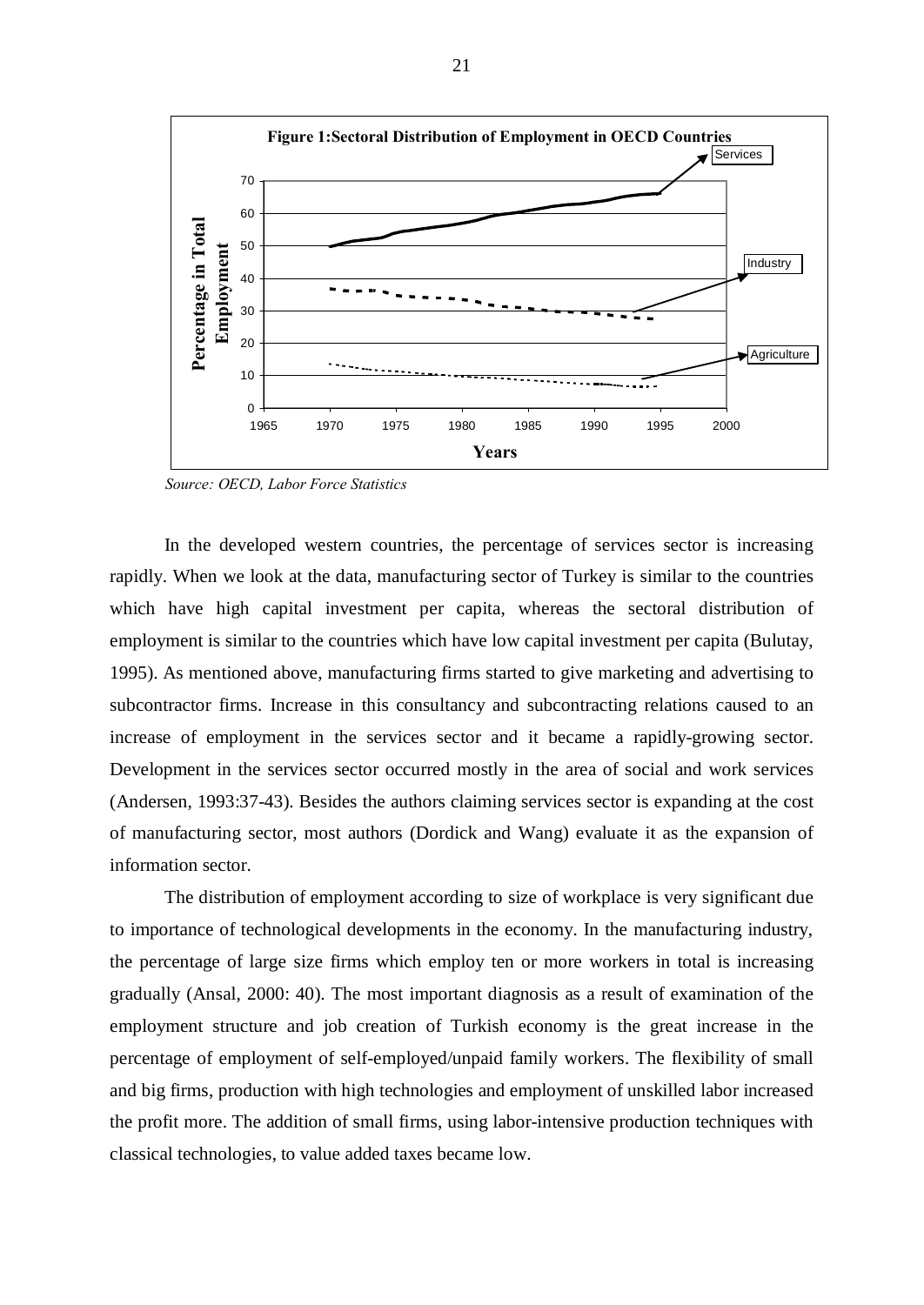

Source: OECD, Labor Force Statistics

In the developed western countries, the percentage of services sector is increasing rapidly. When we look at the data, manufacturing sector of Turkey is similar to the countries which have high capital investment per capita, whereas the sectoral distribution of employment is similar to the countries which have low capital investment per capita (Bulutay, 1995). As mentioned above, manufacturing firms started to give marketing and advertising to subcontractor firms. Increase in this consultancy and subcontracting relations caused to an increase of employment in the services sector and it became a rapidly-growing sector. Development in the services sector occurred mostly in the area of social and work services (Andersen, 1993:37-43). Besides the authors claiming services sector is expanding at the cost of manufacturing sector, most authors (Dordick and Wang) evaluate it as the expansion of information sector.

The distribution of employment according to size of workplace is very significant due to importance of technological developments in the economy. In the manufacturing industry, the percentage of large size firms which employ ten or more workers in total is increasing gradually (Ansal, 2000: 40). The most important diagnosis as a result of examination of the employment structure and job creation of Turkish economy is the great increase in the percentage of employment of self-employed/unpaid family workers. The flexibility of small and big firms, production with high technologies and employment of unskilled labor increased the profit more. The addition of small firms, using labor-intensive production techniques with classical technologies, to value added taxes became low.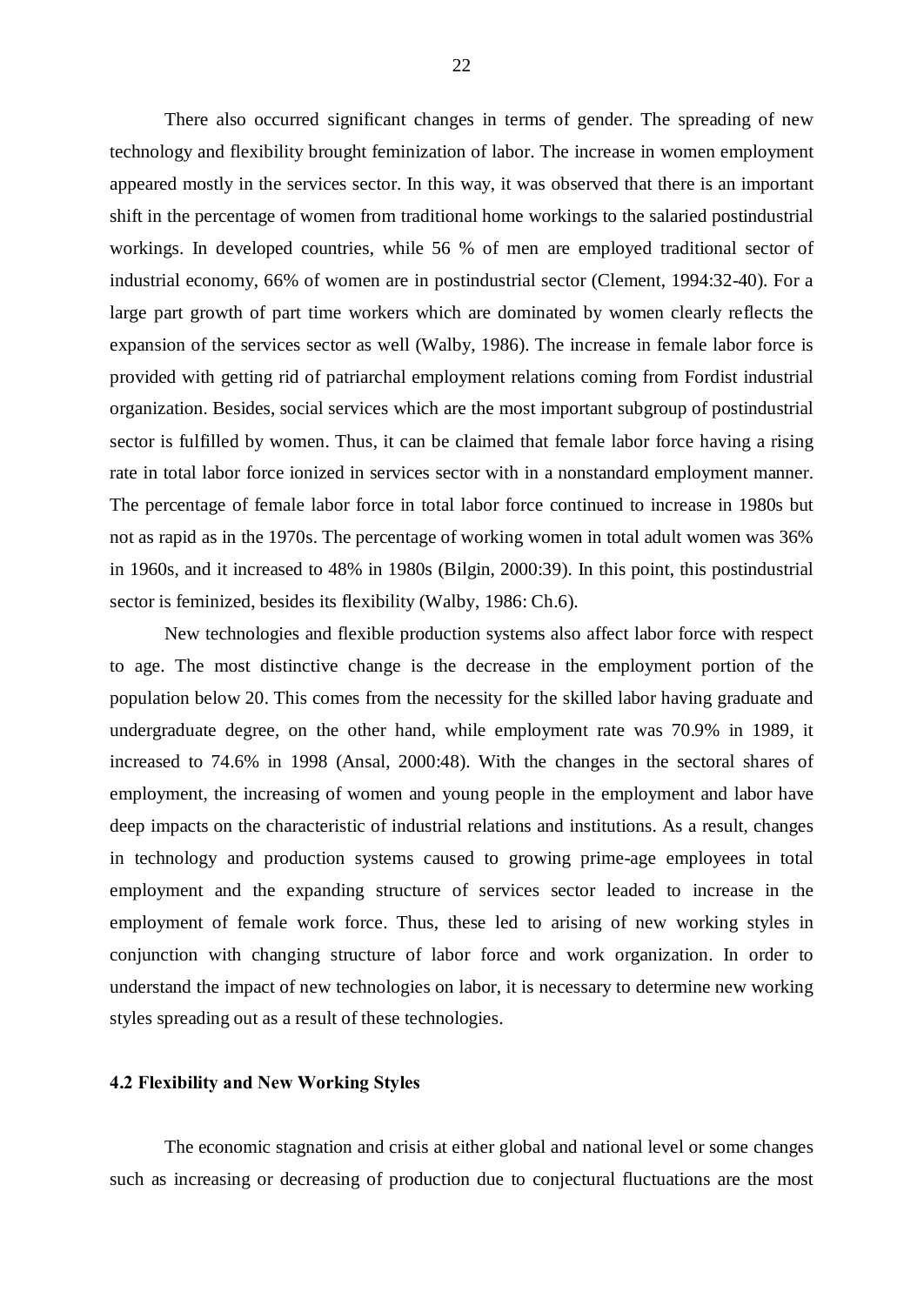There also occurred significant changes in terms of gender. The spreading of new technology and flexibility brought feminization of labor. The increase in women employment appeared mostly in the services sector. In this way, it was observed that there is an important shift in the percentage of women from traditional home workings to the salaried postindustrial workings. In developed countries, while 56 % of men are employed traditional sector of industrial economy, 66% of women are in postindustrial sector (Clement, 1994:32-40). For a large part growth of part time workers which are dominated by women clearly reflects the expansion of the services sector as well (Walby, 1986). The increase in female labor force is provided with getting rid of patriarchal employment relations coming from Fordist industrial organization. Besides, social services which are the most important subgroup of postindustrial sector is fulfilled by women. Thus, it can be claimed that female labor force having a rising rate in total labor force ionized in services sector with in a nonstandard employment manner. The percentage of female labor force in total labor force continued to increase in 1980s but not as rapid as in the 1970s. The percentage of working women in total adult women was 36% in 1960s, and it increased to 48% in 1980s (Bilgin, 2000:39). In this point, this postindustrial sector is feminized, besides its flexibility (Walby, 1986: Ch.6).

New technologies and flexible production systems also affect labor force with respect to age. The most distinctive change is the decrease in the employment portion of the population below 20. This comes from the necessity for the skilled labor having graduate and undergraduate degree, on the other hand, while employment rate was 70.9% in 1989, it increased to 74.6% in 1998 (Ansal, 2000:48). With the changes in the sectoral shares of employment, the increasing of women and young people in the employment and labor have deep impacts on the characteristic of industrial relations and institutions. As a result, changes in technology and production systems caused to growing prime-age employees in total employment and the expanding structure of services sector leaded to increase in the employment of female work force. Thus, these led to arising of new working styles in conjunction with changing structure of labor force and work organization. In order to understand the impact of new technologies on labor, it is necessary to determine new working styles spreading out as a result of these technologies.

#### 4.2 Flexibility and New Working Styles

The economic stagnation and crisis at either global and national level or some changes such as increasing or decreasing of production due to conjectural fluctuations are the most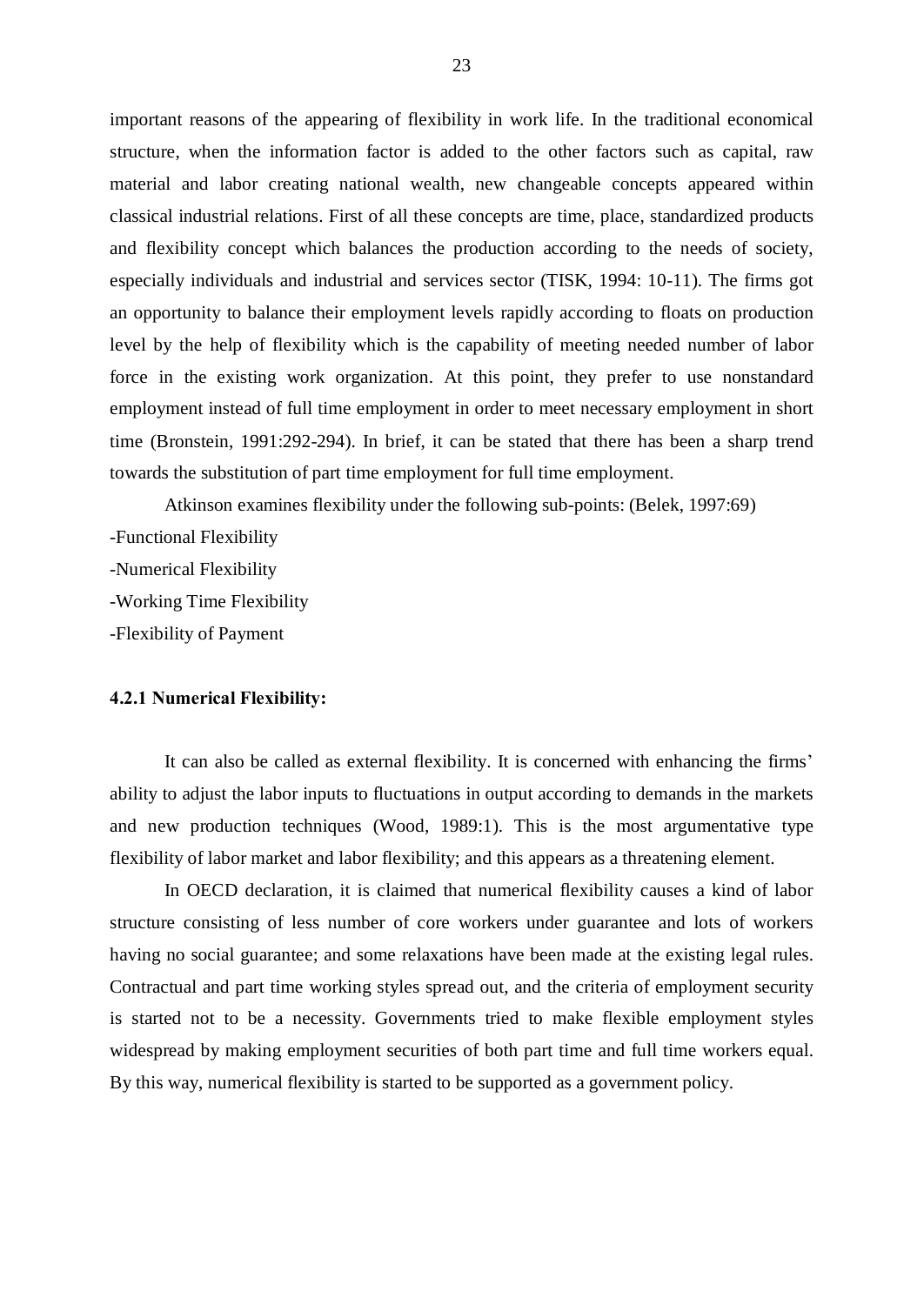important reasons of the appearing of flexibility in work life. In the traditional economical structure, when the information factor is added to the other factors such as capital, raw material and labor creating national wealth, new changeable concepts appeared within classical industrial relations. First of all these concepts are time, place, standardized products and flexibility concept which balances the production according to the needs of society, especially individuals and industrial and services sector (TISK, 1994: 10-11). The firms got an opportunity to balance their employment levels rapidly according to floats on production level by the help of flexibility which is the capability of meeting needed number of labor force in the existing work organization. At this point, they prefer to use nonstandard employment instead of full time employment in order to meet necessary employment in short time (Bronstein, 1991:292-294). In brief, it can be stated that there has been a sharp trend towards the substitution of part time employment for full time employment.

Atkinson examines flexibility under the following sub-points: (Belek, 1997:69) -Functional Flexibility -Numerical Flexibility -Working Time Flexibility -Flexibility of Payment

# 4.2.1 Numerical Flexibility:

It can also be called as external flexibility. It is concerned with enhancing the firms' ability to adjust the labor inputs to fluctuations in output according to demands in the markets and new production techniques (Wood, 1989:1). This is the most argumentative type flexibility of labor market and labor flexibility; and this appears as a threatening element.

In OECD declaration, it is claimed that numerical flexibility causes a kind of labor structure consisting of less number of core workers under guarantee and lots of workers having no social guarantee; and some relaxations have been made at the existing legal rules. Contractual and part time working styles spread out, and the criteria of employment security is started not to be a necessity. Governments tried to make flexible employment styles widespread by making employment securities of both part time and full time workers equal. By this way, numerical flexibility is started to be supported as a government policy.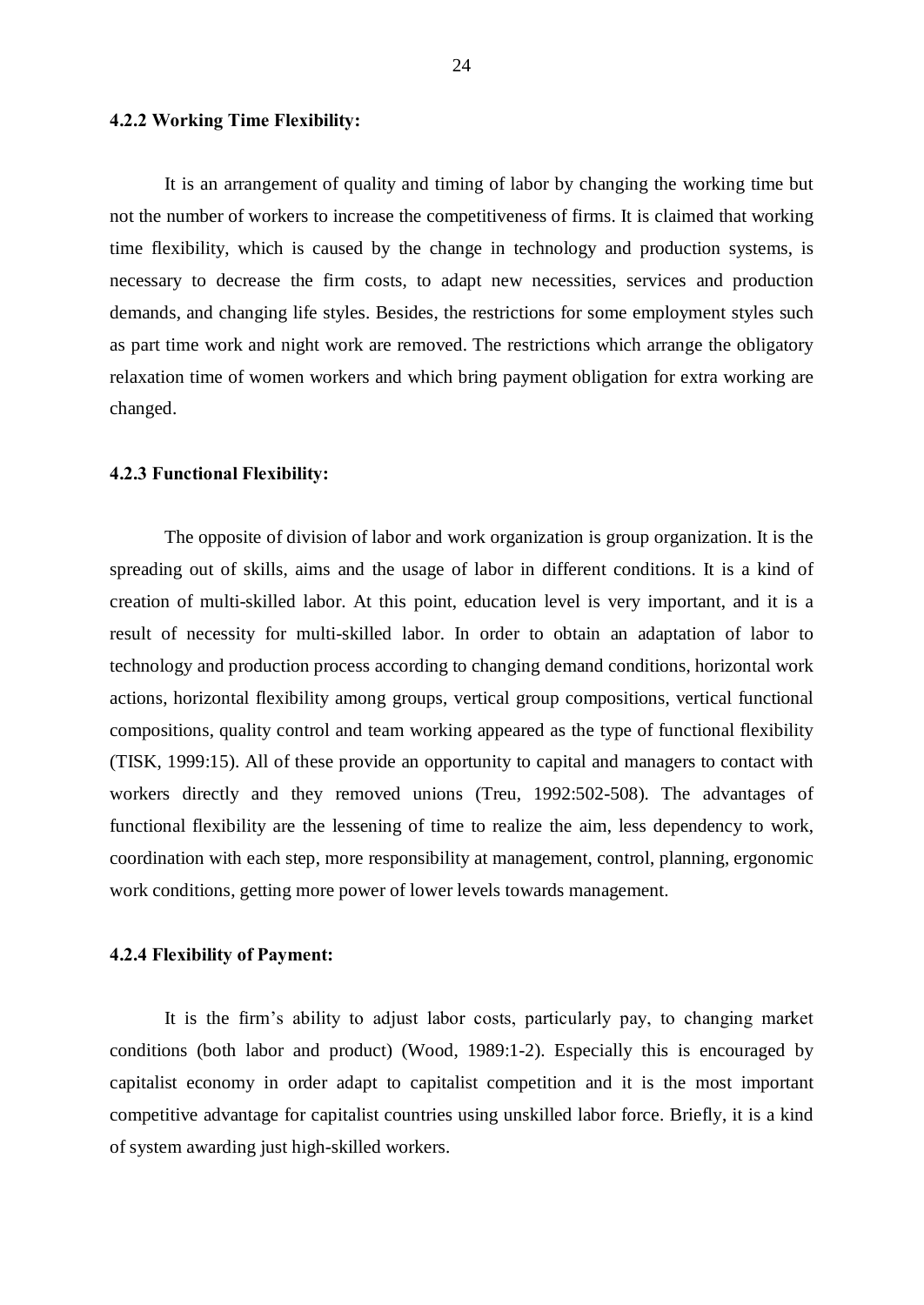# 4.2.2 Working Time Flexibility:

It is an arrangement of quality and timing of labor by changing the working time but not the number of workers to increase the competitiveness of firms. It is claimed that working time flexibility, which is caused by the change in technology and production systems, is necessary to decrease the firm costs, to adapt new necessities, services and production demands, and changing life styles. Besides, the restrictions for some employment styles such as part time work and night work are removed. The restrictions which arrange the obligatory relaxation time of women workers and which bring payment obligation for extra working are changed.

#### 4.2.3 Functional Flexibility:

The opposite of division of labor and work organization is group organization. It is the spreading out of skills, aims and the usage of labor in different conditions. It is a kind of creation of multi-skilled labor. At this point, education level is very important, and it is a result of necessity for multi-skilled labor. In order to obtain an adaptation of labor to technology and production process according to changing demand conditions, horizontal work actions, horizontal flexibility among groups, vertical group compositions, vertical functional compositions, quality control and team working appeared as the type of functional flexibility (TISK, 1999:15). All of these provide an opportunity to capital and managers to contact with workers directly and they removed unions (Treu, 1992:502-508). The advantages of functional flexibility are the lessening of time to realize the aim, less dependency to work, coordination with each step, more responsibility at management, control, planning, ergonomic work conditions, getting more power of lower levels towards management.

#### 4.2.4 Flexibility of Payment:

It is the firm's ability to adjust labor costs, particularly pay, to changing market conditions (both labor and product) (Wood, 1989:1-2). Especially this is encouraged by capitalist economy in order adapt to capitalist competition and it is the most important competitive advantage for capitalist countries using unskilled labor force. Briefly, it is a kind of system awarding just high-skilled workers.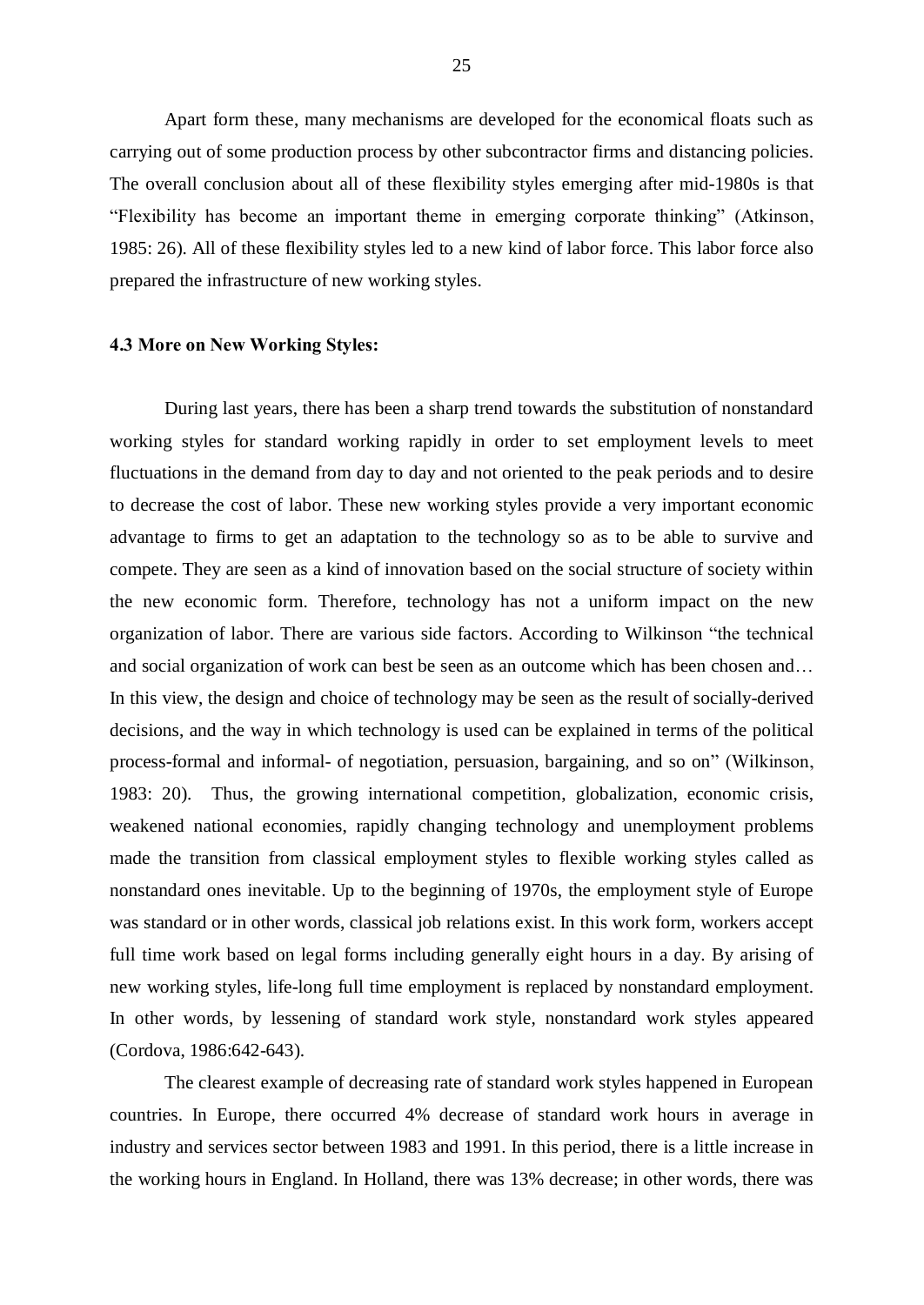Apart form these, many mechanisms are developed for the economical floats such as carrying out of some production process by other subcontractor firms and distancing policies. The overall conclusion about all of these flexibility styles emerging after mid-1980s is that ìFlexibility has become an important theme in emerging corporate thinkingî (Atkinson, 1985: 26). All of these flexibility styles led to a new kind of labor force. This labor force also prepared the infrastructure of new working styles.

### 4.3 More on New Working Styles:

During last years, there has been a sharp trend towards the substitution of nonstandard working styles for standard working rapidly in order to set employment levels to meet fluctuations in the demand from day to day and not oriented to the peak periods and to desire to decrease the cost of labor. These new working styles provide a very important economic advantage to firms to get an adaptation to the technology so as to be able to survive and compete. They are seen as a kind of innovation based on the social structure of society within the new economic form. Therefore, technology has not a uniform impact on the new organization of labor. There are various side factors. According to Wilkinson "the technical and social organization of work can best be seen as an outcome which has been chosen and... In this view, the design and choice of technology may be seen as the result of socially-derived decisions, and the way in which technology is used can be explained in terms of the political process-formal and informal- of negotiation, persuasion, bargaining, and so on" (Wilkinson, 1983: 20). Thus, the growing international competition, globalization, economic crisis, weakened national economies, rapidly changing technology and unemployment problems made the transition from classical employment styles to flexible working styles called as nonstandard ones inevitable. Up to the beginning of 1970s, the employment style of Europe was standard or in other words, classical job relations exist. In this work form, workers accept full time work based on legal forms including generally eight hours in a day. By arising of new working styles, life-long full time employment is replaced by nonstandard employment. In other words, by lessening of standard work style, nonstandard work styles appeared (Cordova, 1986:642-643).

The clearest example of decreasing rate of standard work styles happened in European countries. In Europe, there occurred 4% decrease of standard work hours in average in industry and services sector between 1983 and 1991. In this period, there is a little increase in the working hours in England. In Holland, there was 13% decrease; in other words, there was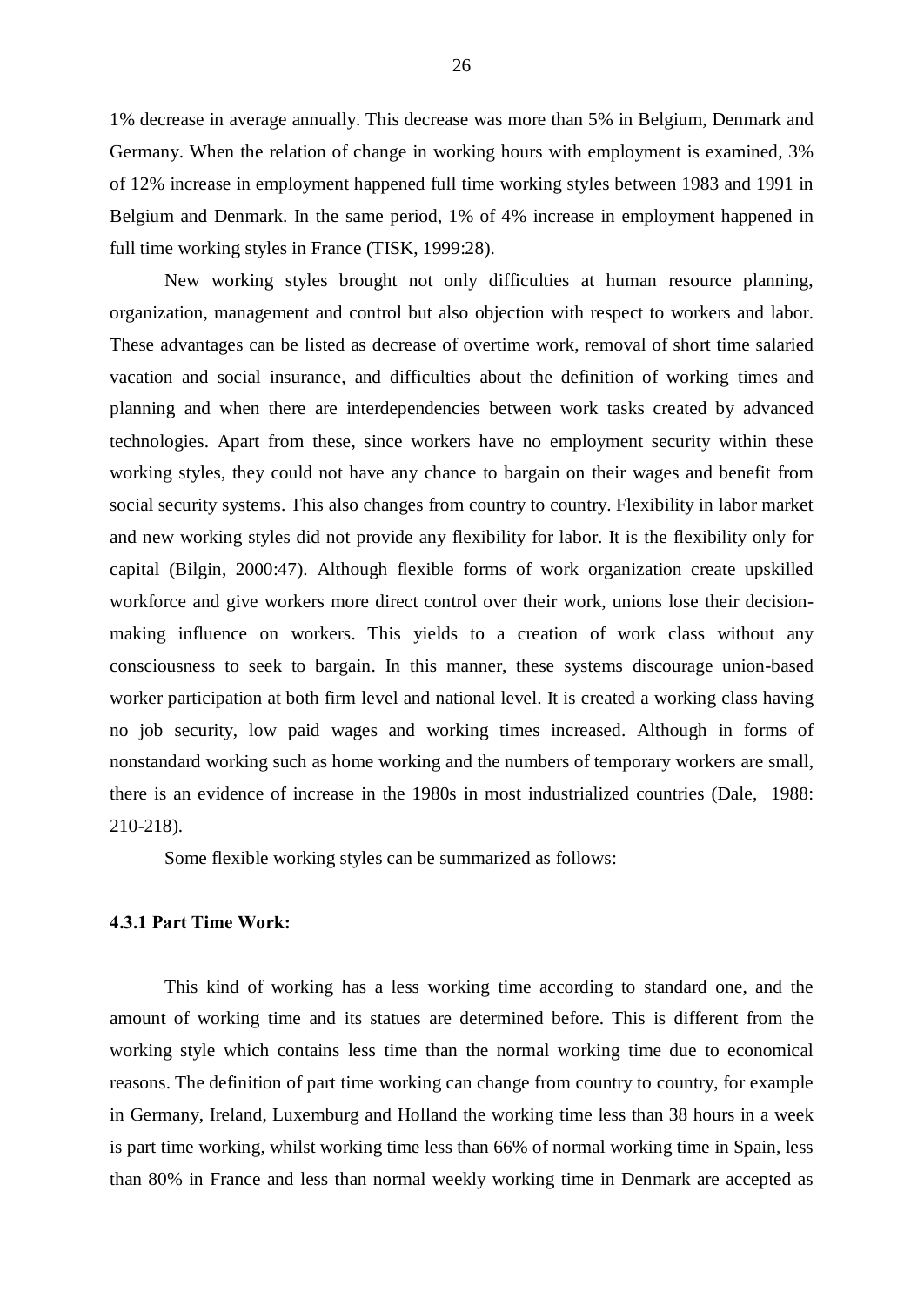1% decrease in average annually. This decrease was more than 5% inBelgium, Denmark and Germany. When the relation of change in working hours with employment is examined, 3% of 12% increase in employment happened full time working styles between 1983 and 1991 in Belgium and Denmark. In the same period, 1% of 4% increase in employment happened in full time working styles in France (TISK, 1999:28).

New working styles brought not only difficulties at human resource planning, organization, management and control but also objection with respect to workers and labor. These advantages can be listed as decrease of overtime work, removal of short time salaried vacation and social insurance, and difficulties about the definition of working times and planning and when there are interdependencies between work tasks created by advanced technologies. Apart from these, since workers have no employment security within these working styles, they could not have any chance to bargain on their wages and benefit from social security systems. This also changes from country to country. Flexibility in labor market and new working styles did not provide any flexibility for labor. It is the flexibility only for capital (Bilgin, 2000:47). Although flexible forms of work organization create upskilled workforce and give workers more direct control over their work, unions lose their decision making influence on workers. This yields to a creation of work class without any consciousness to seek to bargain. In this manner, these systems discourage union-based worker participation at both firm level and national level. It is created a working class having no job security, low paid wages and working times increased. Although in forms of nonstandard working such as home working and the numbers of temporary workers are small, there is an evidence of increase in the 1980s in most industrialized countries (Dale, 1988: 210-218).

Some flexible working styles can be summarized as follows:

#### 4.3.1 Part Time Work:

This kind of working has a less working time according to standard one, and the amount of working time and its statues are determined before. This is different from the working style which contains less time than the normal working time due to economical reasons. The definition of part time working can change from country to country, for example in Germany, Ireland, Luxemburg and Holland the working time less than 38 hours in a week is part time working, whilst working time less than 66% of normal working time in Spain, less than 80% in France and less than normal weekly working time in Denmark are accepted as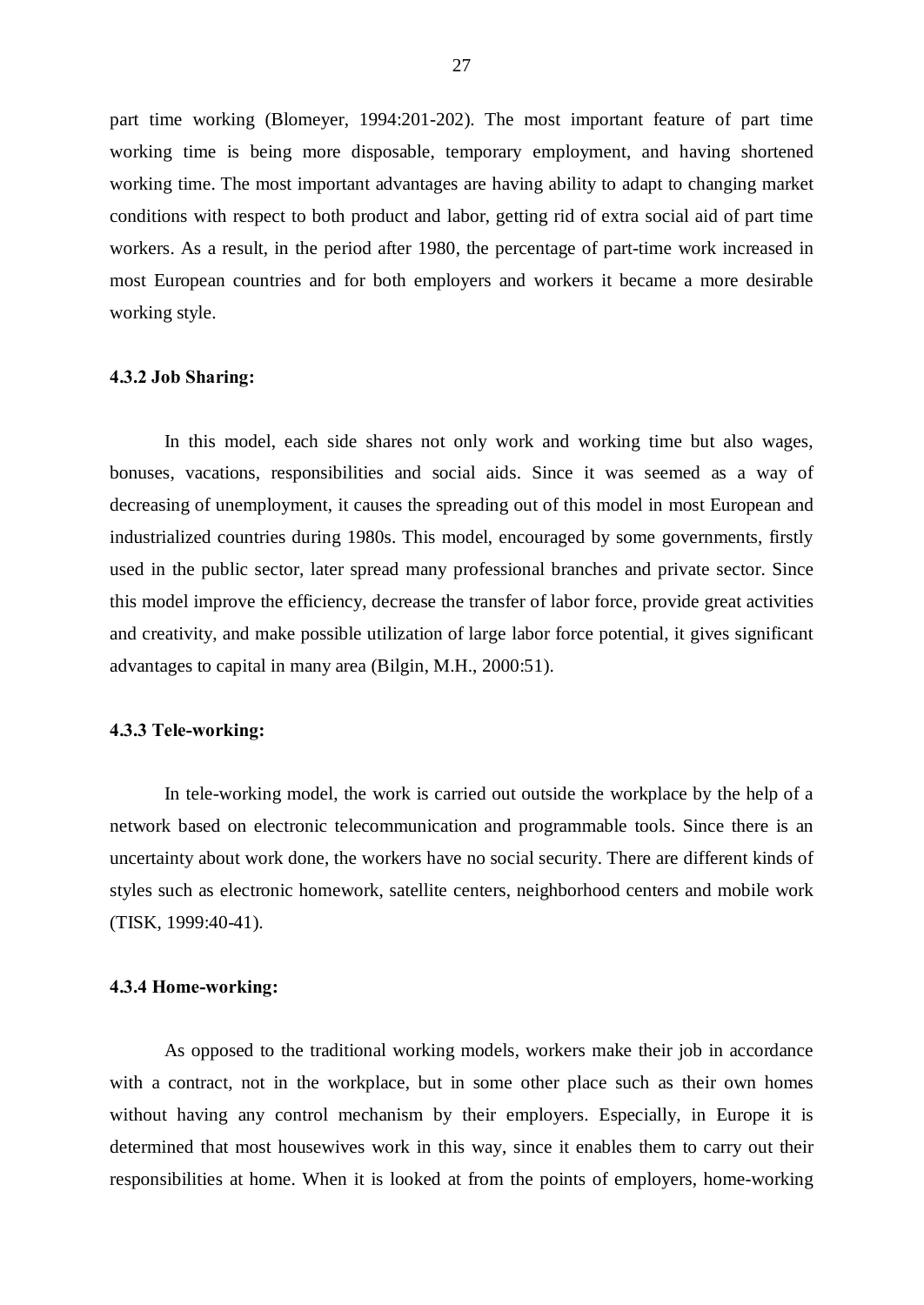part time working (Blomeyer, 1994:201-202). The most important feature of part time working time is being more disposable, temporary employment, and having shortened working time. The most important advantages are having ability to adapt to changing market conditions with respect to both product and labor, getting rid of extra social aid of part time workers. As a result, in the period after 1980, the percentage of part-time work increased in most European countries and for both employers and workers it became a more desirable working style.

# 4.3.2 Job Sharing:

In this model, each side shares not only work and working time but also wages, bonuses, vacations, responsibilities and social aids. Since it was seemed as a way of decreasing of unemployment, it causes the spreading out of this model in most European and industrialized countries during 1980s. This model, encouraged by some governments, firstly used in the public sector, later spread many professional branches and private sector. Since this model improve the efficiency, decrease the transfer of labor force, provide great activities and creativity, and make possible utilization of large labor force potential, it gives significant advantages to capital in many area (Bilgin, M.H., 2000:51).

#### 4.3.3 Tele-working:

In tele-working model, the work is carried out outside the workplace by the help of a network based on electronic telecommunication and programmable tools. Since there is an uncertainty about work done, the workers have no social security. There are different kinds of styles such as electronic homework, satellite centers, neighborhood centers and mobile work (TISK, 1999:40-41).

# 4.3.4 Home-working:

As opposed to the traditional working models, workers make their job in accordance with a contract, not in the workplace, but in some other place such as their own homes without having any control mechanism by their employers. Especially, in Europe it is determined that most housewives work in this way, since it enables them to carry out their responsibilities at home. When it is looked at from the points of employers, home-working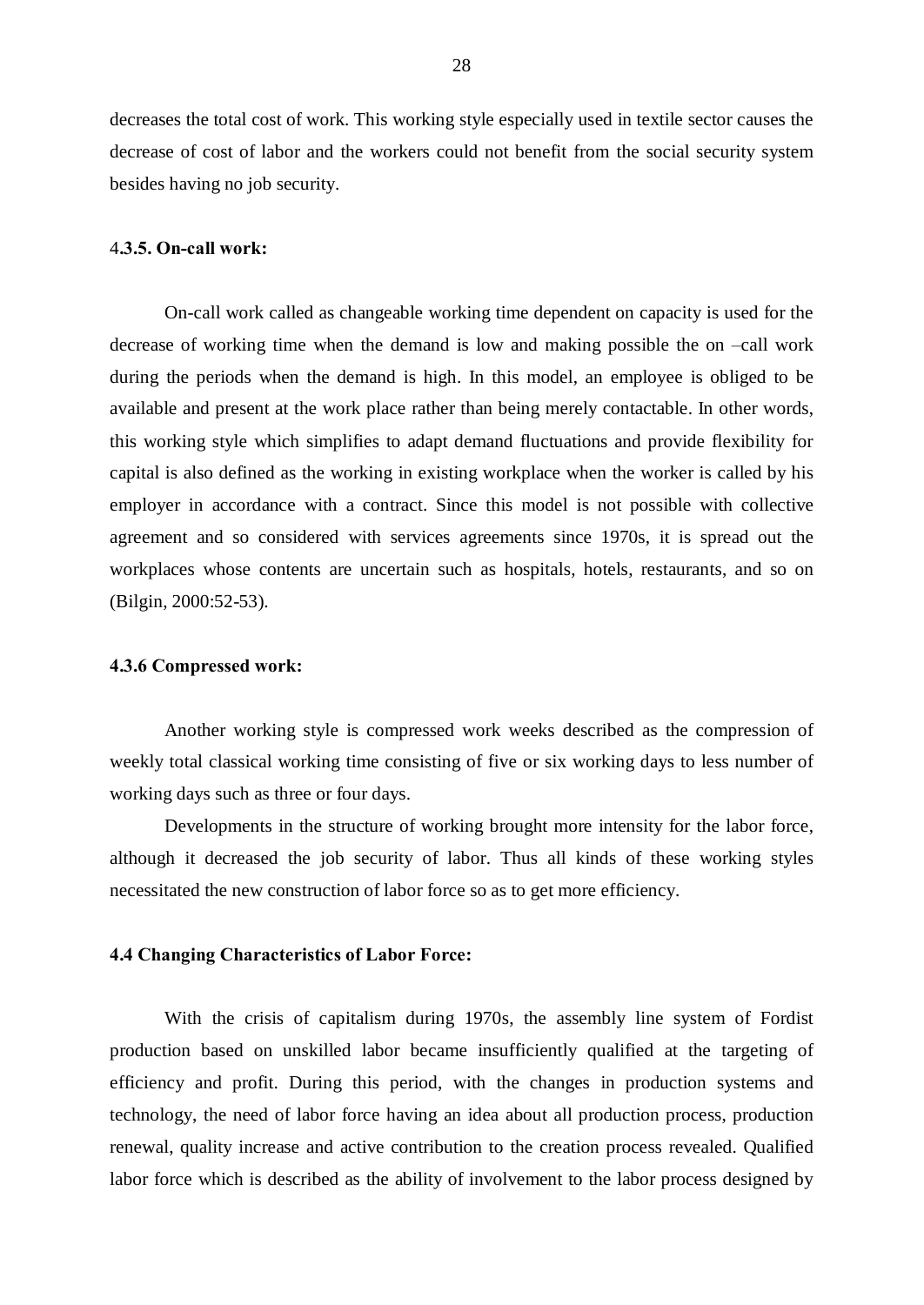decreases the total cost of work. This working style especially used in textile sector causes the decrease of cost of labor and the workers could not benefit from the social security system besides having no job security.

#### 4.3.5. On-call work:

On-call work called as changeable working time dependent on capacity is used for the decrease of working time when the demand is low and making possible the on  $-call$  work during the periods when the demand is high. In this model, an employee is obliged to be available and present at the work place rather than being merely contactable. In other words, this working style which simplifies to adapt demand fluctuations and provide flexibility for capital is also defined as the working in existing workplace when the worker is called by his employer in accordance with a contract. Since this model is not possible with collective agreement and so considered with services agreements since 1970s, it is spread out the workplaces whose contents are uncertain such as hospitals, hotels, restaurants, and so on (Bilgin, 2000:52-53).

#### 4.3.6 Compressed work:

Another working style is compressed work weeks described as the compression of weekly total classical working time consisting of five or six working days to less number of working days such as three or four days.

Developments in the structure of working brought more intensity for the labor force, although it decreased the job security of labor. Thus all kinds of these working styles necessitated the new construction of labor force so as to get more efficiency.

#### 4.4 Changing Characteristics of Labor Force:

With the crisis of capitalism during 1970s, the assembly line system of Fordist production based on unskilled labor became insufficiently qualified at the targeting of efficiency and profit. During this period, with the changes in production systems and technology, the need of labor force having an idea about all production process, production renewal, quality increase and active contribution to the creation process revealed. Qualified labor force which is described as the ability of involvement to the labor process designed by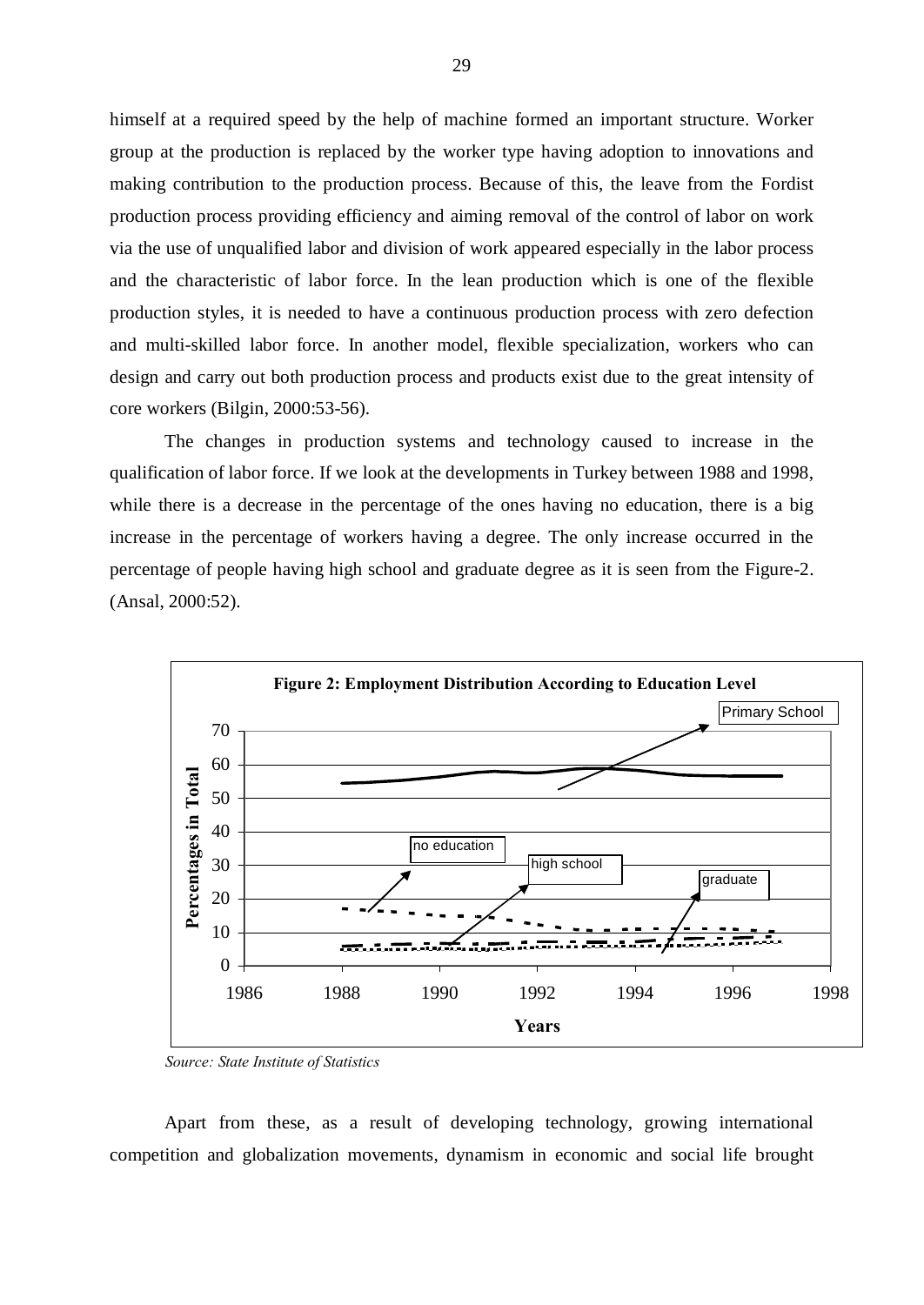himself at a required speed by the help of machine formed an important structure. Worker group at the production is replaced by the worker type having adoption to innovations and making contribution to the production process. Because of this, the leave from the Fordist production process providing efficiency and aiming removal of the control of labor on work via the use of unqualified labor and division of work appeared especially in the labor process and the characteristic of labor force. In the lean production which is one of the flexible production styles, it is needed to have a continuous production process with zero defection and multi-skilled labor force. In another model, flexible specialization, workers who can design and carry out both production process and products exist due to the great intensity of core workers (Bilgin, 2000:53-56).

The changes in production systems and technology caused to increase in the qualification of labor force. If we look at the developments in Turkey between 1988 and 1998, while there is a decrease in the percentage of the ones having no education, there is a big increase in the percentage of workers having a degree. The only increase occurred in the percentage of people having high school and graduate degree as it is seen from the Figure-2. (Ansal, 2000:52).



Source: State Institute of Statistics

Apart from these, as a result of developing technology, growing international competition and globalization movements, dynamism in economic and social life brought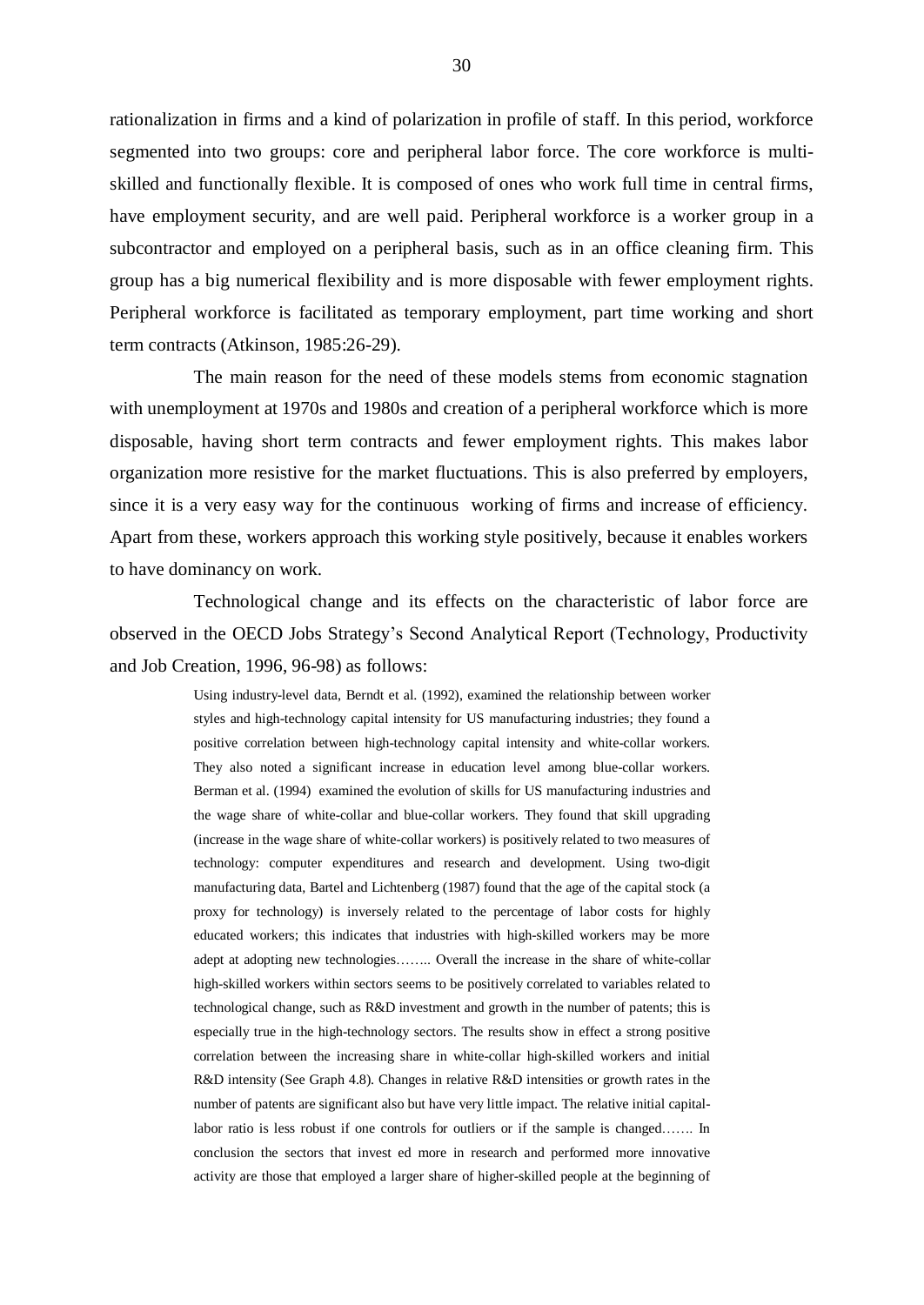rationalization in firms and a kind of polarization in profile of staff. In this period, workforce segmented into two groups: core and peripheral labor force. The core workforce is multiskilled and functionally flexible. It is composed of ones who work full time in central firms, have employment security, and are well paid. Peripheral workforce is a worker group in a subcontractor and employed on a peripheral basis, such as in an office cleaning firm. This group has a big numerical flexibility and is more disposable with fewer employment rights. Peripheral workforce is facilitated as temporary employment, part time working and short term contracts (Atkinson, 1985:26-29).

The main reason for the need of these models stems from economic stagnation with unemployment at 1970s and 1980s and creation of a peripheral workforce which is more disposable, having short term contracts and fewer employment rights. This makes labor organization more resistive for the market fluctuations. This is also preferred by employers, since it is a very easy way for the continuous working of firms and increase of efficiency. Apart from these, workers approach this working style positively, because it enables workers to have dominancy on work.

Technological change and its effects on the characteristic of labor force are observed in the OECD Jobs Strategy's Second Analytical Report (Technology, Productivity and Job Creation, 1996, 96-98) as follows:

> Using industry-level data, Berndt et al. (1992), examined the relationship between worker styles and high-technology capital intensity for US manufacturing industries; they found a positive correlation between high-technology capital intensity and white-collar workers. They also noted a significant increase in education level among blue-collar workers. Berman et al. (1994) examined the evolution of skills for US manufacturing industries and the wage share of white-collar and blue-collar workers. They found that skill upgrading (increase in the wage share of white-collar workers) is positively related to two measures of technology: computer expenditures and research and development. Using two-digit manufacturing data, Bartel and Lichtenberg (1987) found that the age of the capital stock (a proxy for technology) is inversely related to the percentage of labor costs for highly educated workers; this indicates that industries with high-skilled workers may be more adept at adopting new technologies........ Overall the increase in the share of white-collar high-skilled workers within sectors seems to be positively correlated to variables related to technological change, such as R&D investment and growth in the number of patents; this is especially true in the high-technology sectors. The results show in effect a strong positive correlation between the increasing share in white-collar high-skilled workers and initial R&D intensity (See Graph 4.8). Changes in relative R&D intensities or growth rates in the number of patents are significant also but have very little impact. The relative initial capitallabor ratio is less robust if one controls for outliers or if the sample is changed....... In conclusion the sectors that invest ed more in research and performed more innovative activity are those that employed a larger share of higher-skilled people at the beginning of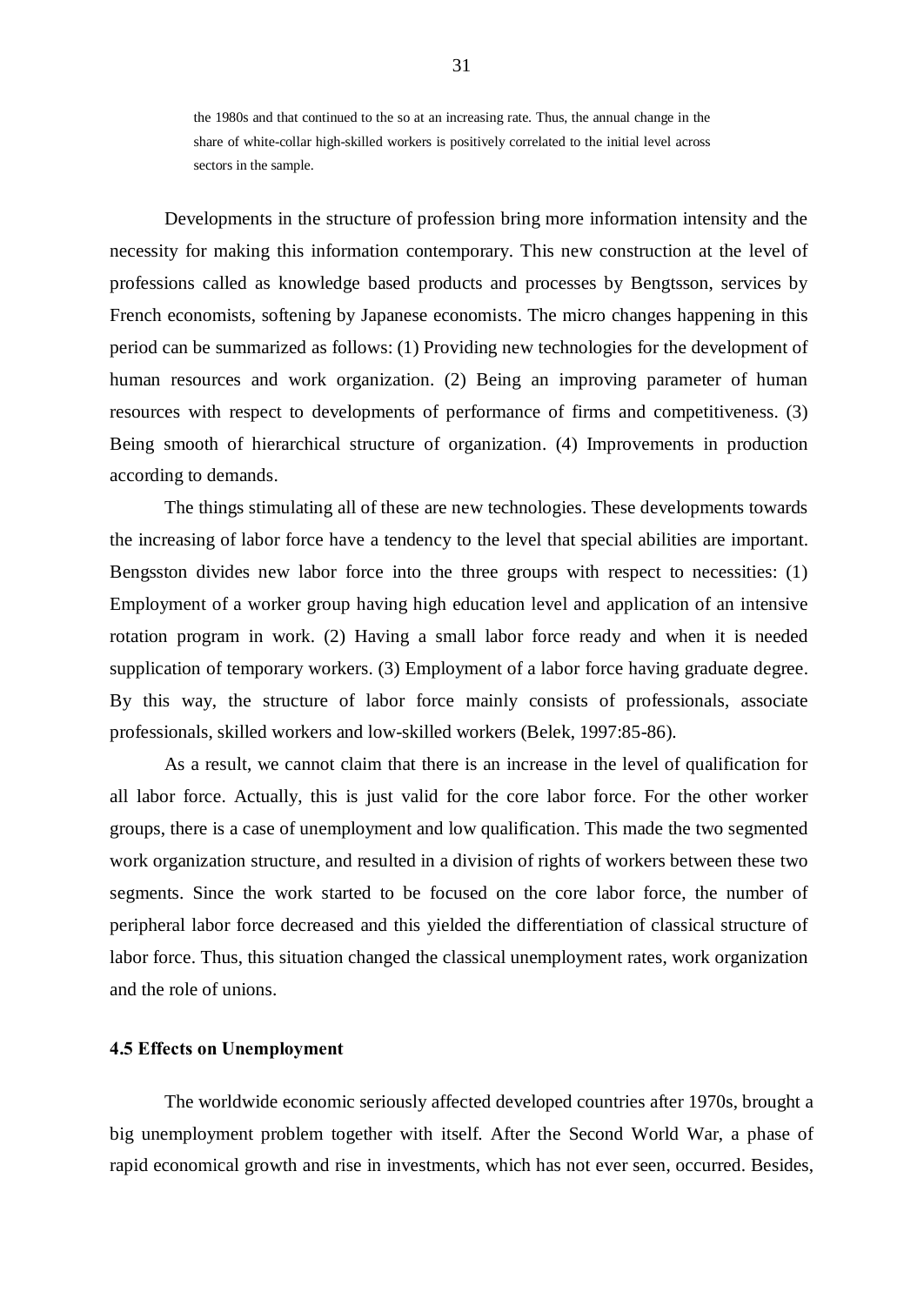the 1980s and that continued to the so at an increasing rate. Thus, the annual change in the share of white-collar high-skilled workers is positively correlated to the initial level across sectors in the sample.

Developments in the structure of profession bring more information intensity and the necessity for making this information contemporary. This new construction at the level of professions called as knowledge based products and processes by Bengtsson, services by French economists, softening by Japanese economists. The micro changes happening in this period can be summarized as follows: (1) Providing new technologies for the development of human resources and work organization. (2) Being an improving parameter of human resources with respect to developments of performance of firms and competitiveness. (3) Being smooth of hierarchical structure of organization. (4) Improvements in production according to demands.

The things stimulating all of these are new technologies. These developments towards the increasing of labor force have a tendency to the level that special abilities are important. Bengsston divides new labor force into the three groups with respect to necessities: (1) Employment of a worker group having high education level and application of an intensive rotation program in work. (2) Having a small labor force ready and when it is needed supplication of temporary workers. (3) Employment of a labor force having graduate degree. By this way, the structure of labor force mainly consists of professionals, associate professionals, skilled workers and low-skilled workers (Belek, 1997:85-86).

As a result, we cannot claim that there is an increase in the level of qualification for all labor force. Actually, this is just valid for the core labor force. For the other worker groups, there is a case of unemployment and low qualification. This made the two segmented work organization structure, and resulted in a division of rights of workers between these two segments. Since the work started to be focused on the core labor force, the number of peripheral labor force decreased and this yielded the differentiation of classical structure of labor force. Thus, this situation changed the classical unemployment rates, work organization and the role of unions.

# 4.5 Effects on Unemployment

The worldwide economic seriously affected developed countries after 1970s, brought a big unemployment problem together with itself. After the Second World War, a phase of rapid economical growth and rise in investments, which has not ever seen, occurred. Besides,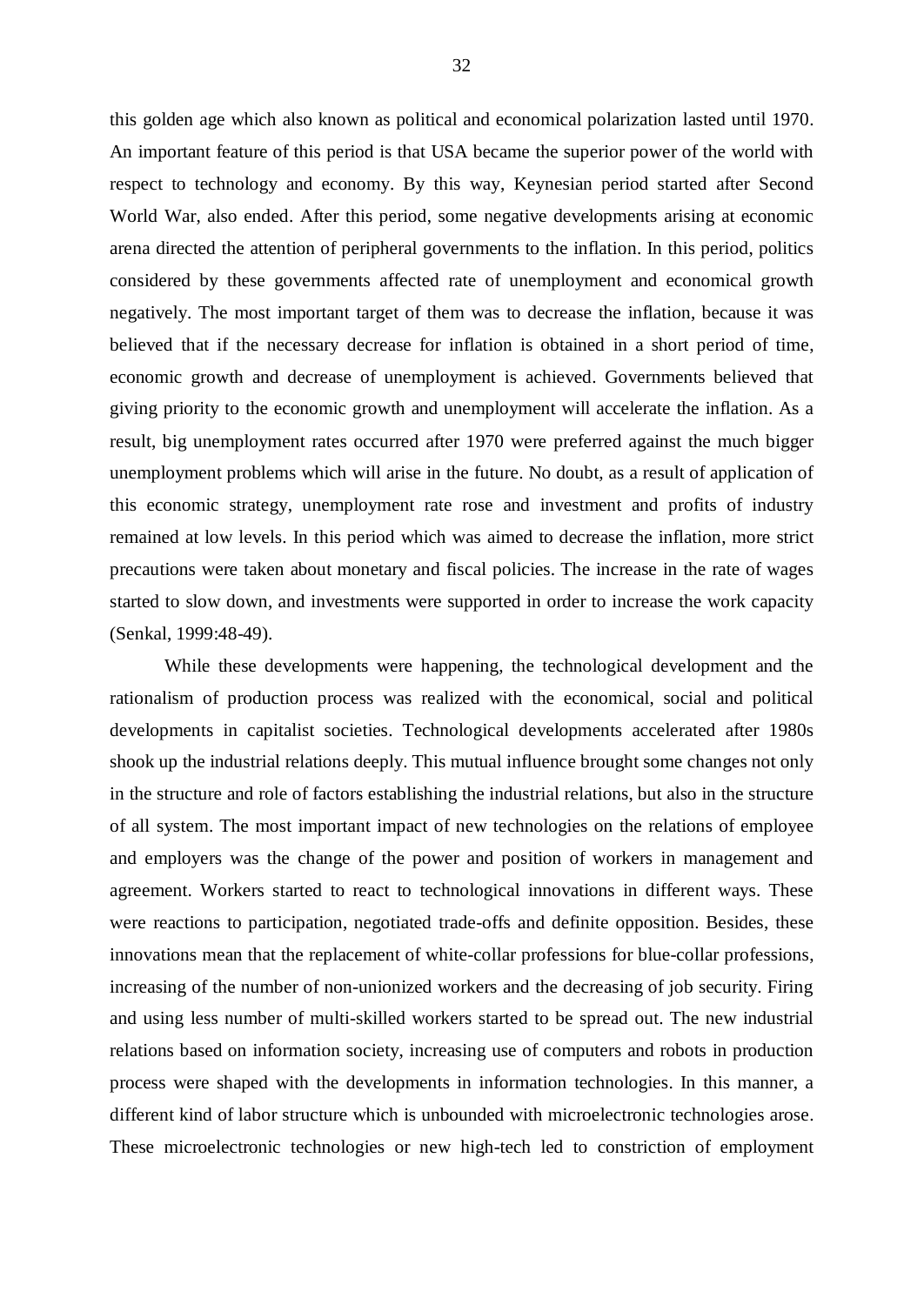this golden age which also known as political and economical polarization lasted until 1970. An important feature of this period is that USA became the superior power of the world with respect to technology and economy. By this way, Keynesian period started after Second World War, also ended. After this period, some negative developments arising at economic arena directed the attention of peripheral governments to the inflation. In this period, politics considered by these governments affected rate of unemployment and economical growth negatively. The most important target of them was to decrease the inflation, because it was believed that if the necessary decrease for inflation is obtained in a short period of time, economic growth and decrease of unemployment is achieved. Governments believed that giving priority to the economic growth and unemployment will accelerate the inflation. As a result, big unemployment rates occurred after 1970 were preferred against the much bigger unemployment problems which will arise in the future. No doubt, as a result of application of this economic strategy, unemployment rate rose and investment and profits of industry remained at low levels. In this period which was aimed to decrease the inflation, more strict precautions were taken about monetary and fiscal policies. The increase in the rate of wages started to slow down, and investments were supported in order to increase the work capacity (Senkal, 1999:48-49).

While these developments were happening, the technological development and the rationalism of production process was realized with the economical, social and political developments in capitalist societies. Technological developments accelerated after 1980s shook up the industrial relations deeply. This mutual influence brought some changes not only in the structure and role of factors establishing the industrial relations, but also in the structure of all system. The most important impact of new technologies on the relations of employee and employers was the change of the power and position of workers in management and agreement. Workers started to react to technological innovations in different ways. These were reactions to participation, negotiated trade-offs and definite opposition. Besides, these innovations mean that the replacement of white-collar professions for blue-collar professions, increasing of the number of non-unionized workers and the decreasing of job security. Firing and using less number of multi-skilled workers started to be spread out. The new industrial relations based on information society, increasing use of computers and robots in production process were shaped with the developments in information technologies. In this manner, a different kind of labor structure which is unbounded with microelectronic technologies arose. These microelectronic technologies or new high-tech led to constriction of employment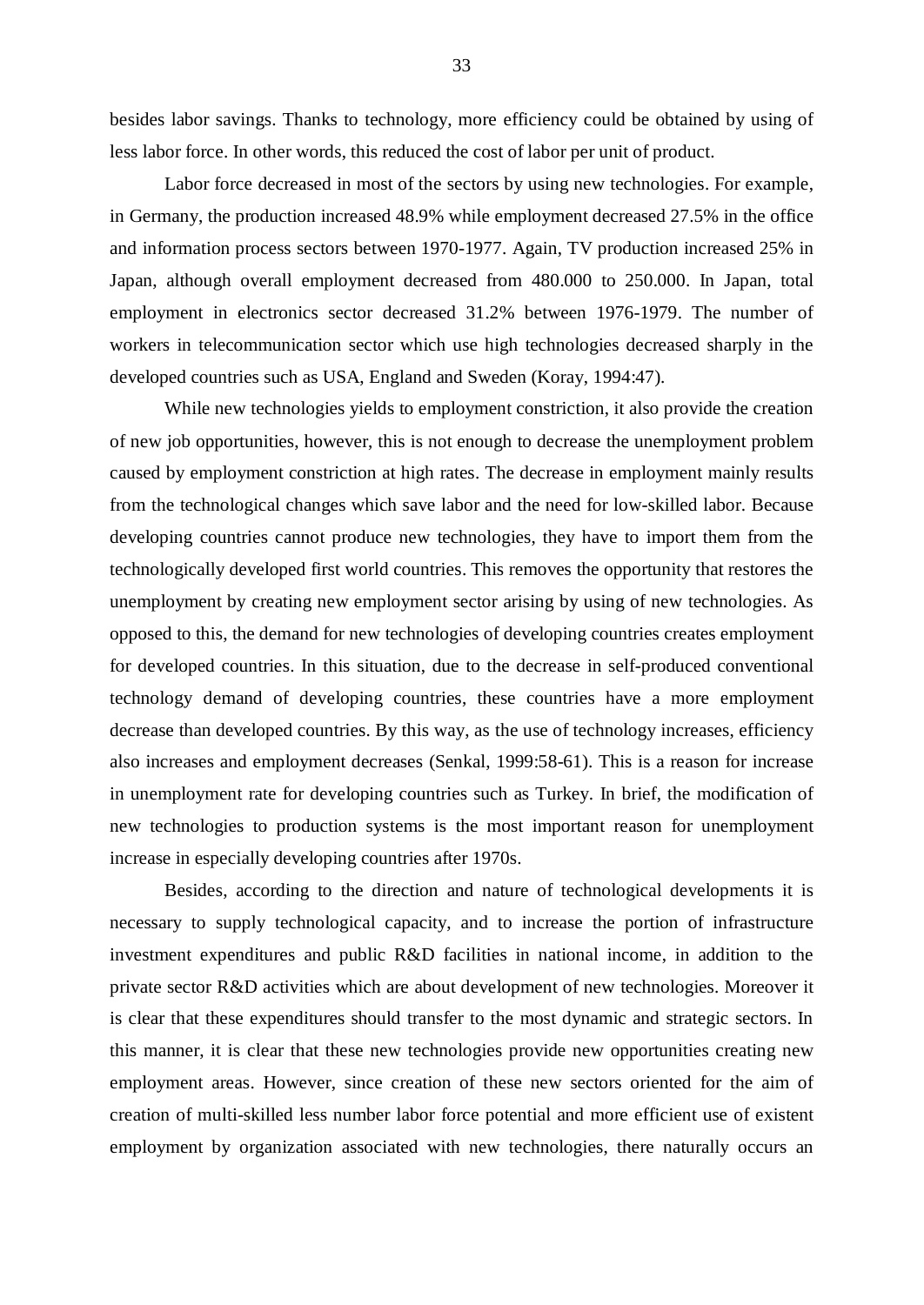besides labor savings. Thanks to technology, more efficiency could be obtained by using of less labor force. In other words, this reduced the cost of labor per unit of product.

Labor force decreased in most of the sectors by using new technologies. For example, in Germany, the production increased 48.9% while employment decreased 27.5% in the office and information process sectors between 1970-1977. Again, TV production increased 25% in Japan, although overall employment decreased from 480.000 to 250.000. In Japan, total employment in electronics sector decreased 31.2% between 1976-1979. The number of workers in telecommunication sector which use high technologies decreased sharply in the developed countries such as USA, England and Sweden (Koray, 1994:47).

While new technologies yields to employment constriction, it also provide the creation of new job opportunities, however, this is not enough to decrease the unemployment problem caused by employment constriction at high rates. The decrease in employment mainly results from the technological changes which save labor and the need for low-skilled labor. Because developing countries cannot produce new technologies, they have to import them from the technologically developed first world countries. This removes the opportunity that restores the unemployment by creating new employment sector arising by using of new technologies. As opposed to this, the demand for new technologies of developing countries creates employment for developed countries. In this situation, due to the decrease in self-produced conventional technology demand of developing countries, these countries have a more employment decrease than developed countries. By this way, as the use of technology increases, efficiency also increases and employment decreases (Senkal, 1999:58-61). This is a reason for increase in unemployment rate for developing countries such as Turkey. In brief, the modification of new technologies to production systems is the most important reason for unemployment increase in especially developing countries after 1970s.

Besides, according to the direction and nature of technological developments it is necessary to supply technological capacity, and to increase the portion of infrastructure investment expenditures and public R&D facilities in national income, in addition to the private sector R&D activities which are about development of new technologies. Moreover it is clear that these expenditures should transfer to the most dynamic and strategic sectors. In this manner, it is clear that these new technologies provide new opportunities creating new employment areas. However, since creation of these new sectors oriented for the aim of creation of multi-skilled less number labor force potential and more efficient use of existent employment by organization associated with new technologies, there naturally occurs an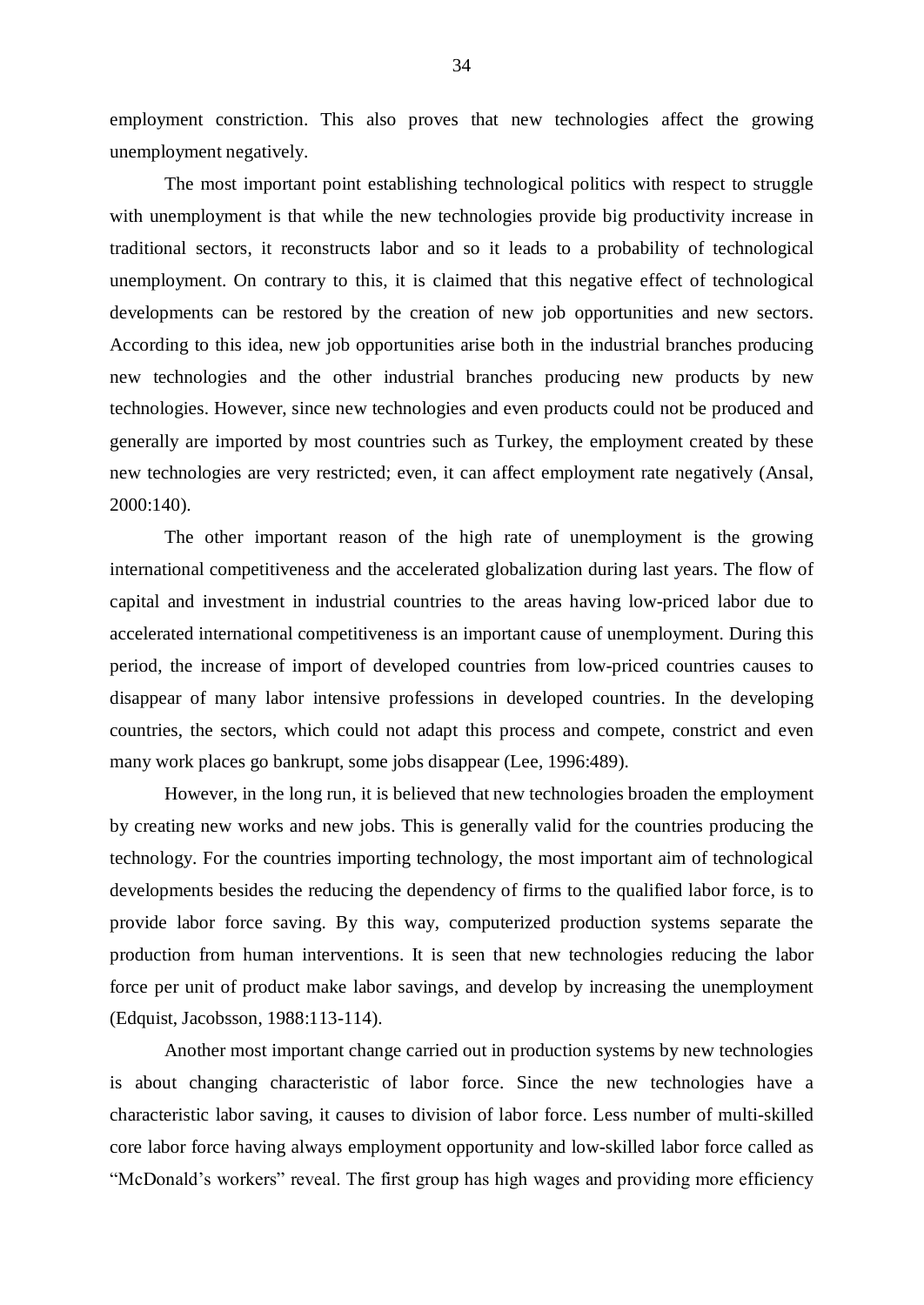employment constriction. This also proves that new technologies affect the growing unemployment negatively.

The most important point establishing technological politics with respect to struggle with unemployment is that while the new technologies provide big productivity increase in traditional sectors, it reconstructs labor and so it leads to a probability of technological unemployment. On contrary to this, it is claimed that this negative effect of technological developments can be restored by the creation of new job opportunities and new sectors. According to this idea, new job opportunities arise both in the industrial branches producing new technologies and the other industrial branches producing new products by new technologies. However, since new technologies and even products could not be produced and generally are imported by most countries such as Turkey, the employment created by these new technologies are very restricted; even, it can affect employment rate negatively (Ansal, 2000:140).

The other important reason of the high rate of unemployment is the growing international competitiveness and the accelerated globalization during last years. The flow of capital and investment in industrial countries to the areas having low-priced labor due to accelerated international competitiveness is an important cause of unemployment. During this period, the increase of import of developed countries from low-priced countries causes to disappear of many labor intensive professions in developed countries. In the developing countries, the sectors, which could not adapt this process and compete, constrict and even many work places go bankrupt, some jobs disappear (Lee, 1996:489).

However, in the long run, it is believed that new technologies broaden the employment by creating new works and new jobs. This is generally valid for the countries producing the technology. For the countries importing technology, the most important aim of technological developments besides the reducing the dependency of firms to the qualified labor force, is to provide labor force saving. By this way, computerized production systems separate the production from human interventions. It is seen that new technologies reducing the labor force per unit of product make labor savings, and develop by increasing the unemployment (Edquist, Jacobsson, 1988:113-114).

Another most important change carried out in production systems by new technologies is about changing characteristic of labor force. Since the new technologies have a characteristic labor saving, it causes to division of labor force. Less number of multi-skilled core labor force having always employment opportunity and low-skilled labor force called as "McDonald's workers" reveal. The first group has high wages and providing more efficiency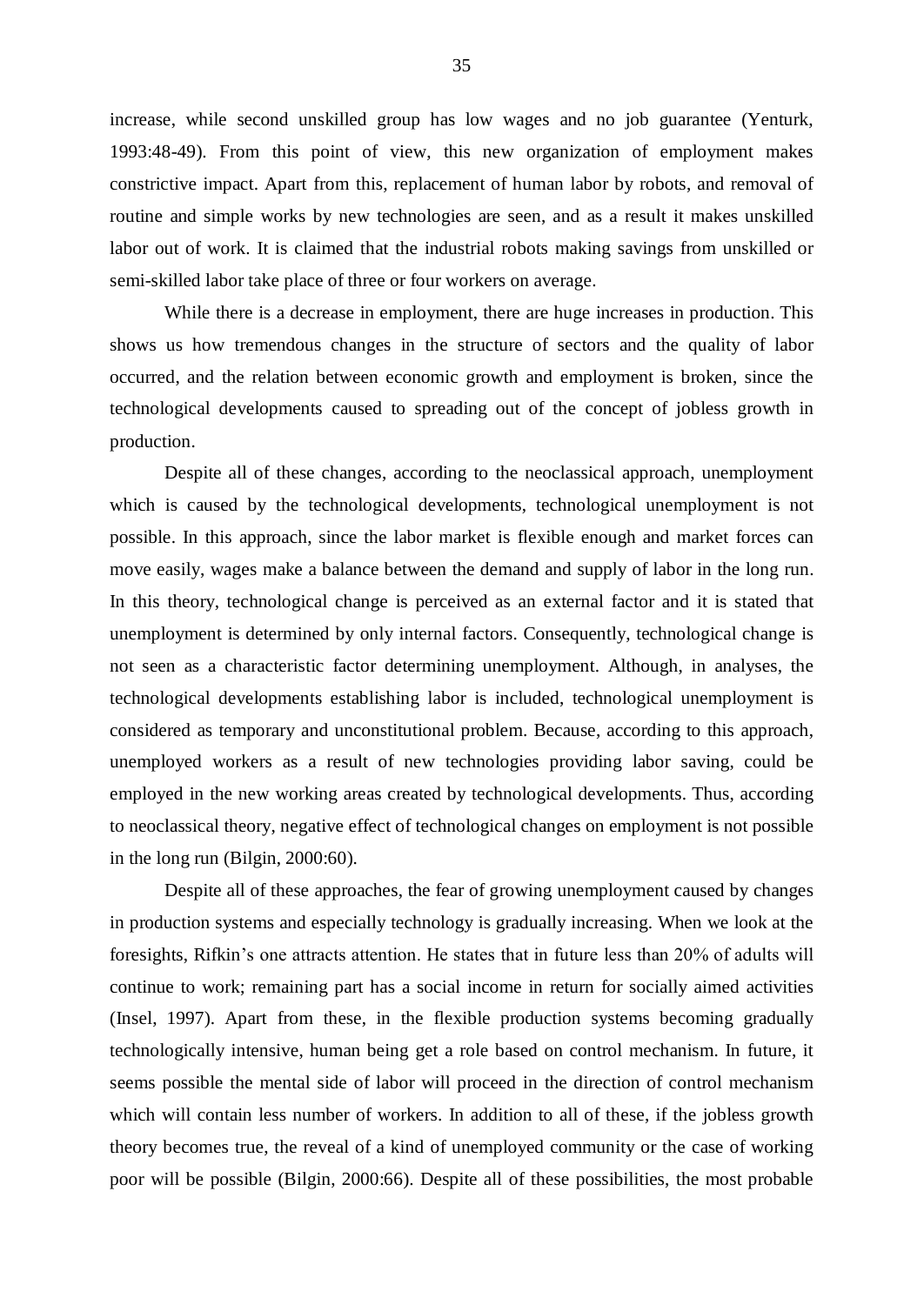increase, while second unskilled group has low wages and no job guarantee (Yenturk, 1993:48-49). From this point of view, this new organization of employment makes constrictive impact. Apart from this, replacement of human labor by robots, and removal of routine and simple works by new technologies are seen, and as a result it makes unskilled labor out of work. It is claimed that the industrial robots making savings from unskilled or semi-skilled labor take place of three or four workers on average.

While there is a decrease in employment, there are huge increases in production. This shows us how tremendous changes in the structure of sectors and the quality of labor occurred, and the relation between economic growth and employment is broken, since the technological developments caused to spreading out of the concept of jobless growth in production.

Despite all of these changes, according to the neoclassical approach, unemployment which is caused by the technological developments, technological unemployment is not possible. In this approach, since the labor market is flexible enough and market forces can move easily, wages make a balance between the demand and supply of labor in the long run. In this theory, technological change is perceived as an external factor and it is stated that unemployment is determined by only internal factors. Consequently, technological change is not seen as a characteristic factor determining unemployment. Although, in analyses, the technological developments establishing labor is included, technological unemployment is considered as temporary and unconstitutional problem. Because, according to this approach, unemployed workers as a result of new technologies providing labor saving, could be employed in the new working areas created by technological developments. Thus, according to neoclassical theory, negative effect of technological changes on employment is not possible in the long run (Bilgin, 2000:60).

Despite all of these approaches, the fear of growing unemployment caused by changes in production systems and especially technology is gradually increasing. When we look at the foresights, Rifkin's one attracts attention. He states that in future less than 20% of adults will continue to work; remaining part has a social income in return for socially aimed activities (Insel, 1997). Apart from these, in the flexible production systems becoming gradually technologically intensive, human being get a role based on control mechanism. In future, it seems possible the mental side of labor will proceed in the direction of control mechanism which will contain less number of workers. In addition to all of these, if the jobless growth theory becomes true, the reveal of a kind of unemployed community or the case of working poor will be possible (Bilgin, 2000:66). Despite all of these possibilities, the most probable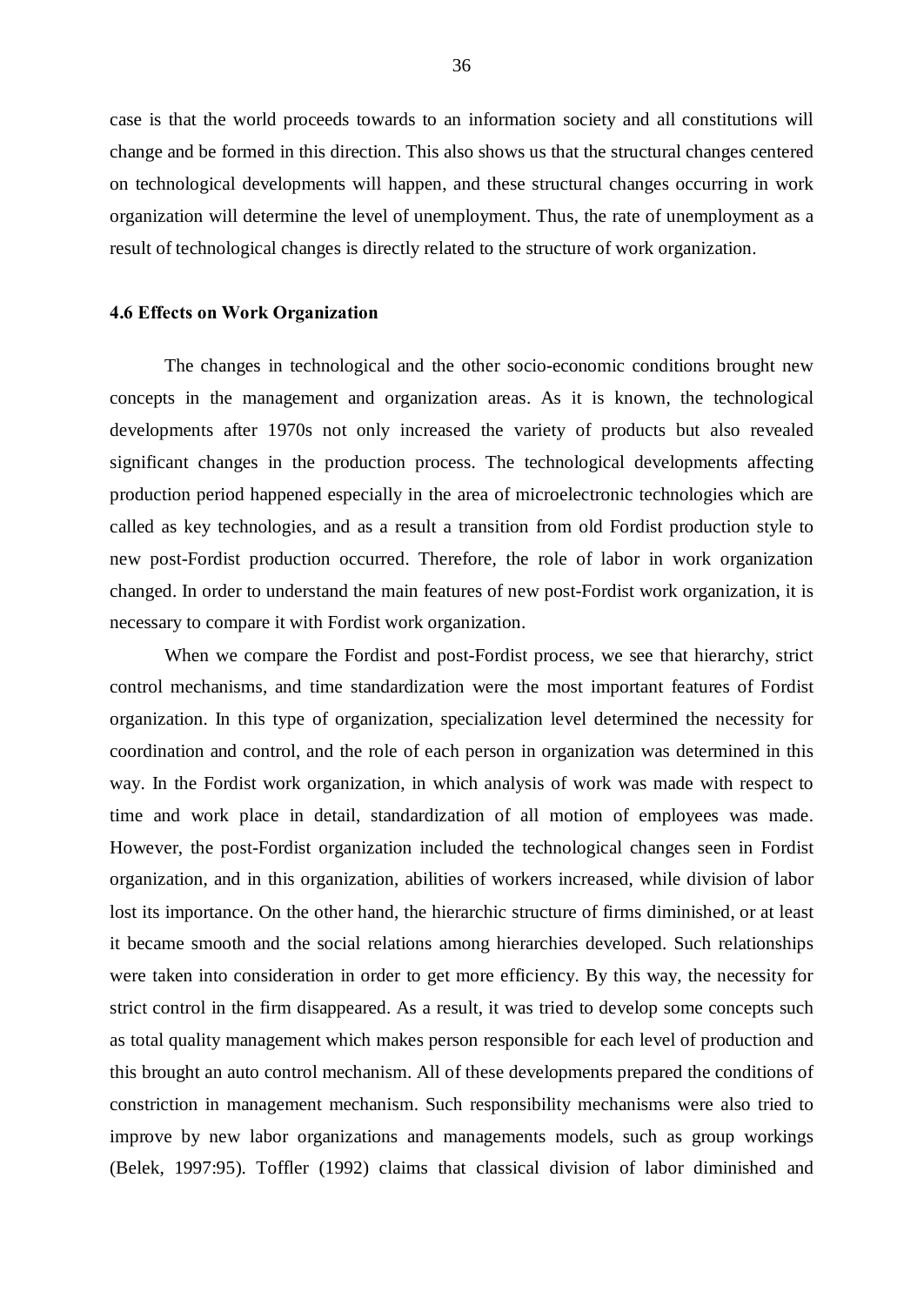case is that the world proceeds towards to an information society and all constitutions will change and be formed in this direction. This also shows us that the structural changes centered on technological developments will happen, and these structural changes occurring in work organization will determine the level of unemployment. Thus, the rate of unemployment as a result of technological changes is directly related to the structure of work organization.

#### 4.6 Effects on Work Organization

The changes in technological and the other socio-economic conditions brought new concepts in the management and organization areas. As it is known, the technological developments after 1970s not only increased the variety of products but also revealed significant changes in the production process. The technological developments affecting production period happened especially in the area of microelectronic technologies which are called as key technologies, and as a result a transition from old Fordist production style to new post-Fordist production occurred. Therefore, the role of labor in work organization changed. In order to understand the main features of new post-Fordist work organization, it is necessary to compare it with Fordist work organization.

When we compare the Fordist and post-Fordist process, we see that hierarchy, strict control mechanisms, and time standardization were the most important features of Fordist organization. In this type of organization, specialization level determined the necessity for coordination and control, and the role of each person in organization was determined in this way. In the Fordist work organization, in which analysis of work was made with respect to time and work place in detail, standardization of all motion of employees was made. However, the post-Fordist organization included the technological changes seen in Fordist organization, and in this organization, abilities of workers increased, while division of labor lost its importance. On the other hand, the hierarchic structure of firms diminished, or at least it became smooth and the social relations among hierarchies developed. Such relationships were taken into consideration in order to get more efficiency. By this way, the necessity for strict control in the firm disappeared. As a result, it was tried to develop some concepts such as total quality management which makes person responsible for each level of production and this brought an auto control mechanism. All of these developments prepared the conditions of constriction in management mechanism. Such responsibility mechanisms were also tried to improve by new labor organizations and managements models, such as group workings (Belek, 1997:95). Toffler (1992) claims that classical division of labor diminished and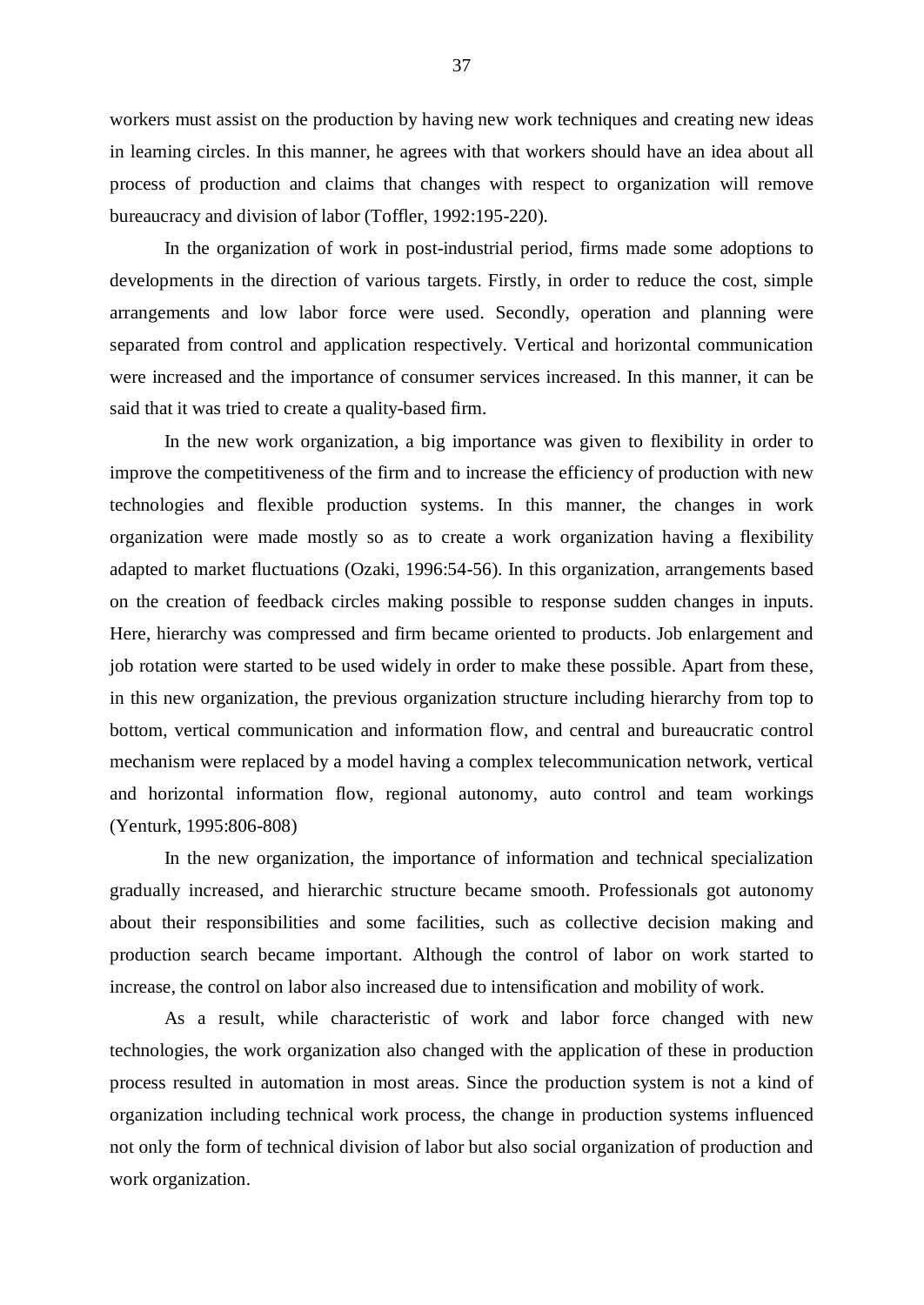workers must assist on the production by having new work techniques and creating new ideas in learning circles. In this manner, he agrees with that workers should have an idea about all process of production and claims that changes with respect to organization will remove bureaucracy and division of labor (Toffler, 1992:195-220).

In the organization of work in post-industrial period, firms made some adoptions to developments in the direction of various targets. Firstly, in order to reduce the cost, simple arrangements and low labor force were used. Secondly, operation and planning were separated from control and application respectively. Vertical and horizontal communication were increased and the importance of consumer services increased. In this manner, it can be said that it was tried to create a quality-based firm.

In the new work organization, a big importance was given to flexibility in order to improve the competitiveness of the firm and to increase the efficiency of production with new technologies and flexible production systems. In this manner, the changes in work organization were made mostly so as to create a work organization having a flexibility adapted to market fluctuations (Ozaki, 1996:54-56). In this organization, arrangements based on the creation of feedback circles making possible to response sudden changes in inputs. Here, hierarchy was compressed and firm became oriented to products. Job enlargement and job rotation were started to be used widely in order to make these possible. Apart from these, in this new organization, the previous organization structure including hierarchy from top to bottom, vertical communication and information flow, and central and bureaucratic control mechanism were replaced by a model having a complex telecommunication network, vertical and horizontal information flow, regional autonomy, auto control and team workings (Yenturk, 1995:806-808)

In the new organization, the importance of information and technical specialization gradually increased, and hierarchic structure became smooth. Professionals got autonomy about their responsibilities and some facilities, such as collective decision making and production search became important. Although the control of labor on work started to increase, the control on labor also increased due to intensification and mobility of work.

As a result, while characteristic of work and labor force changed with new technologies, the work organization also changed with the application of these in production process resulted in automation in most areas. Since the production system is not a kind of organization including technical work process, the change in production systems influenced not only the form of technical division of labor but also social organization of production and work organization.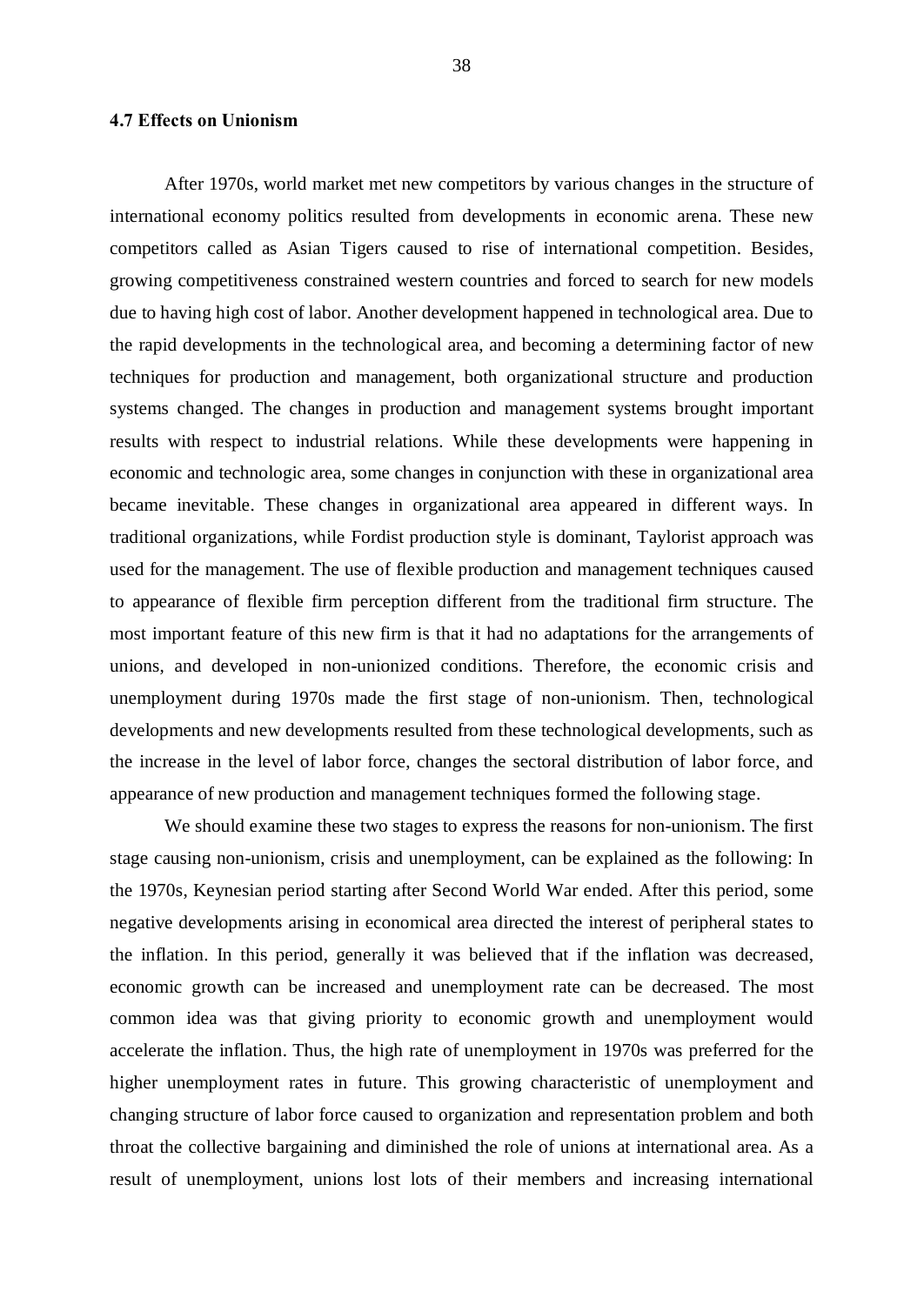# 4.7 Effects on Unionism

After 1970s, world market met new competitors by various changes in the structure of international economy politics resulted from developments in economic arena. These new competitors called as Asian Tigers caused to rise of international competition. Besides, growing competitiveness constrained western countries and forced to search for new models due to having high cost of labor. Another development happened in technological area. Due to the rapid developments in the technological area, and becoming a determining factor of new techniques for production and management, both organizational structure and production systems changed. The changes in production and management systems brought important results with respect to industrial relations. While these developments were happening in economic and technologic area, some changes in conjunction with these in organizational area became inevitable. These changes in organizational area appeared in different ways. In traditional organizations, while Fordist production style is dominant, Taylorist approach was used for the management. The use of flexible production and management techniques caused to appearance of flexible firm perception different from the traditional firm structure. The most important feature of this new firm is that it had no adaptations for the arrangements of unions, and developed in non-unionized conditions. Therefore, the economic crisis and unemployment during 1970s made the first stage of non-unionism. Then, technological developments and new developments resulted from these technological developments, such as the increase in the level of labor force, changes the sectoral distribution of labor force, and appearance of new production and management techniques formed the following stage.

We should examine these two stages to express the reasons for non-unionism. The first stage causing non-unionism, crisis and unemployment, can be explained as the following: In the 1970s, Keynesian period starting after Second World War ended. After this period, some negative developments arising in economical area directed the interest of peripheral states to the inflation. In this period, generally it was believed that if the inflation was decreased, economic growth can be increased and unemployment rate can be decreased. The most common idea was that giving priority to economic growth and unemployment would accelerate the inflation. Thus, the high rate of unemployment in 1970s was preferred for the higher unemployment rates in future. This growing characteristic of unemployment and changing structure of labor force caused to organization and representation problem and both throat the collective bargaining and diminished the role of unions at international area. As a result of unemployment, unions lost lots of their members and increasing international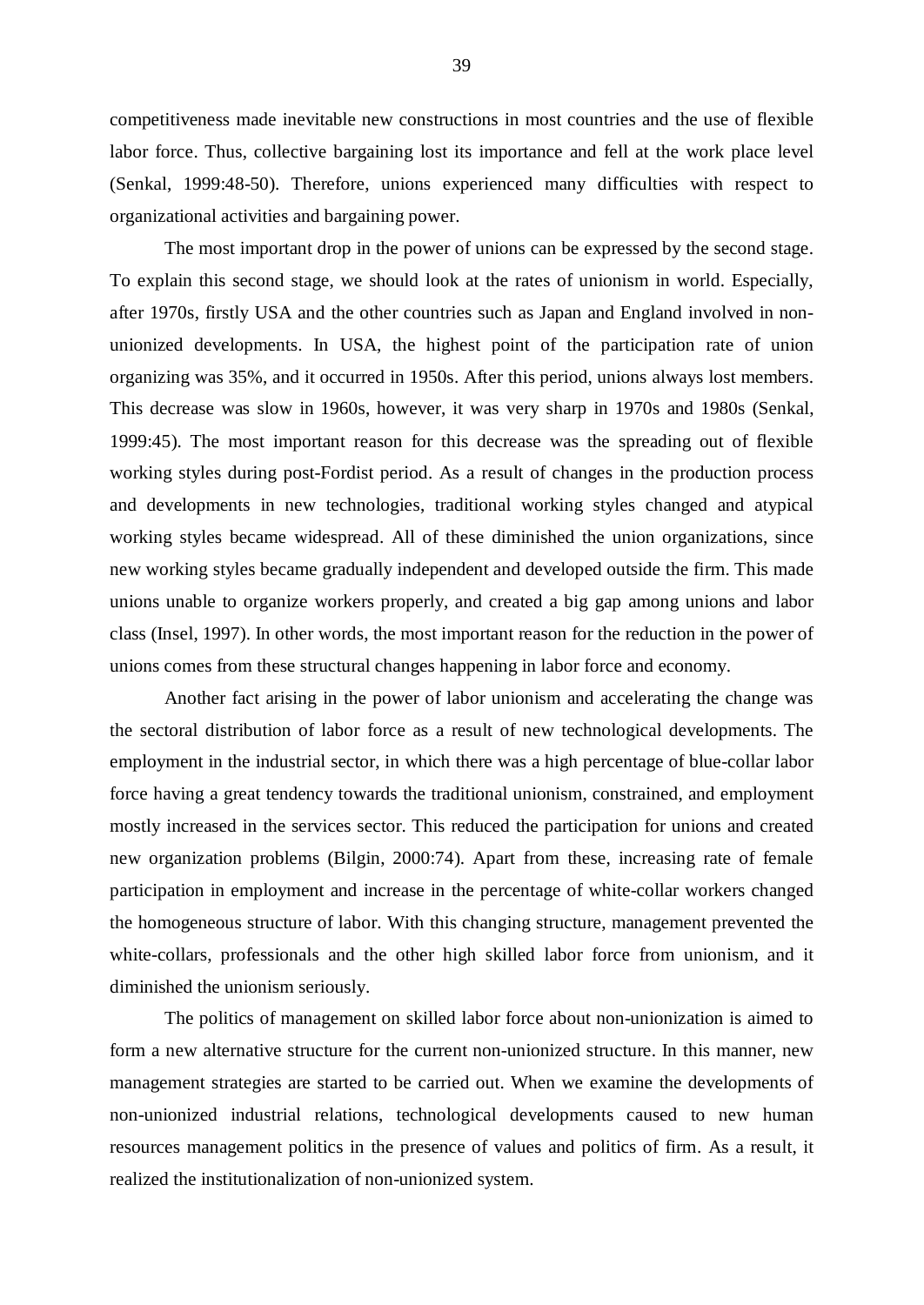competitiveness made inevitable new constructions in most countries and the use of flexible labor force. Thus, collective bargaining lost its importance and fell at the work place level (Senkal, 1999:48-50). Therefore, unions experienced many difficulties with respect to organizational activities and bargaining power.

The most important drop in the power of unions can be expressed by the second stage. To explain this second stage, we should look at the rates of unionism in world. Especially, after 1970s, firstly USA and the other countries such as Japan and England involved in nonunionized developments. In USA, the highest point of the participation rate of union organizing was 35%, and it occurred in 1950s. After this period, unions always lost members. This decrease was slow in 1960s, however, it was very sharp in 1970s and 1980s (Senkal, 1999:45). The most important reason for this decrease was the spreading out of flexible working styles during post-Fordist period. As a result of changes in the production process and developments in new technologies, traditional working styles changed and atypical working styles became widespread. All of these diminished the union organizations, since new working styles became gradually independent and developed outside the firm. This made unions unable to organize workers properly, and created a big gap among unions and labor class (Insel, 1997). In other words, the most important reason for the reduction in the power of unions comes from these structural changes happening in labor force and economy.

Another fact arising in the power of labor unionism and accelerating the change was the sectoral distribution of labor force as a result of new technological developments. The employment in the industrial sector, in which there was a high percentage of blue-collar labor force having a great tendency towards the traditional unionism, constrained, and employment mostly increased in the services sector. This reduced the participation for unions and created new organization problems (Bilgin, 2000:74). Apart from these, increasing rate of female participation in employment and increase in the percentage of white-collar workers changed the homogeneous structure of labor. With this changing structure, management prevented the white-collars, professionals and the other high skilled labor force from unionism, and it diminished the unionism seriously.

The politics of management on skilled labor force about non-unionization is aimed to form a new alternative structure for the current non-unionized structure. In this manner, new management strategies are started to be carried out. When we examine the developments of non-unionized industrial relations, technological developments caused to new human resources management politics in the presence of values and politics of firm. As a result, it realized the institutionalization of non-unionized system.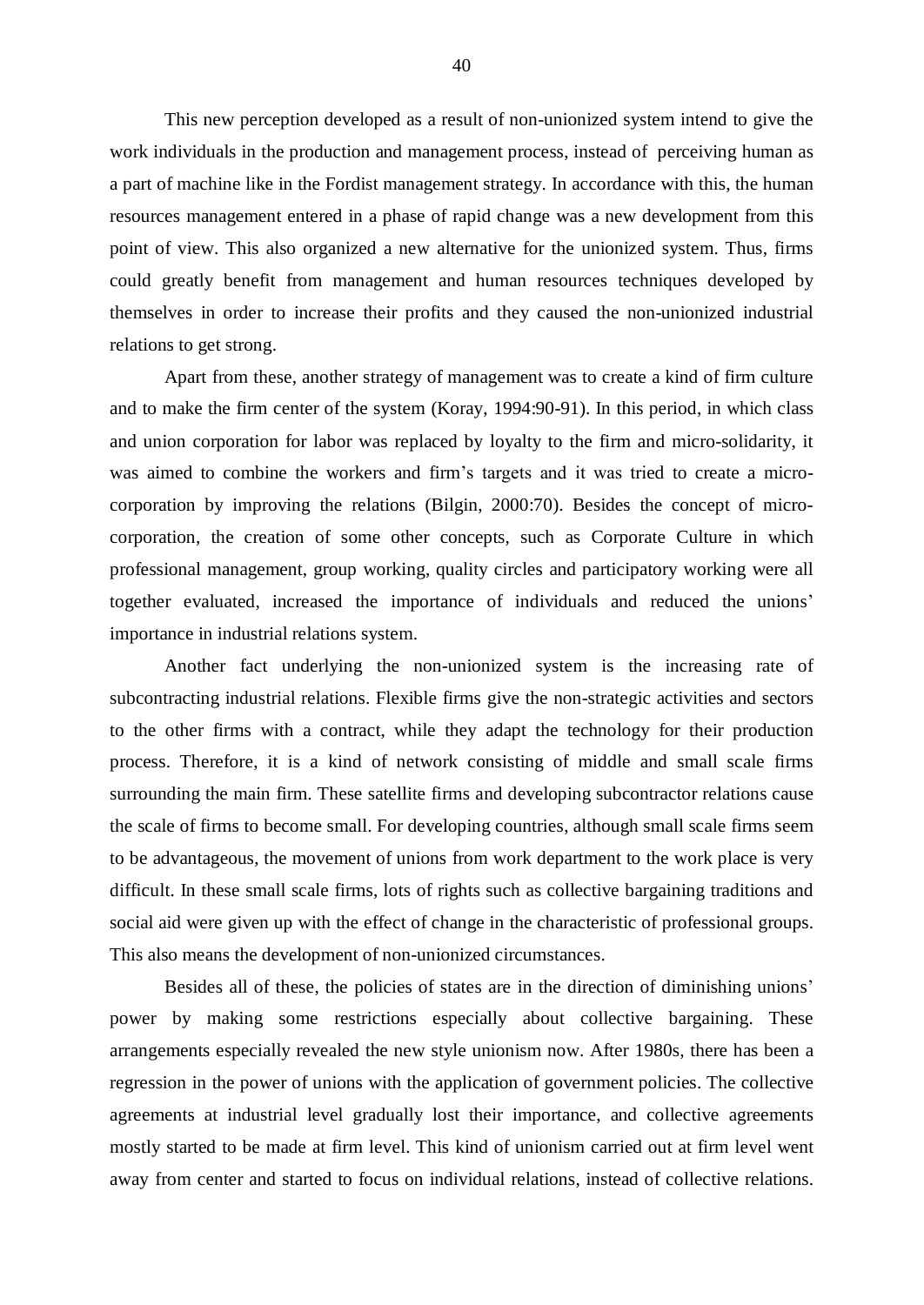This new perception developed as a result of non-unionized system intend to give the work individuals in the production and management process, instead of perceiving human as a part of machine like in the Fordist management strategy. In accordance with this, the human resources management entered in a phase of rapid change was a new development from this point of view. This also organized a new alternative for the unionized system. Thus, firms could greatly benefit from management and human resources techniques developed by themselves in order to increase their profits and they caused the non-unionized industrial relations to get strong.

Apart from these, another strategy of management was to create a kind of firm culture and to make the firm center of the system (Koray, 1994:90-91). In this period, in which class and union corporation for labor was replaced by loyalty to the firm and micro-solidarity, it was aimed to combine the workers and firm's targets and it was tried to create a microcorporation by improving the relations (Bilgin, 2000:70). Besides the concept of microcorporation, the creation of some other concepts, such as Corporate Culture in which professional management, group working, quality circles and participatory working were all together evaluated, increased the importance of individuals and reduced the unions' importance in industrial relations system.

Another fact underlying the non-unionized system is the increasing rate of subcontracting industrial relations. Flexible firms give the non-strategic activities and sectors to the other firms with a contract, while they adapt the technology for their production process. Therefore, it is a kind of network consisting of middle and small scale firms surrounding the main firm. These satellite firms and developing subcontractor relations cause the scale of firms to become small. For developing countries, although small scale firms seem to be advantageous, the movement of unions from work department to the work place is very difficult. In these small scale firms, lots of rights such as collective bargaining traditions and social aid were given up with the effect of change in the characteristic of professional groups. This also means the development of non-unionized circumstances.

Besides all of these, the policies of states are in the direction of diminishing unions' power by making some restrictions especially about collective bargaining. These arrangements especially revealed the new style unionism now. After 1980s, there has been a regression in the power of unions with the application of government policies. The collective agreements at industrial level gradually lost their importance, and collective agreements mostly started to be made at firm level. This kind of unionism carried out at firm level went away from center and started to focus on individual relations, instead of collective relations.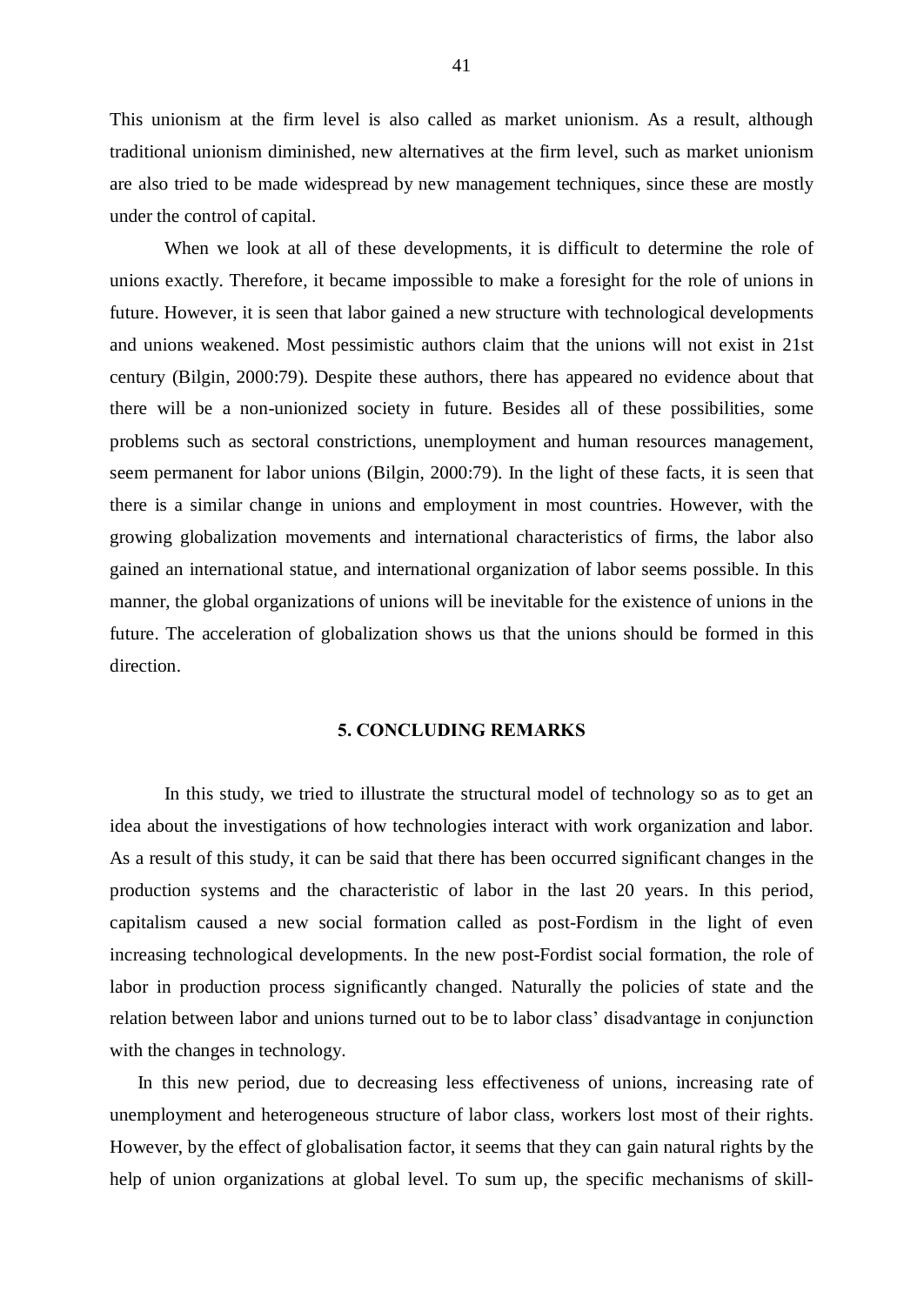This unionism at the firm level is also called as market unionism. As a result, although traditional unionism diminished, new alternatives at the firm level, such as market unionism are also tried to be made widespread by new management techniques, since these are mostly under the control of capital.

When we look at all of these developments, it is difficult to determine the role of unions exactly. Therefore, it became impossible to make a foresight for the role of unions in future. However, it is seen that labor gained a new structure with technological developments and unions weakened. Most pessimistic authors claim that the unions will not exist in 21st century (Bilgin, 2000:79). Despite these authors, there has appeared no evidence about that there will be a non-unionized society in future. Besides all of these possibilities, some problems such as sectoral constrictions, unemployment and human resources management, seem permanent for labor unions (Bilgin, 2000:79). In the light of these facts, it is seen that there is a similar change in unions and employment in most countries. However, with the growing globalization movements and international characteristics of firms, the labor also gained an international statue, and international organization of labor seems possible. In this manner, the global organizations of unions will be inevitable for the existence of unions in the future. The acceleration of globalization shows us that the unions should be formed in this direction.

# 5. CONCLUDING REMARKS

In this study, we tried to illustrate the structural model of technology so as to get an idea about the investigations of how technologies interact with work organization and labor. As a result of this study, it can be said that there has been occurred significant changes in the production systems and the characteristic of labor in the last 20 years. In this period, capitalism caused a new social formation called as post-Fordism in the light of even increasing technological developments. In the new post-Fordist social formation, the role of labor in production process significantly changed. Naturally the policies of state and the relation between labor and unions turned out to be to labor class' disadvantage in conjunction with the changes in technology.

In this new period, due to decreasing less effectiveness of unions, increasing rate of unemployment and heterogeneous structure of labor class, workers lost most of their rights. However, by the effect of globalisation factor, it seems that they can gain natural rights by the help of union organizations at global level. To sum up, the specific mechanisms of skill-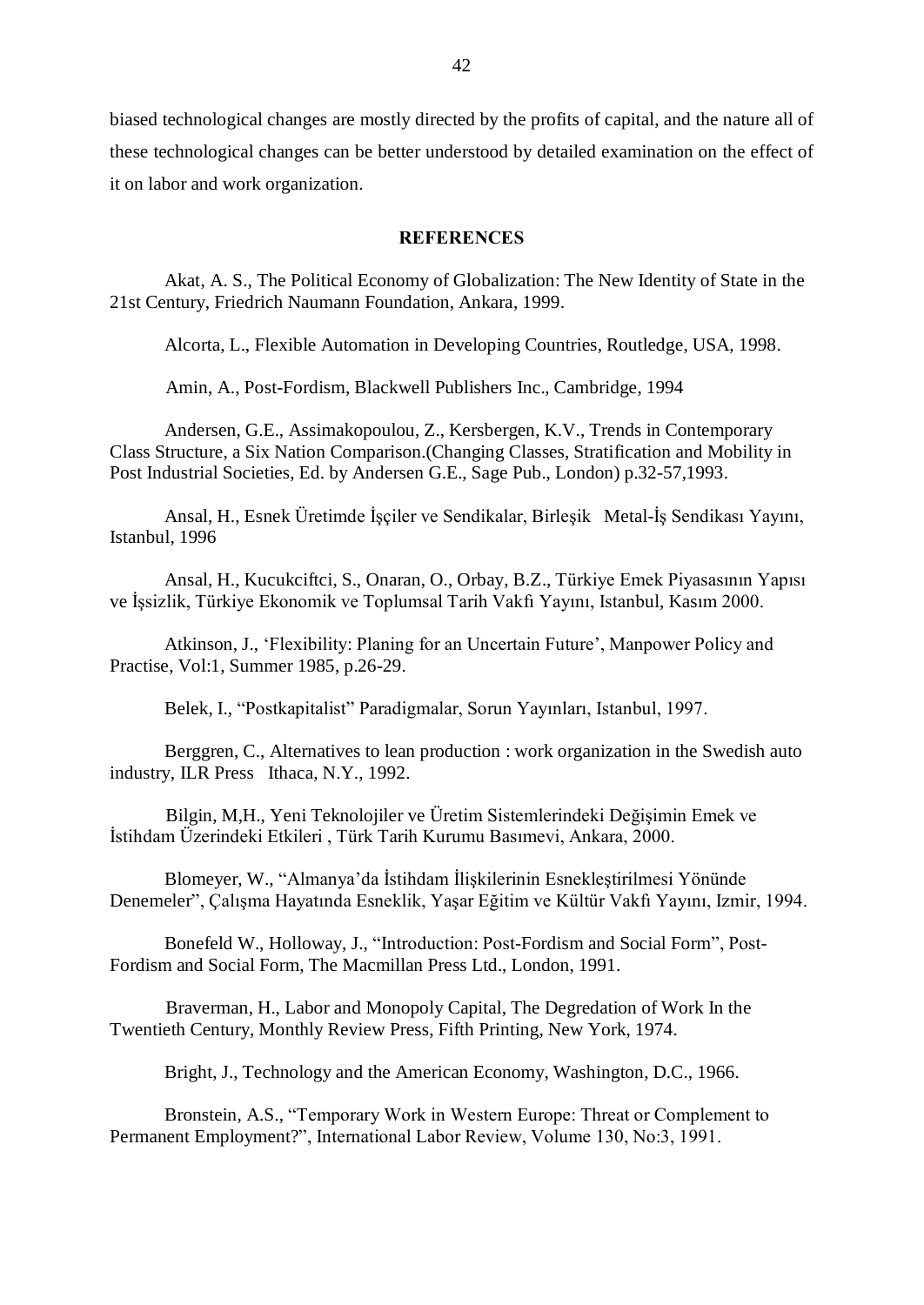biased technological changes are mostly directed by the profits of capital, and the nature all of these technological changes can be better understood by detailed examination on the effect of it on labor and work organization.

#### **REFERENCES**

Akat, A. S., The Political Economy of Globalization: The New Identity of State in the 21st Century, Friedrich Naumann Foundation, Ankara, 1999.

Alcorta, L., Flexible Automation in Developing Countries, Routledge, USA, 1998.

Amin, A., Post-Fordism, Blackwell Publishers Inc., Cambridge, 1994

Andersen, G.E., Assimakopoulou, Z., Kersbergen, K.V., Trends in Contemporary Class Structure, a Six Nation Comparison.(Changing Classes, Stratification and Mobility in Post Industrial Societies, Ed. by Andersen G.E., Sage Pub., London) p.32-57,1993.

Ansal, H., Esnek Üretimde İşçiler ve Sendikalar, Birleşik Metal-İş Sendikası Yayını, Istanbul, 1996

Ansal, H., Kucukciftci, S., Onaran, O., Orbay, B.Z., Türkiye Emek Piyasasının Yapısı ve İşsizlik, Türkiye Ekonomik ve Toplumsal Tarih Vakfı Yayını, Istanbul, Kasım 2000.

Atkinson, J., 'Flexibility: Planing for an Uncertain Future', Manpower Policy and Practise, Vol:1, Summer 1985, p.26-29.

Belek, I., "Postkapitalist" Paradigmalar, Sorun Yayınları, Istanbul, 1997.

Berggren, C., Alternatives to lean production : work organization in the Swedish auto industry, ILR Press Ithaca, N.Y., 1992.

Bilgin, M,H., Yeni Teknolojiler ve Üretim Sistemlerindeki Değişimin Emek ve İstihdam Üzerindeki Etkileri, Türk Tarih Kurumu Basımevi, Ankara, 2000.

Blomeyer, W., "Almanya'da İstihdam İliskilerinin Esneklestirilmesi Yönünde Denemeler", Çalışma Hayatında Esneklik, Yaşar Eğitim ve Kültür Vakfı Yayını, Izmir, 1994.

Bonefeld W., Holloway, J., "Introduction: Post-Fordism and Social Form", Post-Fordism and Social Form, The Macmillan Press Ltd., London, 1991.

Braverman, H., Labor and Monopoly Capital, The Degredation of Work In the Twentieth Century, Monthly Review Press, Fifth Printing, New York, 1974.

Bright, J., Technology and the American Economy, Washington, D.C., 1966.

Bronstein, A.S., "Temporary Work in Western Europe: Threat or Complement to Permanent Employment?", International Labor Review, Volume 130, No:3, 1991.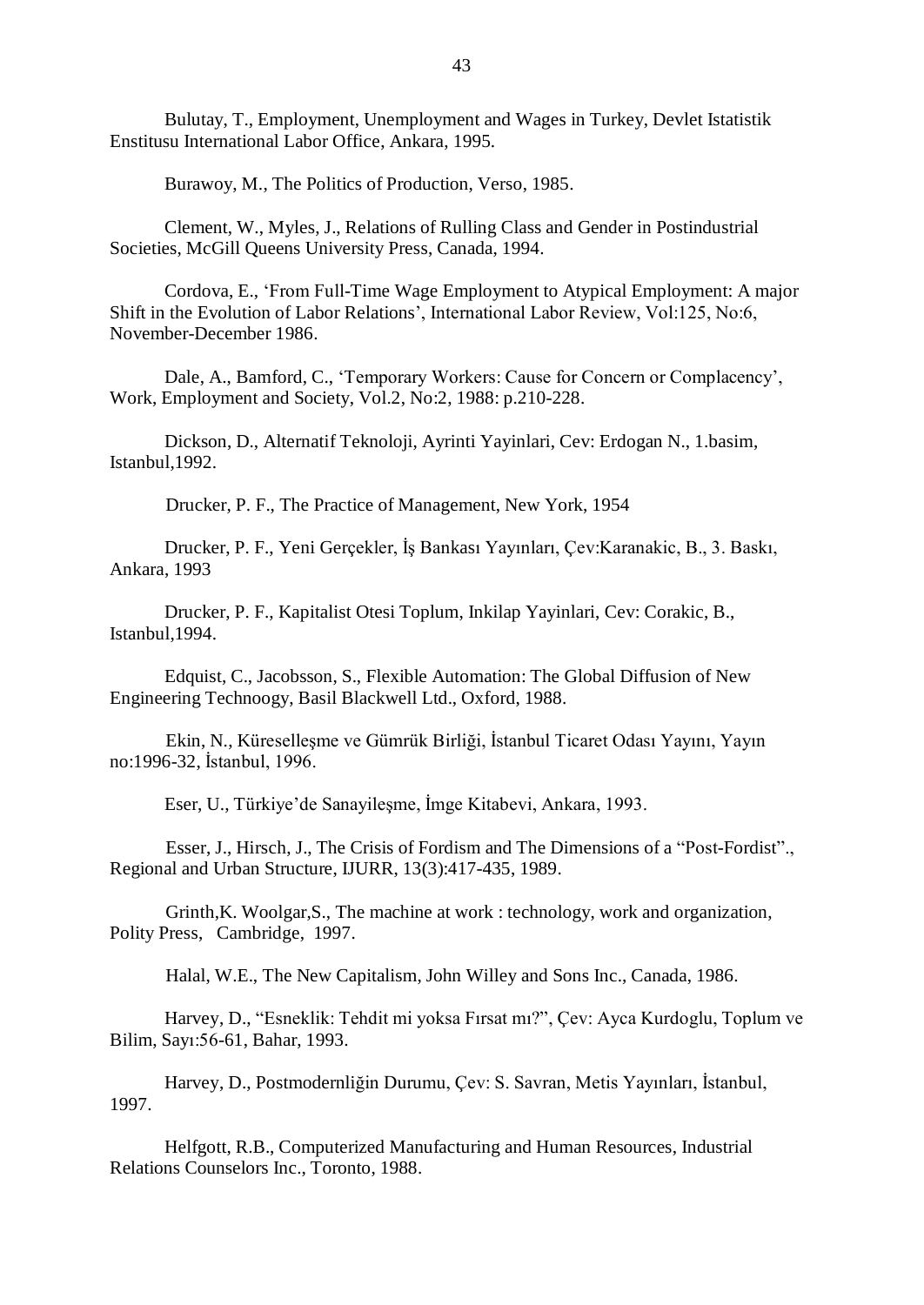Bulutay, T., Employment, Unemployment and Wages in Turkey, Devlet Istatistik Enstitusu International Labor Office, Ankara, 1995.

Burawoy, M., The Politics of Production, Verso, 1985.

Clement, W., Myles, J., Relations of Rulling Class and Gender in Postindustrial Societies, McGill Queens University Press, Canada, 1994.

Cordova, E., ëFrom Full-Time Wage Employment to Atypical Employment: A major Shift in the Evolution of Labor Relations<sup>7</sup>, International Labor Review, Vol:125, No:6, November-December 1986.

Dale, A., Bamford, C., 'Temporary Workers: Cause for Concern or Complacency', Work, Employment and Society, Vol.2, No:2, 1988: p.210-228.

Dickson, D., Alternatif Teknoloji, Ayrinti Yayinlari, Cev: Erdogan N., 1.basim, Istanbul,1992.

Drucker, P. F., The Practice of Management, New York, 1954

Drucker, P. F., Yeni Gerçekler, İş Bankası Yayınları, Çev:Karanakic, B., 3. Baskı, Ankara, 1993

Drucker, P. F., Kapitalist Otesi Toplum, Inkilap Yayinlari, Cev: Corakic, B., Istanbul,1994.

Edquist, C., Jacobsson, S., Flexible Automation: The Global Diffusion of New Engineering Technoogy, Basil Blackwell Ltd., Oxford, 1988.

Ekin, N., Küreselleşme ve Gümrük Birliği, İstanbul Ticaret Odası Yayını, Yayın no:1996-32, İstanbul, 1996.

Eser, U., Türkiye'de Sanayilesme, İmge Kitabevi, Ankara, 1993.

Esser, J., Hirsch, J., The Crisis of Fordism and The Dimensions of a "Post-Fordist". Regional and Urban Structure, IJURR, 13(3):417-435, 1989.

Grinth,K. Woolgar,S., The machine at work : technology, work and organization, Polity Press, Cambridge, 1997.

Halal, W.E., The New Capitalism, John Willey and Sons Inc., Canada, 1986.

Harvey, D., "Esneklik: Tehdit mi yoksa Fırsat mı?", Çev: Ayca Kurdoglu, Toplum ve Bilim, Sayı: 56-61, Bahar, 1993.

Harvey, D., Postmodernliğin Durumu, Çev: S. Savran, Metis Yayınları, İstanbul, 1997.

Helfgott, R.B., Computerized Manufacturing and Human Resources, Industrial Relations Counselors Inc., Toronto, 1988.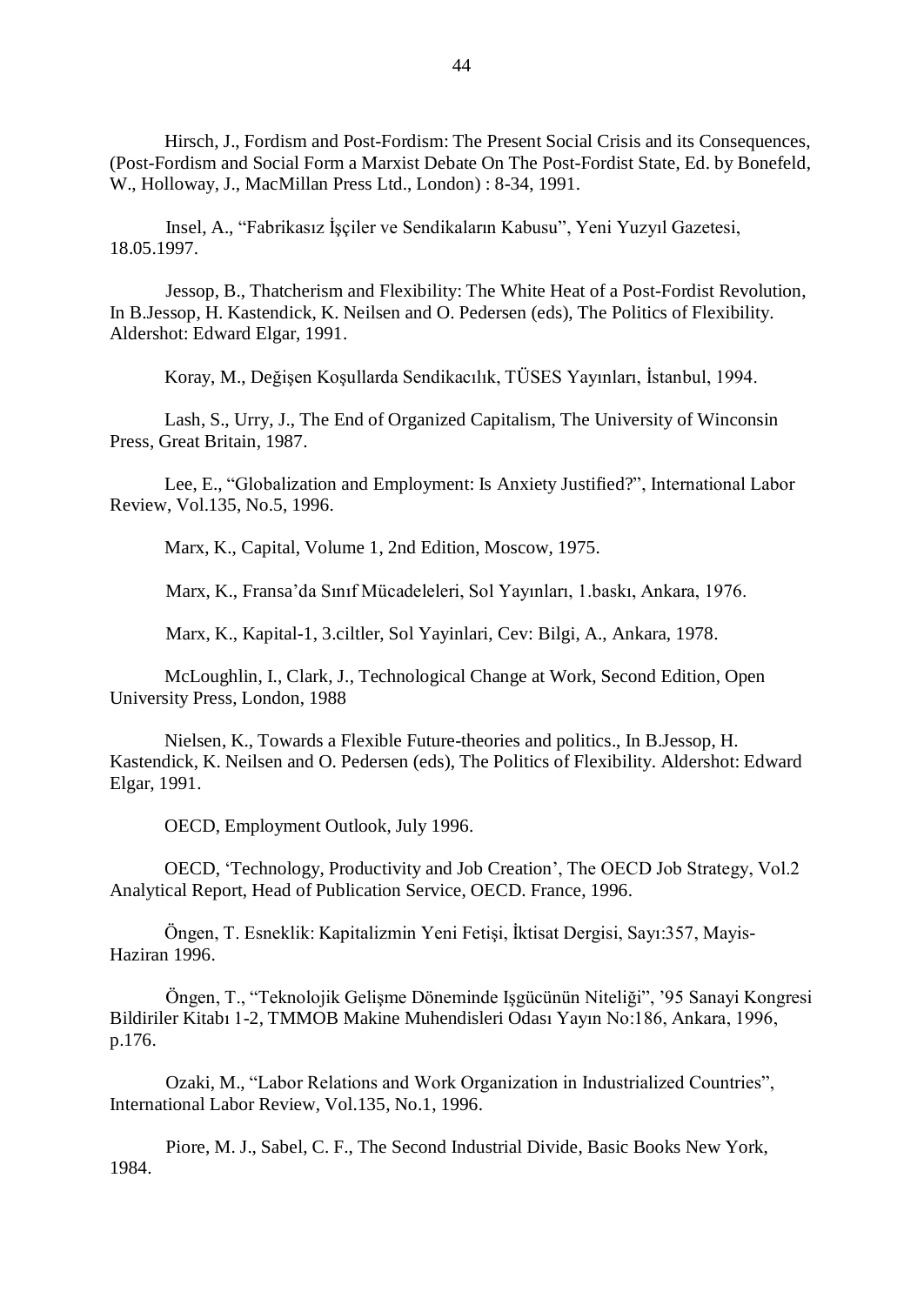Hirsch, J., Fordism and Post-Fordism: The Present Social Crisis and its Consequences, (Post-Fordism and Social Form a Marxist Debate On The Post-Fordist State, Ed. by Bonefeld, W., Holloway, J., MacMillan Press Ltd., London) : 8-34, 1991.

Insel, A., "Fabrikasız İşçiler ve Sendikaların Kabusu", Yeni Yuzyıl Gazetesi, 18.05.1997.

Jessop, B., Thatcherism and Flexibility: The White Heat of a Post-Fordist Revolution, In B.Jessop, H. Kastendick, K. Neilsen and O. Pedersen (eds), The Politics of Flexibility. Aldershot: Edward Elgar, 1991.

Koray, M., Değisen Kosullarda Sendikacılık, TÜSES Yayınları, İstanbul, 1994.

Lash, S., Urry, J., The End of Organized Capitalism, The University of Winconsin Press, Great Britain, 1987.

Lee, E., "Globalization and Employment: Is Anxiety Justified?", International Labor Review, Vol.135, No.5, 1996.

Marx, K., Capital, Volume 1, 2nd Edition, Moscow, 1975.

Marx, K., Fransa'da Sınıf Mücadeleleri, Sol Yayınları, 1.baskı, Ankara, 1976.

Marx, K., Kapital-1, 3.ciltler, Sol Yayinlari, Cev: Bilgi, A., Ankara, 1978.

McLoughlin, I., Clark, J., Technological Change at Work, Second Edition, Open University Press, London, 1988

Nielsen, K., Towards a Flexible Future-theories and politics., In B.Jessop, H. Kastendick, K. Neilsen and O. Pedersen (eds), The Politics of Flexibility. Aldershot: Edward Elgar, 1991.

OECD, Employment Outlook, July 1996.

OECD, 'Technology, Productivity and Job Creation', The OECD Job Strategy, Vol.2 Analytical Report, Head of Publication Service, OECD. France, 1996.

Öngen, T. Esneklik: Kapitalizmin Yeni Fetişi, İktisat Dergisi, Sayı:357, Mayis-Haziran 1996.

Öngen, T., "Teknolojik Gelisme Döneminde Isgüçünün Niteliği", '95 Sanayi Kongresi Bildiriler Kitabı 1-2, TMMOB Makine Muhendisleri Odası Yayın No:186, Ankara, 1996, p.176.

Ozaki, M., "Labor Relations and Work Organization in Industrialized Countries", International Labor Review, Vol.135, No.1, 1996.

Piore, M. J., Sabel, C. F., The Second Industrial Divide, Basic Books New York, 1984.